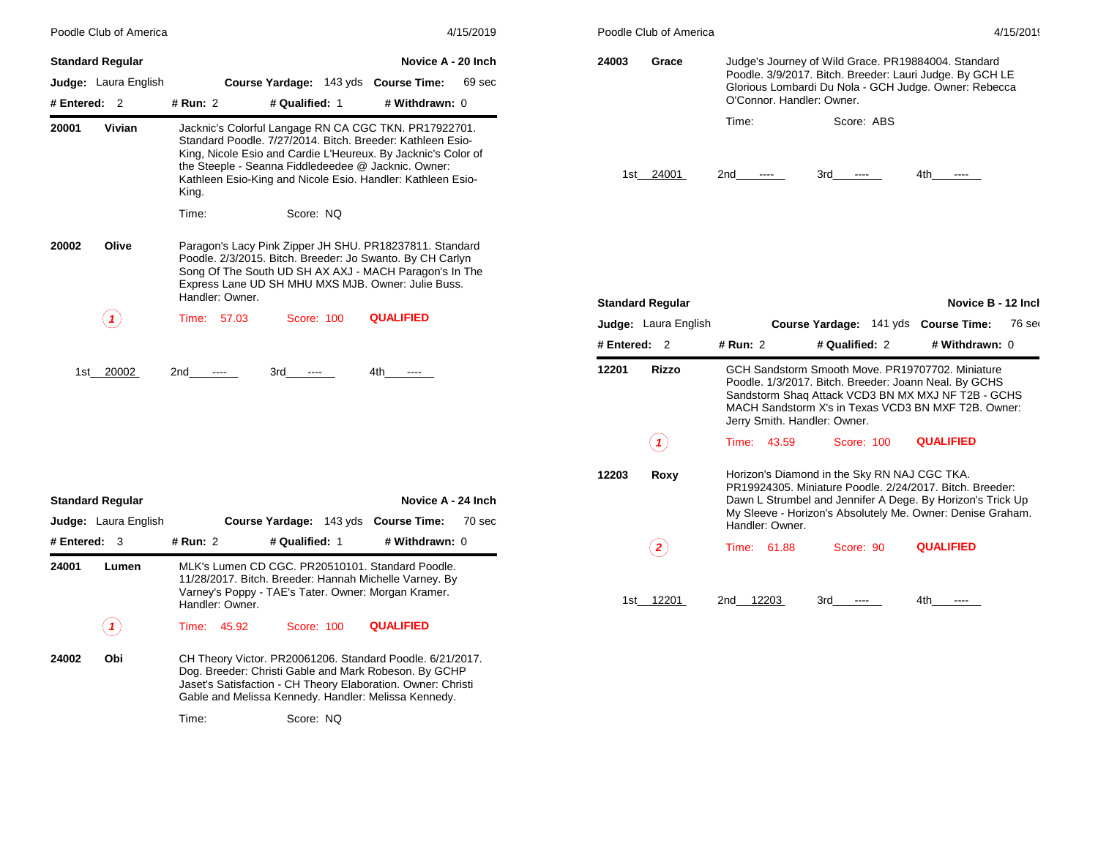|            | Poodle Club of America      |                 |                |                                                                                                                                                                                                                                                                                                            | 4/15/2019 |
|------------|-----------------------------|-----------------|----------------|------------------------------------------------------------------------------------------------------------------------------------------------------------------------------------------------------------------------------------------------------------------------------------------------------------|-----------|
|            | <b>Standard Regular</b>     |                 |                | Novice A - 20 Inch                                                                                                                                                                                                                                                                                         |           |
|            | <b>Judge:</b> Laura English |                 |                | Course Yardage: 143 yds Course Time:                                                                                                                                                                                                                                                                       | 69 sec    |
| # Entered: | $\overline{2}$              | # Run: 2        | # Qualified: 1 | # Withdrawn: 0                                                                                                                                                                                                                                                                                             |           |
| 20001      | Vivian                      | King.           |                | Jacknic's Colorful Langage RN CA CGC TKN. PR17922701.<br>Standard Poodle, 7/27/2014, Bitch, Breeder: Kathleen Esio-<br>King, Nicole Esio and Cardie L'Heureux. By Jacknic's Color of<br>the Steeple - Seanna Fiddledeedee @ Jacknic. Owner:<br>Kathleen Esio-King and Nicole Esio. Handler: Kathleen Esio- |           |
|            |                             | Time:           | Score: NO      |                                                                                                                                                                                                                                                                                                            |           |
| 20002      | Olive                       | Handler: Owner. |                | Paragon's Lacy Pink Zipper JH SHU. PR18237811. Standard<br>Poodle. 2/3/2015. Bitch. Breeder: Jo Swanto. By CH Carlyn<br>Song Of The South UD SH AX AXJ - MACH Paragon's In The<br>Express Lane UD SH MHU MXS MJB. Owner: Julie Buss.                                                                       |           |
|            |                             | Time:<br>57.03  | Score: 100     | <b>QUALIFIED</b>                                                                                                                                                                                                                                                                                           |           |
| 1st l      | 20002                       | 2nd             | 3rd            | 4th                                                                                                                                                                                                                                                                                                        |           |

|            | <b>Standard Regular</b>     |             |                 |                | Novice A - 24 Inch                                                                                                                                                                                                                         |        |
|------------|-----------------------------|-------------|-----------------|----------------|--------------------------------------------------------------------------------------------------------------------------------------------------------------------------------------------------------------------------------------------|--------|
|            | <b>Judge:</b> Laura English |             |                 |                | Course Yardage: 143 yds Course Time:                                                                                                                                                                                                       | 70 sec |
| # Entered: | - 3                         | # Run: $2$  |                 | # Qualified: 1 | # Withdrawn: 0                                                                                                                                                                                                                             |        |
| 24001      | Lumen                       |             | Handler: Owner. |                | MLK's Lumen CD CGC. PR20510101. Standard Poodle.<br>11/28/2017. Bitch. Breeder: Hannah Michelle Varney. By<br>Varney's Poppy - TAE's Tater. Owner: Morgan Kramer.                                                                          |        |
|            |                             | Time: 45.92 |                 | Score: 100     | <b>QUALIFIED</b>                                                                                                                                                                                                                           |        |
| 24002      | Obi                         | Time:       |                 | Score: NQ      | CH Theory Victor. PR20061206. Standard Poodle. 6/21/2017.<br>Dog. Breeder: Christi Gable and Mark Robeson. By GCHP<br>Jaset's Satisfaction - CH Theory Elaboration. Owner: Christi<br>Gable and Melissa Kennedy. Handler: Melissa Kennedy. |        |
|            |                             |             |                 |                |                                                                                                                                                                                                                                            |        |

| Poodle Club of America<br>4/15/2019 |       |                                                                                                                                                                                                       |     |  |  |  |  |  |
|-------------------------------------|-------|-------------------------------------------------------------------------------------------------------------------------------------------------------------------------------------------------------|-----|--|--|--|--|--|
| 24003                               | Grace | Judge's Journey of Wild Grace. PR19884004. Standard<br>Poodle. 3/9/2017. Bitch. Breeder: Lauri Judge. By GCH LE<br>Glorious Lombardi Du Nola - GCH Judge. Owner: Rebecca<br>O'Connor, Handler: Owner, |     |  |  |  |  |  |
|                                     | Time: | Score: ABS                                                                                                                                                                                            |     |  |  |  |  |  |
| 1st.<br>-2401                       | 2nd   | 3rd                                                                                                                                                                                                   | 4th |  |  |  |  |  |

|            | <b>Standard Regular</b>     |                                                                                                                                                                                                                                                         |       |                              |  | Novice B - 12 Inch                                                                                                                                                                                                     |        |  |
|------------|-----------------------------|---------------------------------------------------------------------------------------------------------------------------------------------------------------------------------------------------------------------------------------------------------|-------|------------------------------|--|------------------------------------------------------------------------------------------------------------------------------------------------------------------------------------------------------------------------|--------|--|
|            | <b>Judge:</b> Laura English |                                                                                                                                                                                                                                                         |       |                              |  | Course Yardage: 141 yds Course Time:                                                                                                                                                                                   | 76 ser |  |
| # Entered: | $\mathcal{P}$               | # Run: 2                                                                                                                                                                                                                                                |       | # Qualified: 2               |  | # Withdrawn: 0                                                                                                                                                                                                         |        |  |
| 12201      | <b>Rizzo</b>                |                                                                                                                                                                                                                                                         |       | Jerry Smith. Handler: Owner. |  | GCH Sandstorm Smooth Move, PR19707702, Miniature<br>Poodle. 1/3/2017. Bitch. Breeder: Joann Neal. By GCHS<br>Sandstorm Shaq Attack VCD3 BN MX MXJ NF T2B - GCHS<br>MACH Sandstorm X's in Texas VCD3 BN MXF T2B, Owner: |        |  |
|            |                             | Time:                                                                                                                                                                                                                                                   | 43.59 | Score: 100                   |  | <b>QUALIFIED</b>                                                                                                                                                                                                       |        |  |
| 12203      | Roxy                        | Horizon's Diamond in the Sky RN NAJ CGC TKA.<br>PR19924305, Miniature Poodle, 2/24/2017, Bitch, Breeder:<br>Dawn L Strumbel and Jennifer A Dege. By Horizon's Trick Up<br>My Sleeve - Horizon's Absolutely Me. Owner: Denise Graham.<br>Handler: Owner. |       |                              |  |                                                                                                                                                                                                                        |        |  |
|            |                             | Time:                                                                                                                                                                                                                                                   | 61.88 | Score: 90                    |  | <b>QUALIFIED</b>                                                                                                                                                                                                       |        |  |
| 1st        | 12201                       | 2nd                                                                                                                                                                                                                                                     | 12203 | 3rd                          |  | 4th                                                                                                                                                                                                                    |        |  |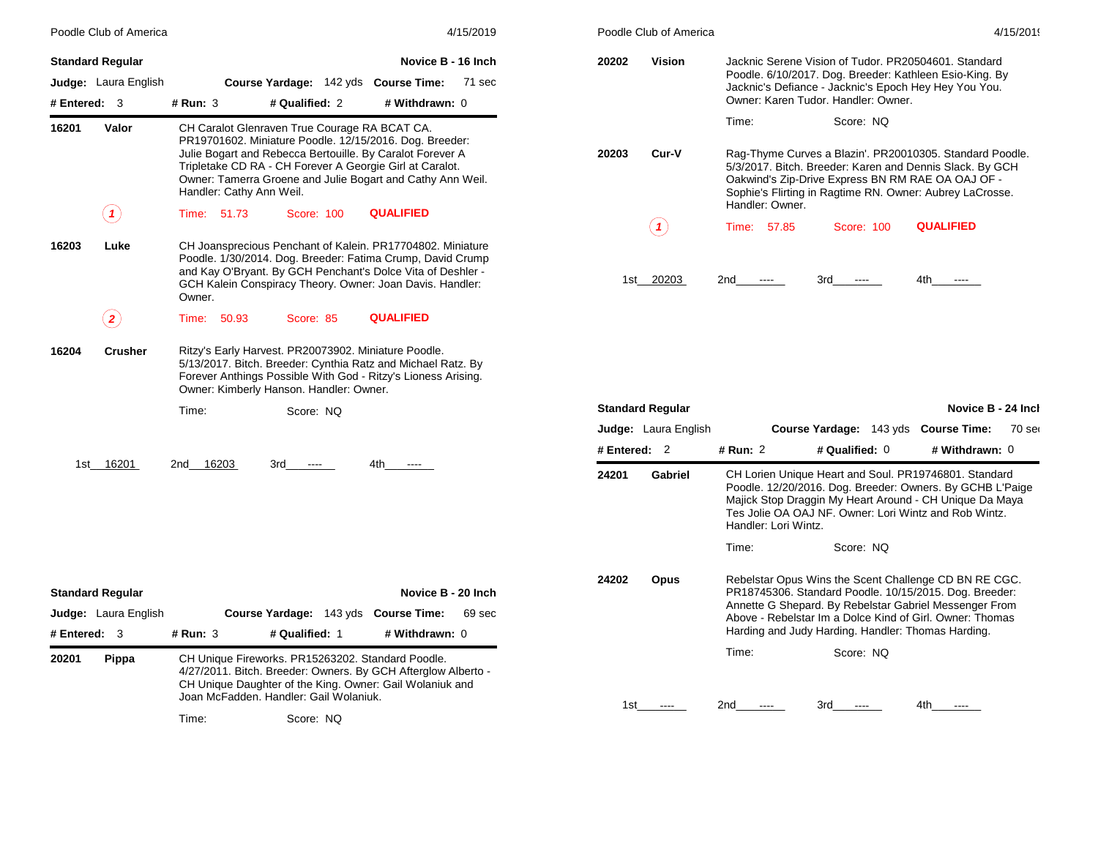|                                                  | Poodle Club of America               |                                         | 4/15/2019                                                                                                    | Poodle Club of America                                                                                                                                                                                                                                             |                | 4/15/2019                                       |                                |                                                                                                                                                                                                                                                                                                          |                                      |        |
|--------------------------------------------------|--------------------------------------|-----------------------------------------|--------------------------------------------------------------------------------------------------------------|--------------------------------------------------------------------------------------------------------------------------------------------------------------------------------------------------------------------------------------------------------------------|----------------|-------------------------------------------------|--------------------------------|----------------------------------------------------------------------------------------------------------------------------------------------------------------------------------------------------------------------------------------------------------------------------------------------------------|--------------------------------------|--------|
| <b>Standard Regular</b><br># Entered: 3          | <b>Judge:</b> Laura English          | # Run: 3                                | Course Yardage: 142 yds Course Time:<br># Qualified: 2                                                       | Novice B - 16 Inch<br>71 sec<br># Withdrawn: 0                                                                                                                                                                                                                     | 20202          | <b>Vision</b>                                   |                                | Jacknic Serene Vision of Tudor. PR20504601. Standard<br>Poodle. 6/10/2017. Dog. Breeder: Kathleen Esio-King. By<br>Jacknic's Defiance - Jacknic's Epoch Hey Hey You You.<br>Owner: Karen Tudor, Handler: Owner,                                                                                          |                                      |        |
| 16201                                            | Valor<br>$\left( \mathbf{1}\right)$  | Handler: Cathy Ann Weil.<br>Time: 51.73 | CH Caralot Glenraven True Courage RA BCAT CA.<br>Score: 100                                                  | PR19701602. Miniature Poodle. 12/15/2016. Dog. Breeder:<br>Julie Bogart and Rebecca Bertouille. By Caralot Forever A<br>Tripletake CD RA - CH Forever A Georgie Girl at Caralot.<br>Owner: Tamerra Groene and Julie Bogart and Cathy Ann Weil.<br><b>QUALIFIED</b> | 20203          | Cur-V                                           | Time:<br>Handler: Owner.       | Score: NQ<br>Rag-Thyme Curves a Blazin'. PR20010305. Standard Poodle.<br>5/3/2017. Bitch. Breeder: Karen and Dennis Slack. By GCH<br>Oakwind's Zip-Drive Express BN RM RAE OA OAJ OF -<br>Sophie's Flirting in Ragtime RN. Owner: Aubrey LaCrosse.                                                       |                                      |        |
| 16203                                            | Luke                                 | Owner.                                  |                                                                                                              | CH Joansprecious Penchant of Kalein. PR17704802. Miniature<br>Poodle. 1/30/2014. Dog. Breeder: Fatima Crump, David Crump<br>and Kay O'Bryant. By GCH Penchant's Dolce Vita of Deshler -<br>GCH Kalein Conspiracy Theory. Owner: Joan Davis. Handler:               | 1st            | (1)<br>20203                                    | Time: 57.85<br>2nd<br>$\cdots$ | Score: 100<br>3rd<br>$\cdots$                                                                                                                                                                                                                                                                            | <b>QUALIFIED</b><br>4th<br>$\cdots$  |        |
| 16204                                            | $\bf(2)$<br><b>Crusher</b>           | Time:<br>50.93                          | Score: 85<br>Ritzy's Early Harvest. PR20073902. Miniature Poodle.<br>Owner: Kimberly Hanson. Handler: Owner. | <b>QUALIFIED</b><br>5/13/2017. Bitch. Breeder: Cynthia Ratz and Michael Ratz. By<br>Forever Anthings Possible With God - Ritzy's Lioness Arising.                                                                                                                  |                |                                                 |                                |                                                                                                                                                                                                                                                                                                          |                                      |        |
|                                                  |                                      | Time:                                   | Score: NQ                                                                                                    |                                                                                                                                                                                                                                                                    | # Entered: $2$ | <b>Standard Regular</b><br>Judge: Laura English | # Run: 2                       | Course Yardage: 143 yds Course Time:<br># Qualified: 0                                                                                                                                                                                                                                                   | Novice B - 24 Incl<br># Withdrawn: 0 | 70 ser |
|                                                  | 1st 16201                            | 2nd 16203                               | 3rd<br>$\cdots$                                                                                              | 4th<br>$\cdots$                                                                                                                                                                                                                                                    | 24201          | Gabriel                                         | Handler: Lori Wintz.<br>Time:  | CH Lorien Unique Heart and Soul. PR19746801. Standard<br>Poodle. 12/20/2016. Dog. Breeder: Owners. By GCHB L'Paige<br>Majick Stop Draggin My Heart Around - CH Unique Da Maya<br>Tes Jolie OA OAJ NF. Owner: Lori Wintz and Rob Wintz.<br>Score: NQ                                                      |                                      |        |
| <b>Standard Regular</b><br># Entered: 3<br>20201 | <b>Judge:</b> Laura English<br>Pippa | # Run: 3                                | Course Yardage: 143 yds Course Time:<br># Qualified: 1<br>CH Unique Fireworks. PR15263202. Standard Poodle.  | Novice B - 20 Inch<br>69 sec<br># Withdrawn: 0<br>4/27/2011. Bitch. Breeder: Owners. By GCH Afterglow Alberto -<br>CH Unique Daughter of the King. Owner: Gail Wolaniuk and                                                                                        | 24202          | <b>Opus</b>                                     | Time:                          | Rebelstar Opus Wins the Scent Challenge CD BN RE CGC.<br>PR18745306. Standard Poodle. 10/15/2015. Dog. Breeder:<br>Annette G Shepard. By Rebelstar Gabriel Messenger From<br>Above - Rebelstar Im a Dolce Kind of Girl. Owner: Thomas<br>Harding and Judy Harding. Handler: Thomas Harding.<br>Score: NQ |                                      |        |
|                                                  |                                      |                                         | Joan McFadden, Handler: Gail Wolaniuk.                                                                       |                                                                                                                                                                                                                                                                    | 1st            |                                                 | 2nd                            | 3rd                                                                                                                                                                                                                                                                                                      | 4th                                  |        |

Time: Score: NQ

|       | Poodle Club of America |                                                                                                                                                                                                                                                          |                                                                                                                                                                                                                 |     |           |            |                  | 4/15/20 |  |
|-------|------------------------|----------------------------------------------------------------------------------------------------------------------------------------------------------------------------------------------------------------------------------------------------------|-----------------------------------------------------------------------------------------------------------------------------------------------------------------------------------------------------------------|-----|-----------|------------|------------------|---------|--|
| 20202 | Vision                 |                                                                                                                                                                                                                                                          | Jacknic Serene Vision of Tudor, PR20504601, Standard<br>Poodle. 6/10/2017. Dog. Breeder: Kathleen Esio-King. By<br>Jacknic's Defiance - Jacknic's Epoch Hey Hey You You.<br>Owner: Karen Tudor, Handler: Owner, |     |           |            |                  |         |  |
|       |                        | Time:                                                                                                                                                                                                                                                    |                                                                                                                                                                                                                 |     | Score: NO |            |                  |         |  |
| 20203 | Cur-V                  | Rag-Thyme Curves a Blazin'. PR20010305. Standard Poodle.<br>5/3/2017. Bitch. Breeder: Karen and Dennis Slack. By GCH<br>Oakwind's Zip-Drive Express BN RM RAE OA OAJ OF -<br>Sophie's Flirting in Ragtime RN. Owner: Aubrey LaCrosse.<br>Handler: Owner. |                                                                                                                                                                                                                 |     |           |            |                  |         |  |
|       |                        |                                                                                                                                                                                                                                                          | Time: 57.85                                                                                                                                                                                                     |     |           | Score: 100 | <b>QUALIFIED</b> |         |  |
| 1st   | 20203                  | 2nd                                                                                                                                                                                                                                                      |                                                                                                                                                                                                                 | 3rd |           |            | 4th              |         |  |

|              | <b>Standard Regular</b>     |                      |                                                                                                                                                                                                                                                                                             | Novice B - 24 Inch |        |
|--------------|-----------------------------|----------------------|---------------------------------------------------------------------------------------------------------------------------------------------------------------------------------------------------------------------------------------------------------------------------------------------|--------------------|--------|
|              | <b>Judge:</b> Laura English |                      | Course Yardage: 143 yds Course Time:                                                                                                                                                                                                                                                        |                    | 70 ser |
| # Entered: 2 |                             | # Run: 2             | # Qualified: $0$                                                                                                                                                                                                                                                                            | # Withdrawn: 0     |        |
| 24201        | Gabriel                     | Handler: Lori Wintz. | CH Lorien Unique Heart and Soul. PR19746801. Standard<br>Poodle. 12/20/2016. Dog. Breeder: Owners. By GCHB L'Paige<br>Majick Stop Draggin My Heart Around - CH Unique Da Maya<br>Tes Jolie OA OAJ NF, Owner: Lori Wintz and Rob Wintz.                                                      |                    |        |
|              |                             | Time:                | Score: NO                                                                                                                                                                                                                                                                                   |                    |        |
| 24202        | Opus                        |                      | Rebelstar Opus Wins the Scent Challenge CD BN RE CGC.<br>PR18745306. Standard Poodle. 10/15/2015. Dog. Breeder:<br>Annette G Shepard. By Rebelstar Gabriel Messenger From<br>Above - Rebelstar Im a Dolce Kind of Girl, Owner: Thomas<br>Harding and Judy Harding. Handler: Thomas Harding. |                    |        |
|              |                             | Time:                | Score: NQ                                                                                                                                                                                                                                                                                   |                    |        |
| 1st          |                             | 2nd                  | 3rd                                                                                                                                                                                                                                                                                         | 4th                |        |
|              |                             |                      |                                                                                                                                                                                                                                                                                             |                    |        |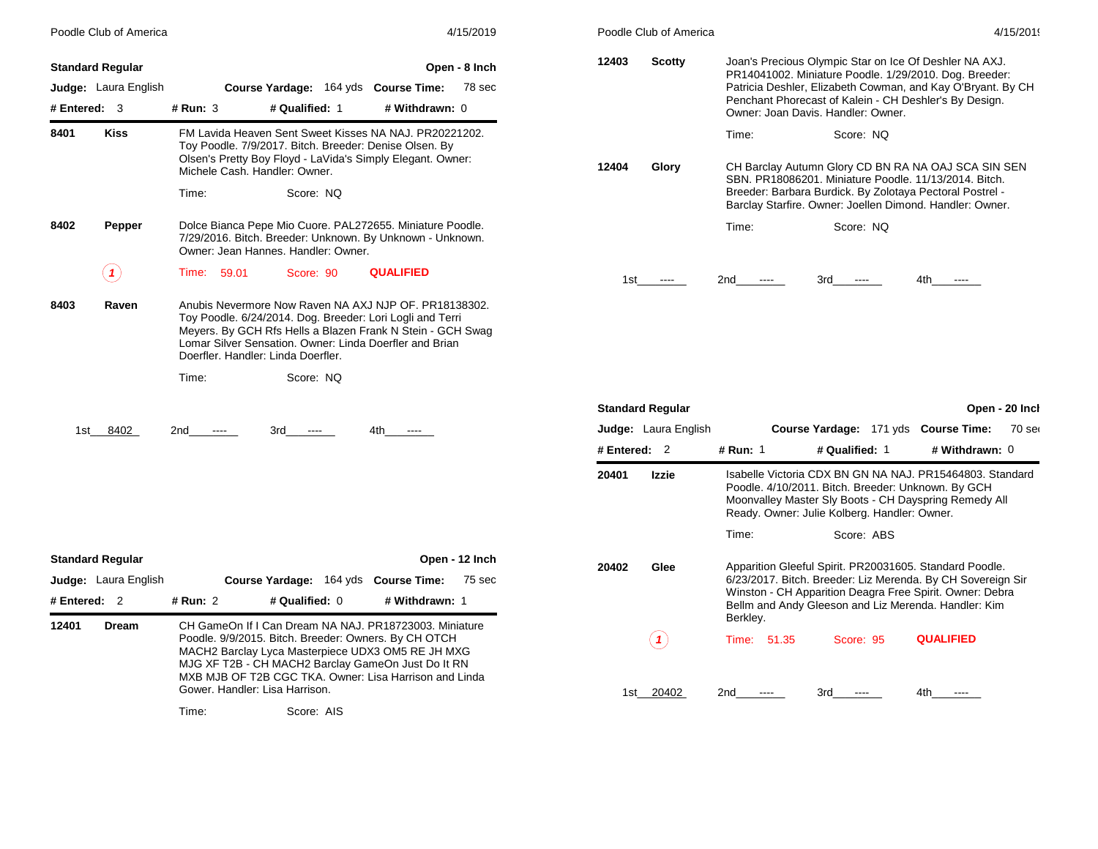|                                           | Poodle Club of America      |                                |                                                                                                                                                                                                                                                                                                |                  | 4/15/2019                |              | Poodle Club of America      |                          |                                                                                                                                                                                                                                                                                 |                  | 4/15/2019      |
|-------------------------------------------|-----------------------------|--------------------------------|------------------------------------------------------------------------------------------------------------------------------------------------------------------------------------------------------------------------------------------------------------------------------------------------|------------------|--------------------------|--------------|-----------------------------|--------------------------|---------------------------------------------------------------------------------------------------------------------------------------------------------------------------------------------------------------------------------------------------------------------------------|------------------|----------------|
| <b>Standard Regular</b><br># Entered: $3$ | <b>Judge:</b> Laura English | $#$ Run: 3                     | Course Yardage: 164 yds Course Time:<br># Qualified: 1                                                                                                                                                                                                                                         | # Withdrawn: 0   | Open - 8 Inch<br>78 sec  | 12403        | <b>Scotty</b>               |                          | Joan's Precious Olympic Star on Ice Of Deshler NA AXJ.<br>PR14041002. Miniature Poodle. 1/29/2010. Dog. Breeder:<br>Patricia Deshler, Elizabeth Cowman, and Kay O'Bryant. By CH<br>Penchant Phorecast of Kalein - CH Deshler's By Design.<br>Owner: Joan Davis. Handler: Owner. |                  |                |
| 8401                                      | Kiss                        | Time:                          | FM Lavida Heaven Sent Sweet Kisses NA NAJ. PR20221202.<br>Toy Poodle. 7/9/2017. Bitch. Breeder: Denise Olsen. By<br>Olsen's Pretty Boy Floyd - LaVida's Simply Elegant. Owner:<br>Michele Cash, Handler: Owner.<br>Score: NQ                                                                   |                  |                          | 12404        | Glory                       | Time:                    | Score: NQ<br>CH Barclay Autumn Glory CD BN RA NA OAJ SCA SIN SEN<br>SBN, PR18086201, Miniature Poodle, 11/13/2014, Bitch.<br>Breeder: Barbara Burdick. By Zolotaya Pectoral Postrel -                                                                                           |                  |                |
| 8402                                      | Pepper                      |                                | Dolce Bianca Pepe Mio Cuore. PAL272655. Miniature Poodle.<br>7/29/2016. Bitch. Breeder: Unknown. By Unknown - Unknown.<br>Owner: Jean Hannes, Handler: Owner.                                                                                                                                  |                  |                          |              |                             | Time:                    | Barclay Starfire. Owner: Joellen Dimond. Handler: Owner.<br>Score: NQ                                                                                                                                                                                                           |                  |                |
|                                           | $\left( \text{ }n\right)$   | Time: 59.01                    | Score: 90                                                                                                                                                                                                                                                                                      | <b>QUALIFIED</b> |                          | 1st          | $\sim$ $\sim$ $\sim$        | 2nd<br>$---$             | 3rd<br>$\cdots$                                                                                                                                                                                                                                                                 | 4th<br>$\cdots$  |                |
| 8403                                      | Raven                       | Time:                          | Anubis Nevermore Now Raven NA AXJ NJP OF. PR18138302.<br>Toy Poodle. 6/24/2014. Dog. Breeder: Lori Logli and Terri<br>Meyers. By GCH Rfs Hells a Blazen Frank N Stein - GCH Swag<br>Lomar Silver Sensation. Owner: Linda Doerfler and Brian<br>Doerfler, Handler: Linda Doerfler,<br>Score: NQ |                  |                          |              |                             |                          |                                                                                                                                                                                                                                                                                 |                  |                |
|                                           |                             |                                |                                                                                                                                                                                                                                                                                                |                  |                          |              | <b>Standard Regular</b>     |                          |                                                                                                                                                                                                                                                                                 |                  | Open - 20 Incl |
| 1st                                       | 8402                        | 2nd<br>$\cdots$                | 3rd<br>-----                                                                                                                                                                                                                                                                                   | 4th<br>$\cdots$  |                          |              | <b>Judge:</b> Laura English |                          | Course Yardage: 171 yds Course Time:                                                                                                                                                                                                                                            |                  | 70 ser         |
|                                           |                             |                                |                                                                                                                                                                                                                                                                                                |                  |                          | # Entered: 2 |                             | # Run: 1                 | # Qualified: 1                                                                                                                                                                                                                                                                  | # Withdrawn: 0   |                |
|                                           |                             |                                |                                                                                                                                                                                                                                                                                                |                  |                          | 20401        | Izzie                       |                          | Isabelle Victoria CDX BN GN NA NAJ. PR15464803. Standard<br>Poodle. 4/10/2011. Bitch. Breeder: Unknown. By GCH<br>Moonvalley Master Sly Boots - CH Dayspring Remedy All<br>Ready. Owner: Julie Kolberg. Handler: Owner.                                                         |                  |                |
|                                           |                             |                                |                                                                                                                                                                                                                                                                                                |                  |                          |              |                             | Time:                    | Score: ABS                                                                                                                                                                                                                                                                      |                  |                |
| <b>Standard Regular</b><br># Entered: 2   | Judge: Laura English        | # Run: 2                       | Course Yardage: 164 yds Course Time:<br># Qualified: 0                                                                                                                                                                                                                                         | # Withdrawn: 1   | Open - 12 Inch<br>75 sec | 20402        | Glee                        |                          | Apparition Gleeful Spirit. PR20031605. Standard Poodle.<br>6/23/2017. Bitch. Breeder: Liz Merenda. By CH Sovereign Sir<br>Winston - CH Apparition Deagra Free Spirit. Owner: Debra<br>Bellm and Andy Gleeson and Liz Merenda. Handler: Kim                                      |                  |                |
| 12401                                     | <b>Dream</b>                | Gower. Handler: Lisa Harrison. | CH GameOn If I Can Dream NA NAJ. PR18723003. Miniature<br>Poodle. 9/9/2015. Bitch. Breeder: Owners. By CH OTCH<br>MACH2 Barclay Lyca Masterpiece UDX3 OM5 RE JH MXG<br>MJG XF T2B - CH MACH2 Barclay GameOn Just Do It RN<br>MXB MJB OF T2B CGC TKA. Owner: Lisa Harrison and Linda            |                  |                          |              | (1)                         | Berkley.<br>Time: 51.35  | Score: 95                                                                                                                                                                                                                                                                       | <b>QUALIFIED</b> |                |
|                                           |                             |                                |                                                                                                                                                                                                                                                                                                |                  |                          |              | 1st 20402                   | 2 <sub>nd</sub><br>$---$ | 3rd<br>$\cdots$                                                                                                                                                                                                                                                                 | 4th<br>$\cdots$  |                |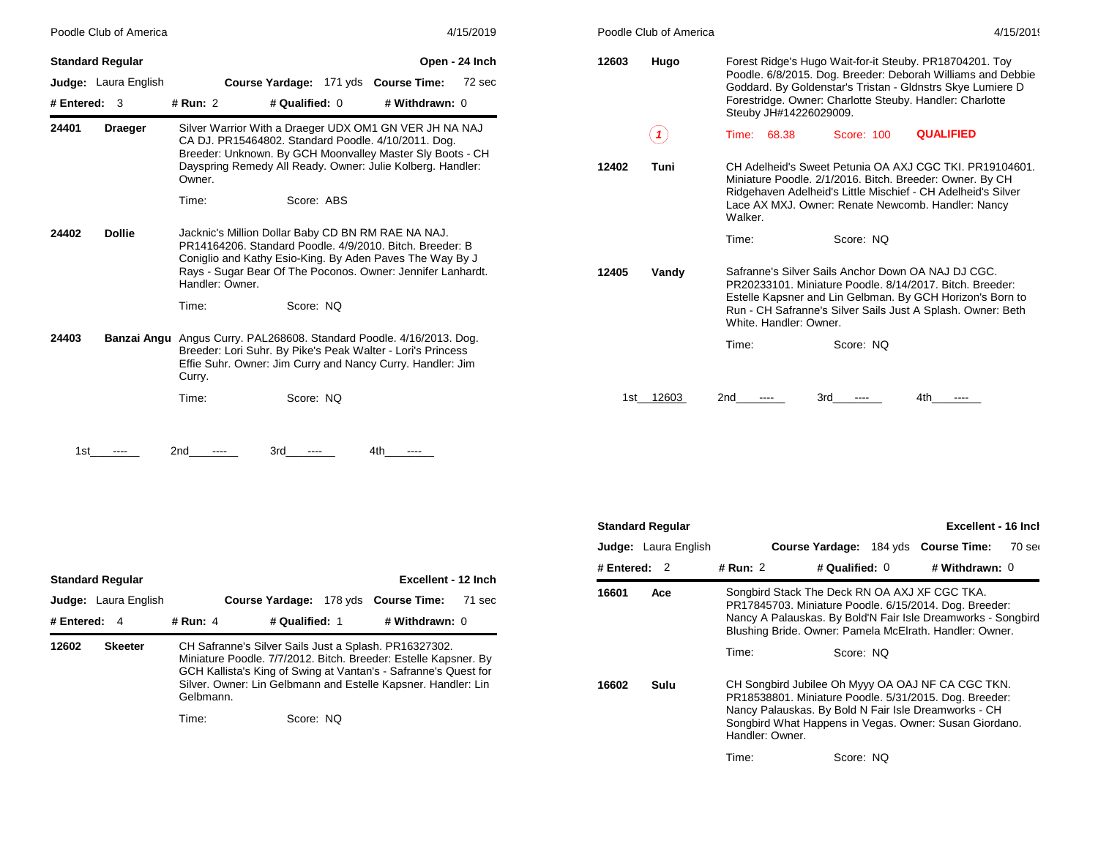| Poodle Club of America<br><b>Standard Regular</b><br>Judge: Laura English<br>Course Yardage: 171 yds Course Time:<br># Qualified: 0<br># Withdrawn: 0<br># Entered: $3$<br># Run: 2<br>Draeger |               | 4/15/2019                                                                                                                                                                                                   | Poodle Club of America     | 4/15/2019                                                                                                                                                                                                                                                                  |
|------------------------------------------------------------------------------------------------------------------------------------------------------------------------------------------------|---------------|-------------------------------------------------------------------------------------------------------------------------------------------------------------------------------------------------------------|----------------------------|----------------------------------------------------------------------------------------------------------------------------------------------------------------------------------------------------------------------------------------------------------------------------|
|                                                                                                                                                                                                |               | Open - 24 Inch<br>72 sec                                                                                                                                                                                    | 12603<br>Hugo              | Forest Ridge's Hugo Wait-for-it Steuby. PR18704201. Toy<br>Poodle. 6/8/2015. Dog. Breeder: Deborah Williams and Debbie<br>Goddard. By Goldenstar's Tristan - Gldnstrs Skye Lumiere D<br>Forestridge. Owner: Charlotte Steuby. Handler: Charlotte<br>Steuby JH#14226029009. |
| 24401                                                                                                                                                                                          |               | Silver Warrior With a Draeger UDX OM1 GN VER JH NA NAJ<br>CA DJ. PR15464802. Standard Poodle. 4/10/2011. Dog.<br>Breeder: Unknown. By GCH Moonvalley Master Sly Boots - CH                                  | $\left( \mathbf{1}\right)$ | <b>QUALIFIED</b><br>Time:<br>68.38<br>Score: 100                                                                                                                                                                                                                           |
|                                                                                                                                                                                                |               | Dayspring Remedy All Ready. Owner: Julie Kolberg. Handler:<br>Owner.<br>Time:<br>Score: ABS                                                                                                                 | Tuni<br>12402              | CH Adelheid's Sweet Petunia OA AXJ CGC TKI, PR19104601.<br>Miniature Poodle. 2/1/2016. Bitch. Breeder: Owner. By CH<br>Ridgehaven Adelheid's Little Mischief - CH Adelheid's Silver<br>Lace AX MXJ. Owner: Renate Newcomb. Handler: Nancy<br>Walker.                       |
| 24402                                                                                                                                                                                          | <b>Dollie</b> | Jacknic's Million Dollar Baby CD BN RM RAE NA NAJ.<br>PR14164206, Standard Poodle, 4/9/2010, Bitch, Breeder: B<br>Coniglio and Kathy Esio-King. By Aden Paves The Way By J                                  |                            | Time:<br>Score: NQ                                                                                                                                                                                                                                                         |
|                                                                                                                                                                                                |               | Rays - Sugar Bear Of The Poconos. Owner: Jennifer Lanhardt.<br>Handler: Owner.<br>Score: NQ<br>Time:                                                                                                        | 12405<br>Vandy             | Safranne's Silver Sails Anchor Down OA NAJ DJ CGC.<br>PR20233101. Miniature Poodle. 8/14/2017. Bitch. Breeder:<br>Estelle Kapsner and Lin Gelbman. By GCH Horizon's Born to<br>Run - CH Safranne's Silver Sails Just A Splash. Owner: Beth<br>White, Handler: Owner.       |
| 24403                                                                                                                                                                                          |               | Banzai Angu Angus Curry. PAL268608. Standard Poodle. 4/16/2013. Dog.<br>Breeder: Lori Suhr. By Pike's Peak Walter - Lori's Princess<br>Effie Suhr. Owner: Jim Curry and Nancy Curry. Handler: Jim<br>Curry. |                            | Score: NQ<br>Time:                                                                                                                                                                                                                                                         |
|                                                                                                                                                                                                |               | Score: NQ<br>Time:                                                                                                                                                                                          | 12603<br>1st i             | 3rd<br>2nd<br>4th                                                                                                                                                                                                                                                          |

 $1st$  ---- 2nd ---- 3rd ---- 4th ----

|                | <b>Standard Regular</b>     |                    |                        |                                                                                                                                                                                                                                                              | Excellent - 12 Inch         |        |
|----------------|-----------------------------|--------------------|------------------------|--------------------------------------------------------------------------------------------------------------------------------------------------------------------------------------------------------------------------------------------------------------|-----------------------------|--------|
|                | <b>Judge:</b> Laura English |                    | <b>Course Yardage:</b> |                                                                                                                                                                                                                                                              | 178 yds <b>Course Time:</b> | 71 sec |
| # Entered: $4$ |                             | # Run: 4           | # Qualified: 1         |                                                                                                                                                                                                                                                              | # Withdrawn: 0              |        |
| 12602          | <b>Skeeter</b>              | Gelbmann.<br>Time: | Score: NO              | CH Safranne's Silver Sails Just a Splash. PR16327302.<br>Miniature Poodle. 7/7/2012. Bitch. Breeder: Estelle Kapsner. By<br>GCH Kallista's King of Swing at Vantan's - Safranne's Quest for<br>Silver. Owner: Lin Gelbmann and Estelle Kapsner. Handler: Lin |                             |        |

|                | <b>Excellent - 16 Incl</b><br><b>Standard Regular</b> |                                                                                                                                                                                                                                                  |                                      |  |                |        |  |  |  |
|----------------|-------------------------------------------------------|--------------------------------------------------------------------------------------------------------------------------------------------------------------------------------------------------------------------------------------------------|--------------------------------------|--|----------------|--------|--|--|--|
|                | <b>Judge:</b> Laura English                           |                                                                                                                                                                                                                                                  | Course Yardage: 184 yds Course Time: |  |                | 70 ser |  |  |  |
| # Entered: $2$ |                                                       | # Run: 2                                                                                                                                                                                                                                         | # Qualified: $0$                     |  | # Withdrawn: 0 |        |  |  |  |
| 16601          | Ace                                                   | Songbird Stack The Deck RN OA AXJ XF CGC TKA.<br>PR17845703. Miniature Poodle. 6/15/2014. Dog. Breeder:<br>Nancy A Palauskas. By Bold'N Fair Isle Dreamworks - Songbird<br>Blushing Bride. Owner: Pamela McElrath. Handler: Owner.               |                                      |  |                |        |  |  |  |
|                |                                                       | Time:                                                                                                                                                                                                                                            | Score: NO                            |  |                |        |  |  |  |
| 16602          | Sulu                                                  | CH Songbird Jubilee Oh Myyy OA OAJ NF CA CGC TKN.<br>PR18538801. Miniature Poodle. 5/31/2015. Dog. Breeder:<br>Nancy Palauskas. By Bold N Fair Isle Dreamworks - CH<br>Songbird What Happens in Vegas. Owner: Susan Giordano.<br>Handler: Owner. |                                      |  |                |        |  |  |  |
|                |                                                       | Time:                                                                                                                                                                                                                                            | Score: NO                            |  |                |        |  |  |  |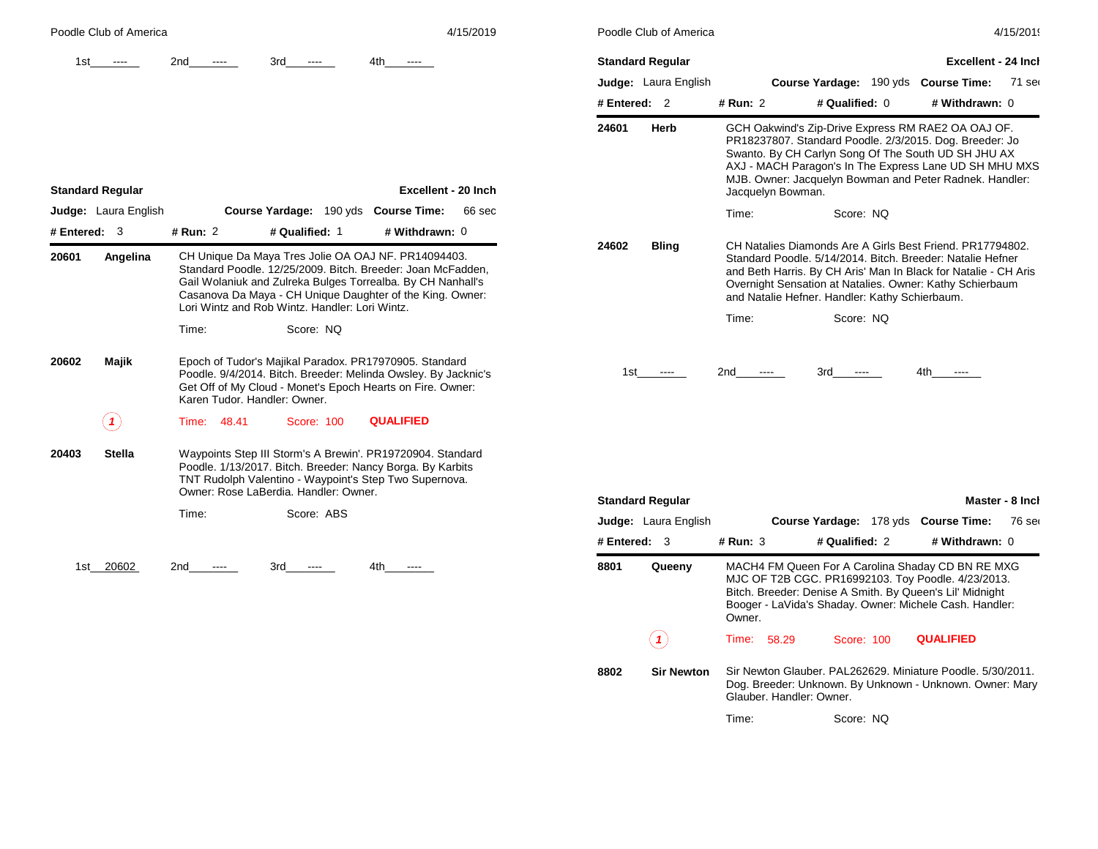| Poodle Club of America              | 4/15/2019                                                                                                                                                                                                                                                                                                                                                              | Poodle Club of America  |                                                                      | 4/15/2019                                                                                                                                                                                                                                                                                 |
|-------------------------------------|------------------------------------------------------------------------------------------------------------------------------------------------------------------------------------------------------------------------------------------------------------------------------------------------------------------------------------------------------------------------|-------------------------|----------------------------------------------------------------------|-------------------------------------------------------------------------------------------------------------------------------------------------------------------------------------------------------------------------------------------------------------------------------------------|
| 1st<br>$-$ - $-$ -                  | 2nd<br>3rd<br>4th.<br>$\cdots$<br>$\frac{1}{2}$                                                                                                                                                                                                                                                                                                                        | <b>Standard Regular</b> |                                                                      | <b>Excellent - 24 Incl</b>                                                                                                                                                                                                                                                                |
|                                     |                                                                                                                                                                                                                                                                                                                                                                        | Judge: Laura English    |                                                                      | Course Yardage: 190 yds Course Time:<br>71 ser                                                                                                                                                                                                                                            |
|                                     |                                                                                                                                                                                                                                                                                                                                                                        | # Entered: 2            | # Run: 2<br># Qualified: 0                                           | # Withdrawn: 0                                                                                                                                                                                                                                                                            |
| <b>Standard Regular</b>             | Excellent - 20 Inch                                                                                                                                                                                                                                                                                                                                                    | 24601<br>Herb           | Jacquelyn Bowman.                                                    | GCH Oakwind's Zip-Drive Express RM RAE2 OA OAJ OF.<br>PR18237807. Standard Poodle. 2/3/2015. Dog. Breeder: Jo<br>Swanto. By CH Carlyn Song Of The South UD SH JHU AX<br>AXJ - MACH Paragon's In The Express Lane UD SH MHU MXS<br>MJB. Owner: Jacquelyn Bowman and Peter Radnek. Handler: |
| <b>Judge:</b> Laura English         | Course Yardage: 190 yds Course Time:<br>66 sec                                                                                                                                                                                                                                                                                                                         |                         | Time:<br>Score: NQ                                                   |                                                                                                                                                                                                                                                                                           |
| # Entered: $3$<br>20601<br>Angelina | # Qualified: 1<br># Run: 2<br># Withdrawn: 0<br>CH Unique Da Maya Tres Jolie OA OAJ NF. PR14094403.<br>Standard Poodle. 12/25/2009. Bitch. Breeder: Joan McFadden,<br>Gail Wolaniuk and Zulreka Bulges Torrealba. By CH Nanhall's<br>Casanova Da Maya - CH Unique Daughter of the King. Owner:<br>Lori Wintz and Rob Wintz, Handler: Lori Wintz,<br>Time:<br>Score: NQ | 24602<br><b>Bling</b>   | and Natalie Hefner. Handler: Kathy Schierbaum.<br>Time:<br>Score: NQ | CH Natalies Diamonds Are A Girls Best Friend. PR17794802.<br>Standard Poodle. 5/14/2014. Bitch. Breeder: Natalie Hefner<br>and Beth Harris. By CH Aris' Man In Black for Natalie - CH Aris<br>Overnight Sensation at Natalies. Owner: Kathy Schierbaum                                    |
| 20602<br>Majik                      | Epoch of Tudor's Majikal Paradox. PR17970905. Standard<br>Poodle. 9/4/2014. Bitch. Breeder: Melinda Owsley. By Jacknic's<br>Get Off of My Cloud - Monet's Epoch Hearts on Fire. Owner:<br>Karen Tudor, Handler: Owner.                                                                                                                                                 | 1st<br>$\cdots$         | 2nd<br>3rd<br>$\cdots$<br>$---$                                      | 4th<br>$\cdots$                                                                                                                                                                                                                                                                           |
| (1)                                 | <b>QUALIFIED</b><br>Time: 48.41<br>Score: 100                                                                                                                                                                                                                                                                                                                          |                         |                                                                      |                                                                                                                                                                                                                                                                                           |
| <b>Stella</b><br>20403              | Waypoints Step III Storm's A Brewin'. PR19720904. Standard<br>Poodle. 1/13/2017. Bitch. Breeder: Nancy Borga. By Karbits<br>TNT Rudolph Valentino - Waypoint's Step Two Supernova.<br>Owner: Rose LaBerdia, Handler: Owner,                                                                                                                                            |                         |                                                                      |                                                                                                                                                                                                                                                                                           |
|                                     | Score: ABS<br>Time:                                                                                                                                                                                                                                                                                                                                                    | <b>Standard Reqular</b> |                                                                      | Master - 8 Inch                                                                                                                                                                                                                                                                           |
|                                     |                                                                                                                                                                                                                                                                                                                                                                        | Judge: Laura English    |                                                                      | Course Yardage: 178 yds Course Time:<br>76 ser                                                                                                                                                                                                                                            |
|                                     |                                                                                                                                                                                                                                                                                                                                                                        | # Entered: $3$          | # Qualified: 2<br>$#$ Run: 3                                         | # Withdrawn: 0                                                                                                                                                                                                                                                                            |
| 1st 20602                           | 2nd<br>3rd<br>4th.<br>$\cdots$<br>$- - - -$<br>$\cdots$                                                                                                                                                                                                                                                                                                                | 8801<br>Queeny          | MJC OF T2B CGC. PR16992103. Toy Poodle. 4/23/2013.                   | MACH4 FM Queen For A Carolina Shaday CD BN RE MXG                                                                                                                                                                                                                                         |

|            | <b>Standard Regular</b>     |          |                          |                                                |                                                                                                                                                                                                                                                                                           | Excellent - 24 Inch |
|------------|-----------------------------|----------|--------------------------|------------------------------------------------|-------------------------------------------------------------------------------------------------------------------------------------------------------------------------------------------------------------------------------------------------------------------------------------------|---------------------|
|            | <b>Judge:</b> Laura English |          |                          |                                                | <b>Course Yardage: 190 yds Course Time:</b>                                                                                                                                                                                                                                               | $71$ ser            |
| # Entered: | $\mathfrak{p}$              | # Run: 2 |                          | # Qualified: 0                                 | # Withdrawn: 0                                                                                                                                                                                                                                                                            |                     |
| 24601      | Herb                        |          | Jacquelyn Bowman.        |                                                | GCH Oakwind's Zip-Drive Express RM RAE2 OA OAJ OF.<br>PR18237807. Standard Poodle. 2/3/2015. Dog. Breeder: Jo<br>Swanto. By CH Carlyn Song Of The South UD SH JHU AX<br>AXJ - MACH Paragon's In The Express Lane UD SH MHU MXS<br>MJB. Owner: Jacquelyn Bowman and Peter Radnek. Handler: |                     |
|            |                             | Time:    |                          | Score: NQ                                      |                                                                                                                                                                                                                                                                                           |                     |
| 24602      | <b>Bling</b>                |          |                          | and Natalie Hefner. Handler: Kathy Schierbaum. | CH Natalies Diamonds Are A Girls Best Friend, PR17794802.<br>Standard Poodle, 5/14/2014, Bitch, Breeder: Natalie Hefner<br>and Beth Harris. By CH Aris' Man In Black for Natalie - CH Aris<br>Overnight Sensation at Natalies. Owner: Kathy Schierbaum                                    |                     |
|            |                             | Time:    |                          | Score: NO                                      |                                                                                                                                                                                                                                                                                           |                     |
|            | 1st ----                    | 2nd ---- |                          | 3rd ----                                       | 4th ----                                                                                                                                                                                                                                                                                  |                     |
|            | <b>Standard Regular</b>     |          |                          |                                                |                                                                                                                                                                                                                                                                                           | Master - 8 Inch     |
|            | <b>Judge:</b> Laura English |          |                          |                                                | Course Yardage: 178 yds Course Time:                                                                                                                                                                                                                                                      | 76 ser              |
| # Entered: | 3                           | # Run: 3 |                          | # Qualified: 2                                 | # Withdrawn: 0                                                                                                                                                                                                                                                                            |                     |
| 8801       | Queeny                      | Owner.   |                          |                                                | MACH4 FM Queen For A Carolina Shaday CD BN RE MXG<br>MJC OF T2B CGC. PR16992103. Toy Poodle. 4/23/2013.<br>Bitch. Breeder: Denise A Smith. By Queen's Lil' Midnight<br>Booger - LaVida's Shaday. Owner: Michele Cash. Handler:                                                            |                     |
|            |                             | Time:    | 58.29                    | Score: 100                                     | <b>QUALIFIED</b>                                                                                                                                                                                                                                                                          |                     |
| 8802       | <b>Sir Newton</b>           |          | Glauber, Handler: Owner. |                                                | Sir Newton Glauber. PAL262629. Miniature Poodle. 5/30/2011.<br>Dog. Breeder: Unknown. By Unknown - Unknown. Owner: Mary                                                                                                                                                                   |                     |
|            |                             | Time:    |                          | Score: NQ                                      |                                                                                                                                                                                                                                                                                           |                     |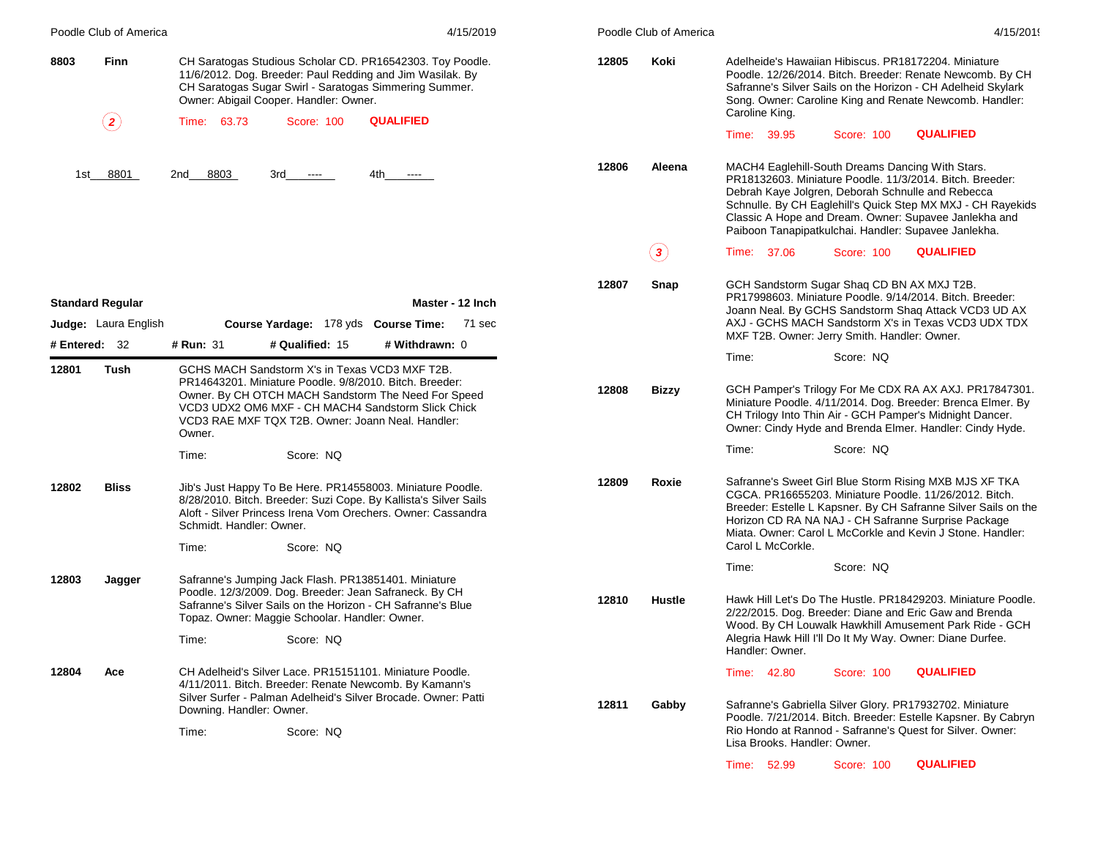| Poodle Club of America  |                                                                                                                                                                                                                                                                                                        | 4/15/2019                                                                                                                                                                                                                                        |       | Poodle Club of America | 4/15/2019                                                                                                                                                                                                                                                                                                                                         |                  |  |
|-------------------------|--------------------------------------------------------------------------------------------------------------------------------------------------------------------------------------------------------------------------------------------------------------------------------------------------------|--------------------------------------------------------------------------------------------------------------------------------------------------------------------------------------------------------------------------------------------------|-------|------------------------|---------------------------------------------------------------------------------------------------------------------------------------------------------------------------------------------------------------------------------------------------------------------------------------------------------------------------------------------------|------------------|--|
| 8803<br>Finn            |                                                                                                                                                                                                                                                                                                        | CH Saratogas Studious Scholar CD. PR16542303. Toy Poodle.<br>11/6/2012. Dog. Breeder: Paul Redding and Jim Wasilak. By<br>CH Saratogas Sugar Swirl - Saratogas Simmering Summer.<br>Owner: Abigail Cooper. Handler: Owner.                       | 12805 | Koki                   | Adelheide's Hawaiian Hibiscus. PR18172204. Miniature<br>Poodle. 12/26/2014. Bitch. Breeder: Renate Newcomb. By CH<br>Safranne's Silver Sails on the Horizon - CH Adelheid Skylark<br>Song. Owner: Caroline King and Renate Newcomb. Handler:<br>Caroline King.                                                                                    |                  |  |
|                         | $\bf (2)$                                                                                                                                                                                                                                                                                              | <b>QUALIFIED</b><br>63.73<br>Score: 100<br>Time:                                                                                                                                                                                                 |       |                        | Time: 39.95<br>Score: 100                                                                                                                                                                                                                                                                                                                         | <b>QUALIFIED</b> |  |
|                         |                                                                                                                                                                                                                                                                                                        |                                                                                                                                                                                                                                                  |       |                        |                                                                                                                                                                                                                                                                                                                                                   |                  |  |
|                         | 1st 8801                                                                                                                                                                                                                                                                                               | 2nd 8803<br>3rd<br>4th<br>$\sim$ $\sim$<br>$\cdots$                                                                                                                                                                                              | 12806 | Aleena                 | MACH4 Eaglehill-South Dreams Dancing With Stars.<br>PR18132603. Miniature Poodle. 11/3/2014. Bitch. Breeder:<br>Debrah Kaye Jolgren, Deborah Schnulle and Rebecca<br>Schnulle. By CH Eaglehill's Quick Step MX MXJ - CH Rayekids<br>Classic A Hope and Dream. Owner: Supavee Janlekha and<br>Paiboon Tanapipatkulchai. Handler: Supavee Janlekha. |                  |  |
|                         |                                                                                                                                                                                                                                                                                                        |                                                                                                                                                                                                                                                  |       | $\bf(3)$               | Time: 37.06<br>Score: 100                                                                                                                                                                                                                                                                                                                         | <b>QUALIFIED</b> |  |
| <b>Standard Regular</b> |                                                                                                                                                                                                                                                                                                        | Master - 12 Inch                                                                                                                                                                                                                                 | 12807 | Snap                   | GCH Sandstorm Sugar Shaq CD BN AX MXJ T2B.<br>PR17998603. Miniature Poodle. 9/14/2014. Bitch. Breeder:<br>Joann Neal. By GCHS Sandstorm Shaq Attack VCD3 UD AX                                                                                                                                                                                    |                  |  |
| # Entered: 32           | <b>Judge:</b> Laura English                                                                                                                                                                                                                                                                            | Course Yardage: 178 yds Course Time: 71 sec<br># Qualified: 15<br># Withdrawn: 0<br># Run: 31                                                                                                                                                    |       |                        | AXJ - GCHS MACH Sandstorm X's in Texas VCD3 UDX TDX<br>MXF T2B. Owner: Jerry Smith. Handler: Owner.                                                                                                                                                                                                                                               |                  |  |
|                         |                                                                                                                                                                                                                                                                                                        |                                                                                                                                                                                                                                                  |       |                        | Time:<br>Score: NQ                                                                                                                                                                                                                                                                                                                                |                  |  |
|                         | 12801<br>GCHS MACH Sandstorm X's in Texas VCD3 MXF T2B.<br>Tush<br>PR14643201. Miniature Poodle. 9/8/2010. Bitch. Breeder:<br>Owner. By CH OTCH MACH Sandstorm The Need For Speed<br>VCD3 UDX2 OM6 MXF - CH MACH4 Sandstorm Slick Chick<br>VCD3 RAE MXF TQX T2B. Owner: Joann Neal. Handler:<br>Owner. |                                                                                                                                                                                                                                                  | 12808 | <b>Bizzy</b>           | GCH Pamper's Trilogy For Me CDX RA AX AXJ. PR17847301.<br>Miniature Poodle. 4/11/2014. Dog. Breeder: Brenca Elmer. By<br>CH Trilogy Into Thin Air - GCH Pamper's Midnight Dancer.<br>Owner: Cindy Hyde and Brenda Elmer. Handler: Cindy Hyde.                                                                                                     |                  |  |
|                         |                                                                                                                                                                                                                                                                                                        | Time:<br>Score: NQ                                                                                                                                                                                                                               |       |                        | Time:<br>Score: NQ                                                                                                                                                                                                                                                                                                                                |                  |  |
| 12802                   | <b>Bliss</b>                                                                                                                                                                                                                                                                                           | Jib's Just Happy To Be Here. PR14558003. Miniature Poodle.<br>8/28/2010. Bitch. Breeder: Suzi Cope. By Kallista's Silver Sails<br>Aloft - Silver Princess Irena Vom Orechers. Owner: Cassandra<br>Schmidt, Handler: Owner.<br>Time:<br>Score: NQ | 12809 | Roxie                  | Safranne's Sweet Girl Blue Storm Rising MXB MJS XF TKA<br>CGCA. PR16655203. Miniature Poodle. 11/26/2012. Bitch.<br>Breeder: Estelle L Kapsner. By CH Safranne Silver Sails on the<br>Horizon CD RA NA NAJ - CH Safranne Surprise Package<br>Miata. Owner: Carol L McCorkle and Kevin J Stone. Handler:<br>Carol L McCorkle.                      |                  |  |
|                         |                                                                                                                                                                                                                                                                                                        |                                                                                                                                                                                                                                                  |       |                        | Score: NQ<br>Time:                                                                                                                                                                                                                                                                                                                                |                  |  |
| 12803                   | Jagger                                                                                                                                                                                                                                                                                                 | Safranne's Jumping Jack Flash. PR13851401. Miniature<br>Poodle. 12/3/2009. Dog. Breeder: Jean Safraneck. By CH<br>Safranne's Silver Sails on the Horizon - CH Safranne's Blue<br>Topaz. Owner: Maggie Schoolar. Handler: Owner.                  | 12810 | <b>Hustle</b>          | Hawk Hill Let's Do The Hustle. PR18429203. Miniature Poodle.<br>2/22/2015. Dog. Breeder: Diane and Eric Gaw and Brenda<br>Wood. By CH Louwalk Hawkhill Amusement Park Ride - GCH                                                                                                                                                                  |                  |  |
|                         |                                                                                                                                                                                                                                                                                                        | Time:<br>Score: NQ                                                                                                                                                                                                                               |       |                        | Alegria Hawk Hill I'll Do It My Way. Owner: Diane Durfee.<br>Handler: Owner.                                                                                                                                                                                                                                                                      |                  |  |
| 12804                   | Ace                                                                                                                                                                                                                                                                                                    | CH Adelheid's Silver Lace, PR15151101, Miniature Poodle.<br>4/11/2011. Bitch. Breeder: Renate Newcomb. By Kamann's<br>Silver Surfer - Palman Adelheid's Silver Brocade. Owner: Patti<br>Downing. Handler: Owner.                                 | 12811 | Gabby                  | Time: 42.80<br>Score: 100<br>Safranne's Gabriella Silver Glory. PR17932702. Miniature                                                                                                                                                                                                                                                             | <b>QUALIFIED</b> |  |
|                         |                                                                                                                                                                                                                                                                                                        | Time:<br>Score: NQ                                                                                                                                                                                                                               |       |                        | Poodle. 7/21/2014. Bitch. Breeder: Estelle Kapsner. By Cabryn<br>Rio Hondo at Rannod - Safranne's Quest for Silver. Owner:<br>Lisa Brooks, Handler: Owner.                                                                                                                                                                                        |                  |  |
|                         |                                                                                                                                                                                                                                                                                                        |                                                                                                                                                                                                                                                  |       |                        | Time: 52.99<br><b>Score: 100</b>                                                                                                                                                                                                                                                                                                                  | <b>QUALIFIED</b> |  |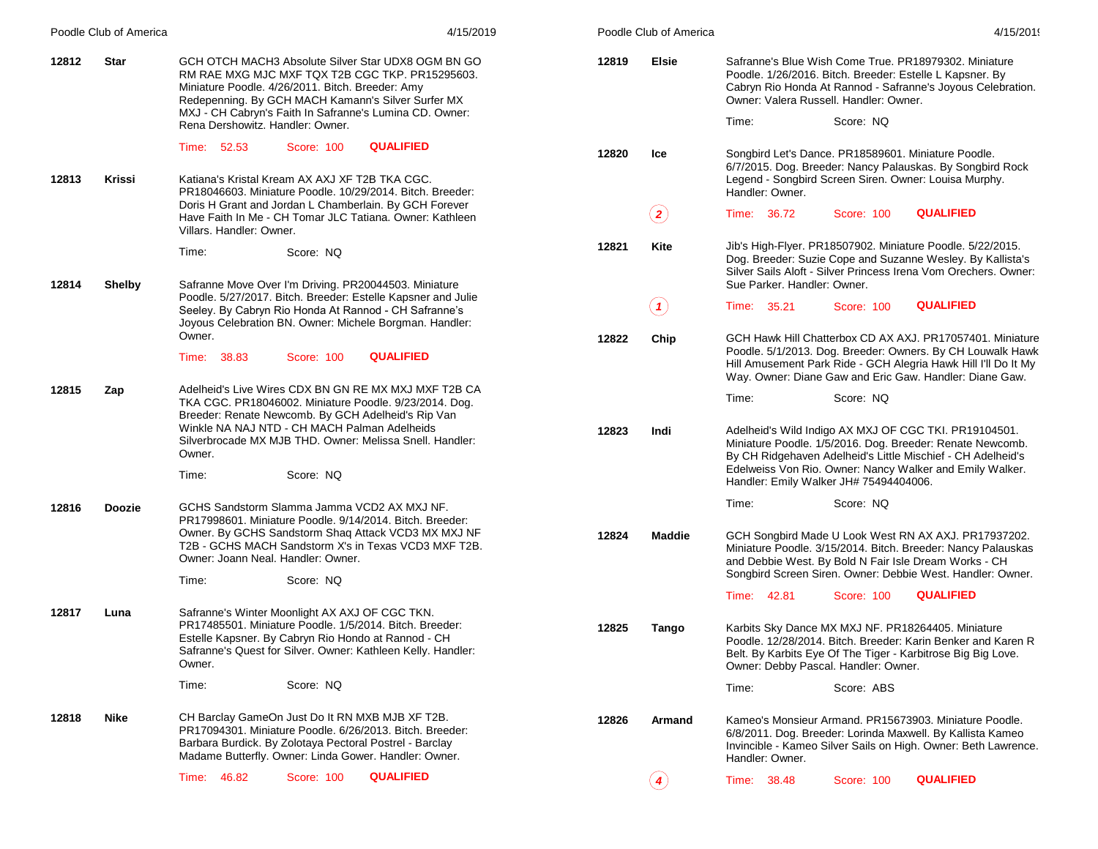| Poodle Club of America | 4/15/2019                                                                                                                                                                                                                                                                                                      |       | Poodle Club of America | 4/15/2019                                                                                                                                                                                                                                            |
|------------------------|----------------------------------------------------------------------------------------------------------------------------------------------------------------------------------------------------------------------------------------------------------------------------------------------------------------|-------|------------------------|------------------------------------------------------------------------------------------------------------------------------------------------------------------------------------------------------------------------------------------------------|
| 12812<br><b>Star</b>   | GCH OTCH MACH3 Absolute Silver Star UDX8 OGM BN GO<br>RM RAE MXG MJC MXF TQX T2B CGC TKP. PR15295603.<br>Miniature Poodle. 4/26/2011. Bitch. Breeder: Amy<br>Redepenning. By GCH MACH Kamann's Silver Surfer MX<br>MXJ - CH Cabryn's Faith In Safranne's Lumina CD. Owner:<br>Rena Dershowitz. Handler: Owner. | 12819 | <b>Elsie</b>           | Safranne's Blue Wish Come True. PR18979302. Miniature<br>Poodle. 1/26/2016. Bitch. Breeder: Estelle L Kapsner. By<br>Cabryn Rio Honda At Rannod - Safranne's Joyous Celebration.<br>Owner: Valera Russell. Handler: Owner.<br>Score: NO<br>Time:     |
| 12813<br>Krissi        | <b>QUALIFIED</b><br>Time: 52.53<br><b>Score: 100</b><br>Katiana's Kristal Kream AX AXJ XF T2B TKA CGC.<br>PR18046603. Miniature Poodle. 10/29/2014. Bitch. Breeder:                                                                                                                                            | 12820 | Ice                    | Songbird Let's Dance. PR18589601. Miniature Poodle.<br>6/7/2015. Dog. Breeder: Nancy Palauskas. By Songbird Rock<br>Legend - Songbird Screen Siren. Owner: Louisa Murphy.<br>Handler: Owner.                                                         |
|                        | Doris H Grant and Jordan L Chamberlain. By GCH Forever<br>Have Faith In Me - CH Tomar JLC Tatiana. Owner: Kathleen<br>Villars, Handler: Owner,                                                                                                                                                                 |       | $\bf(2)$               | <b>QUALIFIED</b><br>Time: 36.72<br>Score: 100                                                                                                                                                                                                        |
|                        | Score: NQ<br>Time:                                                                                                                                                                                                                                                                                             | 12821 | Kite                   | Jib's High-Flyer. PR18507902. Miniature Poodle. 5/22/2015.<br>Dog. Breeder: Suzie Cope and Suzanne Wesley. By Kallista's<br>Silver Sails Aloft - Silver Princess Irena Vom Orechers. Owner:                                                          |
| 12814<br><b>Shelby</b> | Safranne Move Over I'm Driving. PR20044503. Miniature<br>Poodle. 5/27/2017. Bitch. Breeder: Estelle Kapsner and Julie<br>Seeley. By Cabryn Rio Honda At Rannod - CH Safranne's<br>Joyous Celebration BN. Owner: Michele Borgman. Handler:                                                                      |       | $( \, {\bf 1})$        | Sue Parker. Handler: Owner.<br><b>QUALIFIED</b><br>Time: 35.21<br>Score: 100                                                                                                                                                                         |
|                        | Owner.<br><b>QUALIFIED</b><br>Time: 38.83<br>Score: 100                                                                                                                                                                                                                                                        | 12822 | Chip                   | GCH Hawk Hill Chatterbox CD AX AXJ, PR17057401, Miniature<br>Poodle. 5/1/2013. Dog. Breeder: Owners. By CH Louwalk Hawk<br>Hill Amusement Park Ride - GCH Alegria Hawk Hill I'll Do It My<br>Way. Owner: Diane Gaw and Eric Gaw. Handler: Diane Gaw. |
| 12815<br>Zap           | Adelheid's Live Wires CDX BN GN RE MX MXJ MXF T2B CA<br>TKA CGC. PR18046002. Miniature Poodle. 9/23/2014. Dog.<br>Breeder: Renate Newcomb. By GCH Adelheid's Rip Van<br>Winkle NA NAJ NTD - CH MACH Palman Adelheids<br>Silverbrocade MX MJB THD. Owner: Melissa Snell. Handler:                               | 12823 | Indi                   | Score: NQ<br>Time:<br>Adelheid's Wild Indigo AX MXJ OF CGC TKI. PR19104501.<br>Miniature Poodle. 1/5/2016. Dog. Breeder: Renate Newcomb.                                                                                                             |
|                        | Owner.<br>Score: NQ<br>Time:                                                                                                                                                                                                                                                                                   |       |                        | By CH Ridgehaven Adelheid's Little Mischief - CH Adelheid's<br>Edelweiss Von Rio. Owner: Nancy Walker and Emily Walker.<br>Handler: Emily Walker JH# 75494404006.                                                                                    |
| 12816<br><b>Doozie</b> | GCHS Sandstorm Slamma Jamma VCD2 AX MXJ NF.<br>PR17998601. Miniature Poodle. 9/14/2014. Bitch. Breeder:<br>Owner. By GCHS Sandstorm Shaq Attack VCD3 MX MXJ NF<br>T2B - GCHS MACH Sandstorm X's in Texas VCD3 MXF T2B.<br>Owner: Joann Neal, Handler: Owner.                                                   | 12824 | Maddie                 | Score: NQ<br>Time:<br>GCH Songbird Made U Look West RN AX AXJ. PR17937202.<br>Miniature Poodle. 3/15/2014. Bitch. Breeder: Nancy Palauskas<br>and Debbie West. By Bold N Fair Isle Dream Works - CH                                                  |
|                        | Score: NQ<br>Time:                                                                                                                                                                                                                                                                                             |       |                        | Songbird Screen Siren. Owner: Debbie West. Handler: Owner.<br><b>QUALIFIED</b><br>Time: 42.81<br>Score: 100                                                                                                                                          |
| 12817<br>Luna          | Safranne's Winter Moonlight AX AXJ OF CGC TKN.<br>PR17485501. Miniature Poodle. 1/5/2014. Bitch. Breeder:<br>Estelle Kapsner. By Cabryn Rio Hondo at Rannod - CH<br>Safranne's Quest for Silver. Owner: Kathleen Kelly. Handler:<br>Owner.                                                                     | 12825 | Tango                  | Karbits Sky Dance MX MXJ NF. PR18264405. Miniature<br>Poodle. 12/28/2014. Bitch. Breeder: Karin Benker and Karen R<br>Belt. By Karbits Eye Of The Tiger - Karbitrose Big Big Love.<br>Owner: Debby Pascal. Handler: Owner.                           |
|                        | Score: NQ<br>Time:                                                                                                                                                                                                                                                                                             |       |                        | Score: ABS<br>Time:                                                                                                                                                                                                                                  |
| Nike<br>12818          | CH Barclay GameOn Just Do It RN MXB MJB XF T2B.<br>PR17094301. Miniature Poodle, 6/26/2013. Bitch. Breeder:<br>Barbara Burdick. By Zolotaya Pectoral Postrel - Barclay<br>Madame Butterfly. Owner: Linda Gower. Handler: Owner.                                                                                | 12826 | <b>Armand</b>          | Kameo's Monsieur Armand. PR15673903. Miniature Poodle.<br>6/8/2011. Dog. Breeder: Lorinda Maxwell. By Kallista Kameo<br>Invincible - Kameo Silver Sails on High. Owner: Beth Lawrence.<br>Handler: Owner.                                            |
|                        | <b>QUALIFIED</b><br>Time: 46.82<br>Score: 100                                                                                                                                                                                                                                                                  |       | $\left( 4\right)$      | <b>QUALIFIED</b><br>Time: 38.48<br>Score: 100                                                                                                                                                                                                        |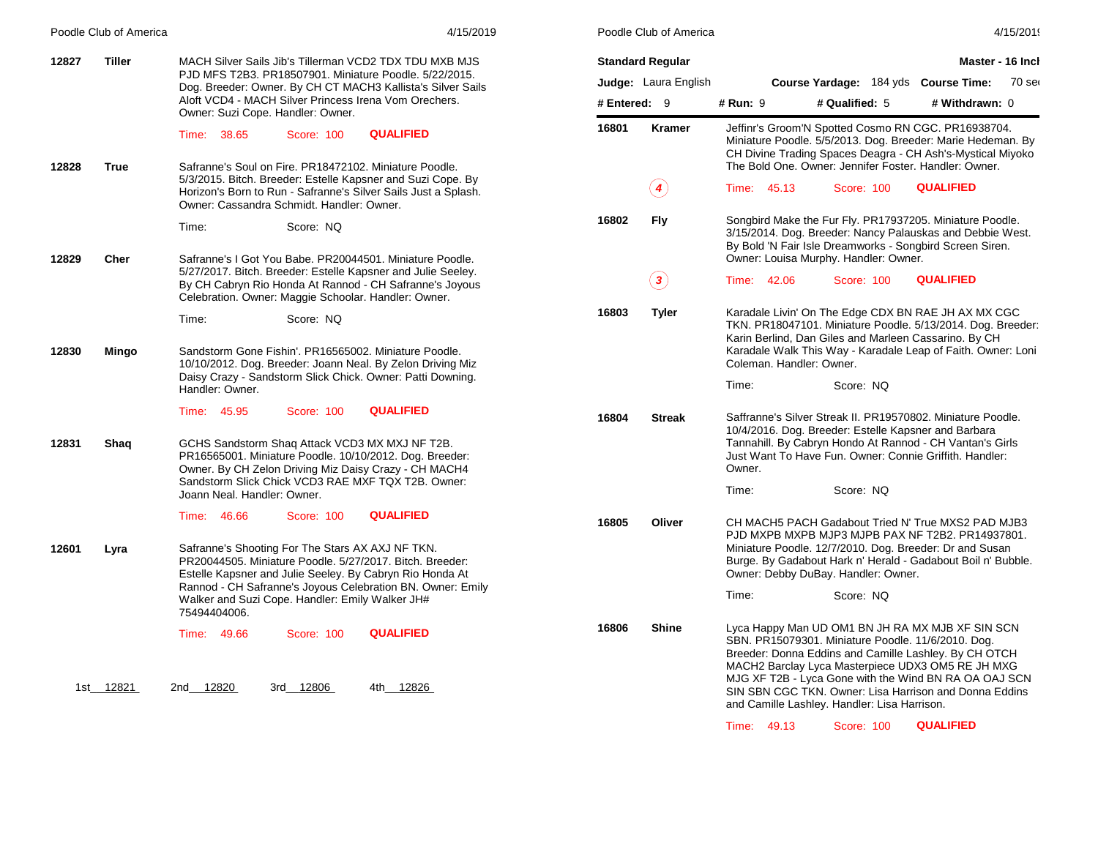|       | Poodle Club of America | 4/15/2019                                                                                                                                                                                                                                   |                        | Poodle Club of America                       |                                                                                                                                                                |                                                                                                                                                                                                                                           |                  | 4/15/2019        |
|-------|------------------------|---------------------------------------------------------------------------------------------------------------------------------------------------------------------------------------------------------------------------------------------|------------------------|----------------------------------------------|----------------------------------------------------------------------------------------------------------------------------------------------------------------|-------------------------------------------------------------------------------------------------------------------------------------------------------------------------------------------------------------------------------------------|------------------|------------------|
| 12827 | Tiller                 | MACH Silver Sails Jib's Tillerman VCD2 TDX TDU MXB MJS                                                                                                                                                                                      |                        | <b>Standard Regular</b>                      |                                                                                                                                                                |                                                                                                                                                                                                                                           |                  | Master - 16 Inch |
|       |                        | PJD MFS T2B3. PR18507901. Miniature Poodle. 5/22/2015.<br>Dog. Breeder: Owner. By CH CT MACH3 Kallista's Silver Sails                                                                                                                       |                        | Judge: Laura English                         |                                                                                                                                                                | Course Yardage: 184 yds Course Time:                                                                                                                                                                                                      |                  | 70 ser           |
|       |                        | Aloft VCD4 - MACH Silver Princess Irena Vom Orechers.<br>Owner: Suzi Cope. Handler: Owner.                                                                                                                                                  | # Entered: 9           |                                              | <b># Run: 9</b>                                                                                                                                                | # Qualified: 5                                                                                                                                                                                                                            | # Withdrawn: 0   |                  |
| 12828 | <b>True</b>            | <b>QUALIFIED</b><br>Time: 38.65<br>Score: 100<br>Safranne's Soul on Fire, PR18472102, Miniature Poodle.                                                                                                                                     | 16801                  | <b>Kramer</b>                                |                                                                                                                                                                | Jeffinr's Groom'N Spotted Cosmo RN CGC. PR16938704.<br>Miniature Poodle. 5/5/2013. Dog. Breeder: Marie Hedeman. By<br>CH Divine Trading Spaces Deagra - CH Ash's-Mystical Miyoko<br>The Bold One. Owner: Jennifer Foster. Handler: Owner. |                  |                  |
|       |                        | 5/3/2015. Bitch. Breeder: Estelle Kapsner and Suzi Cope. By<br>Horizon's Born to Run - Safranne's Silver Sails Just a Splash.<br>Owner: Cassandra Schmidt. Handler: Owner.                                                                  |                        | $\left( \stackrel{\bullet}{\bullet} \right)$ | Time: 45.13                                                                                                                                                    | Score: 100                                                                                                                                                                                                                                | <b>QUALIFIED</b> |                  |
|       |                        | Score: NQ<br>Time:                                                                                                                                                                                                                          | 16802                  | Fly                                          |                                                                                                                                                                | Songbird Make the Fur Fly. PR17937205. Miniature Poodle.<br>3/15/2014. Dog. Breeder: Nancy Palauskas and Debbie West.<br>By Bold 'N Fair Isle Dreamworks - Songbird Screen Siren.                                                         |                  |                  |
| 12829 | Cher                   | Safranne's I Got You Babe. PR20044501. Miniature Poodle.<br>5/27/2017. Bitch. Breeder: Estelle Kapsner and Julie Seeley.<br>By CH Cabryn Rio Honda At Rannod - CH Safranne's Joyous<br>Celebration. Owner: Maggie Schoolar. Handler: Owner. |                        | $\bf(3)$                                     | Time: 42.06                                                                                                                                                    | Owner: Louisa Murphy. Handler: Owner.<br>Score: 100                                                                                                                                                                                       | <b>QUALIFIED</b> |                  |
|       |                        | Time:<br>Score: NQ                                                                                                                                                                                                                          | 16803                  | <b>Tyler</b>                                 |                                                                                                                                                                | Karadale Livin' On The Edge CDX BN RAE JH AX MX CGC<br>TKN. PR18047101. Miniature Poodle. 5/13/2014. Dog. Breeder:<br>Karin Berlind, Dan Giles and Marleen Cassarino. By CH                                                               |                  |                  |
| 12830 | Mingo                  | Sandstorm Gone Fishin'. PR16565002. Miniature Poodle.<br>10/10/2012. Dog. Breeder: Joann Neal. By Zelon Driving Miz<br>Daisy Crazy - Sandstorm Slick Chick. Owner: Patti Downing.<br>Handler: Owner.                                        |                        |                                              | Coleman. Handler: Owner.<br>Time:                                                                                                                              | Karadale Walk This Way - Karadale Leap of Faith. Owner: Loni<br>Score: NQ                                                                                                                                                                 |                  |                  |
|       |                        | <b>QUALIFIED</b><br>Time: 45.95<br>Score: 100                                                                                                                                                                                               | 16804<br><b>Streak</b> |                                              | Saffranne's Silver Streak II. PR19570802. Miniature Poodle.<br>10/4/2016. Dog. Breeder: Estelle Kapsner and Barbara                                            |                                                                                                                                                                                                                                           |                  |                  |
| 12831 | Shaq                   | GCHS Sandstorm Shaq Attack VCD3 MX MXJ NF T2B.<br>PR16565001. Miniature Poodle. 10/10/2012. Dog. Breeder:<br>Owner. By CH Zelon Driving Miz Daisy Crazy - CH MACH4                                                                          |                        |                                              | Owner.                                                                                                                                                         | Tannahill. By Cabryn Hondo At Rannod - CH Vantan's Girls<br>Just Want To Have Fun. Owner: Connie Griffith. Handler:                                                                                                                       |                  |                  |
|       |                        | Sandstorm Slick Chick VCD3 RAE MXF TQX T2B. Owner:<br>Joann Neal, Handler: Owner.                                                                                                                                                           |                        |                                              | Time:                                                                                                                                                          | Score: NQ                                                                                                                                                                                                                                 |                  |                  |
|       |                        | <b>QUALIFIED</b><br>Time: 46.66<br>Score: 100                                                                                                                                                                                               | 16805                  | Oliver                                       |                                                                                                                                                                | CH MACH5 PACH Gadabout Tried N' True MXS2 PAD MJB3<br>PJD MXPB MXPB MJP3 MJPB PAX NF T2B2. PR14937801.                                                                                                                                    |                  |                  |
| 12601 | Lyra                   | Safranne's Shooting For The Stars AX AXJ NF TKN.<br>PR20044505. Miniature Poodle. 5/27/2017. Bitch. Breeder:<br>Estelle Kapsner and Julie Seeley. By Cabryn Rio Honda At                                                                    |                        |                                              | Miniature Poodle. 12/7/2010. Dog. Breeder: Dr and Susan<br>Burge. By Gadabout Hark n' Herald - Gadabout Boil n' Bubble.<br>Owner: Debby DuBay. Handler: Owner. |                                                                                                                                                                                                                                           |                  |                  |
|       |                        | Rannod - CH Safranne's Joyous Celebration BN. Owner: Emily<br>Walker and Suzi Cope. Handler: Emily Walker JH#<br>75494404006.                                                                                                               |                        |                                              | Time:                                                                                                                                                          | Score: NQ                                                                                                                                                                                                                                 |                  |                  |
|       |                        | <b>QUALIFIED</b><br>Time: 49.66<br>Score: 100                                                                                                                                                                                               | 16806                  | <b>Shine</b>                                 |                                                                                                                                                                | Lyca Happy Man UD OM1 BN JH RA MX MJB XF SIN SCN<br>SBN. PR15079301. Miniature Poodle. 11/6/2010. Dog.<br>Breeder: Donna Eddins and Camille Lashley. By CH OTCH<br>MACH2 Barclay Lyca Masterpiece UDX3 OM5 RE JH MXG                      |                  |                  |
|       | 1st 12821              | 2nd 12820<br>3rd 12806<br>4th 12826                                                                                                                                                                                                         |                        |                                              |                                                                                                                                                                | MJG XF T2B - Lyca Gone with the Wind BN RA OA OAJ SCN<br>SIN SBN CGC TKN. Owner: Lisa Harrison and Donna Eddins<br>and Camille Lashley. Handler: Lisa Harrison.                                                                           |                  |                  |

Time: 49.13 Score: 100 **QUALIFIED**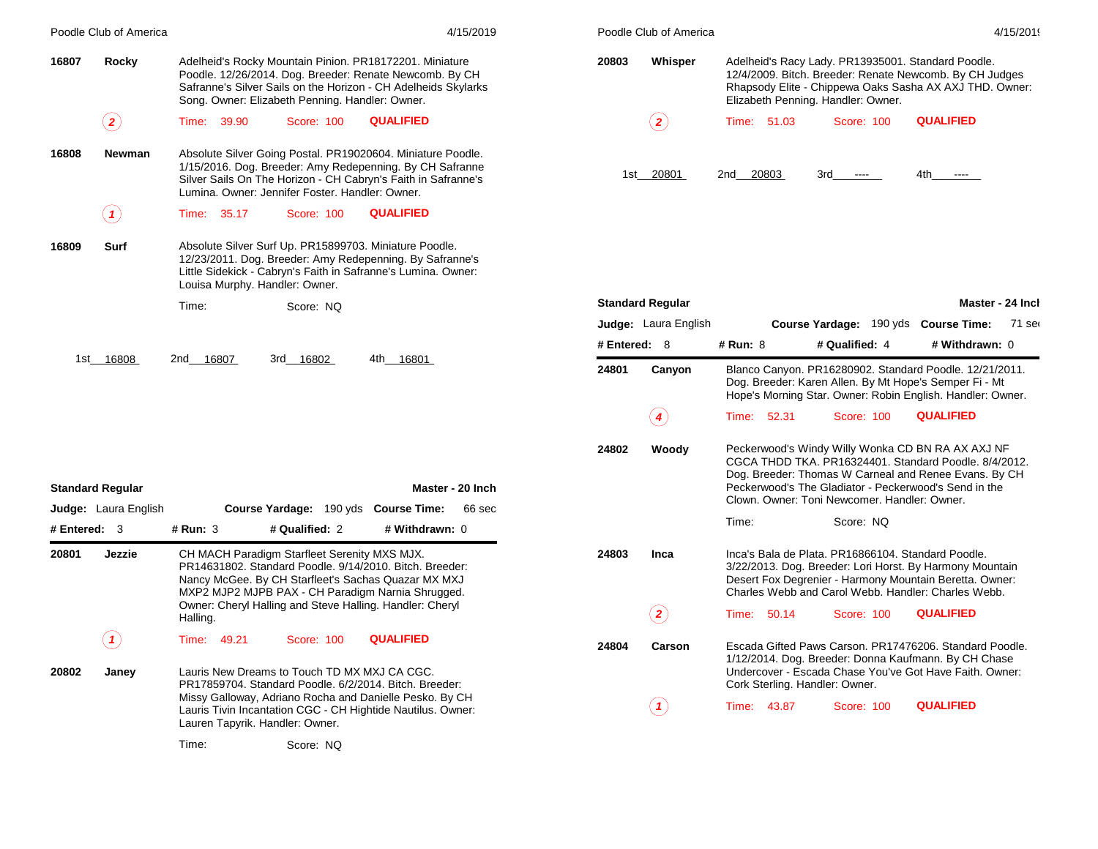|              | Poodle Club of America     |                                 |                                                        | 4/15/2019                                                                                                                                                                                |              | Poodle Club of America      |                                |                                                                                          |                                                                                                                                                                                                                              | 4/15/2019 |
|--------------|----------------------------|---------------------------------|--------------------------------------------------------|------------------------------------------------------------------------------------------------------------------------------------------------------------------------------------------|--------------|-----------------------------|--------------------------------|------------------------------------------------------------------------------------------|------------------------------------------------------------------------------------------------------------------------------------------------------------------------------------------------------------------------------|-----------|
| 16807        | Rocky                      |                                 | Song. Owner: Elizabeth Penning. Handler: Owner.        | Adelheid's Rocky Mountain Pinion. PR18172201. Miniature<br>Poodle. 12/26/2014. Dog. Breeder: Renate Newcomb. By CH<br>Safranne's Silver Sails on the Horizon - CH Adelheids Skylarks     | 20803        | Whisper                     |                                | Adelheid's Racy Lady. PR13935001. Standard Poodle.<br>Elizabeth Penning. Handler: Owner. | 12/4/2009. Bitch. Breeder: Renate Newcomb. By CH Judges<br>Rhapsody Elite - Chippewa Oaks Sasha AX AXJ THD. Owner:                                                                                                           |           |
|              | $\bf(2)$                   | Time: 39.90                     | Score: 100                                             | <b>QUALIFIED</b>                                                                                                                                                                         |              | $\bf(2)$                    | Time: 51.03                    | Score: 100                                                                               | <b>QUALIFIED</b>                                                                                                                                                                                                             |           |
| 16808        | Newman                     |                                 | Lumina. Owner: Jennifer Foster. Handler: Owner.        | Absolute Silver Going Postal. PR19020604. Miniature Poodle.<br>1/15/2016. Dog. Breeder: Amy Redepenning. By CH Safranne<br>Silver Sails On The Horizon - CH Cabryn's Faith in Safranne's |              | 1st 20801                   | 2nd 20803                      | 3rd<br>$\sim$ $\sim$ $\sim$                                                              | 4th<br>$\cdots$                                                                                                                                                                                                              |           |
|              | $\left( \textbf{1}\right)$ | Time: 35.17                     | Score: 100                                             | <b>QUALIFIED</b>                                                                                                                                                                         |              |                             |                                |                                                                                          |                                                                                                                                                                                                                              |           |
| 16809        | Surf                       | Louisa Murphy. Handler: Owner.  |                                                        | Absolute Silver Surf Up. PR15899703. Miniature Poodle.<br>12/23/2011. Dog. Breeder: Amy Redepenning. By Safranne's<br>Little Sidekick - Cabryn's Faith in Safranne's Lumina. Owner:      |              |                             |                                |                                                                                          |                                                                                                                                                                                                                              |           |
|              |                            | Time:                           | Score: NQ                                              |                                                                                                                                                                                          |              | <b>Standard Regular</b>     |                                |                                                                                          | Master - 24 Inch                                                                                                                                                                                                             |           |
|              |                            |                                 |                                                        |                                                                                                                                                                                          |              | <b>Judge:</b> Laura English |                                | Course Yardage: 190 yds Course Time:                                                     |                                                                                                                                                                                                                              | 71 ser    |
|              |                            |                                 |                                                        |                                                                                                                                                                                          | # Entered: 8 |                             | # Run: 8                       | # Qualified: 4                                                                           | # Withdrawn: 0                                                                                                                                                                                                               |           |
|              | 1st 16808                  | 2nd 16807                       | 3rd 16802                                              | 4th 16801                                                                                                                                                                                | 24801        | Canyon                      |                                |                                                                                          | Blanco Canyon. PR16280902. Standard Poodle. 12/21/2011.<br>Dog. Breeder: Karen Allen. By Mt Hope's Semper Fi - Mt<br>Hope's Morning Star. Owner: Robin English. Handler: Owner.                                              |           |
|              |                            |                                 |                                                        |                                                                                                                                                                                          |              | $\left( \textbf{4}\right)$  | Time: 52.31                    | Score: 100                                                                               | <b>QUALIFIED</b>                                                                                                                                                                                                             |           |
|              |                            |                                 |                                                        |                                                                                                                                                                                          | 24802        | Woody                       |                                |                                                                                          | Peckerwood's Windy Willy Wonka CD BN RA AX AXJ NF<br>CGCA THDD TKA. PR16324401. Standard Poodle. 8/4/2012.<br>Dog. Breeder: Thomas W Carneal and Renee Evans. By CH<br>Peckerwood's The Gladiator - Peckerwood's Send in the |           |
|              | <b>Standard Regular</b>    |                                 |                                                        | Master - 20 Inch                                                                                                                                                                         |              |                             |                                | Clown, Owner: Toni Newcomer, Handler: Owner,                                             |                                                                                                                                                                                                                              |           |
| # Entered: 3 | Judge: Laura English       | $#$ Run: $3$                    | Course Yardage: 190 yds Course Time:<br># Qualified: 2 | 66 sec<br># Withdrawn: 0                                                                                                                                                                 |              |                             | Time:                          | Score: NQ                                                                                |                                                                                                                                                                                                                              |           |
| 20801        | Jezzie                     |                                 | CH MACH Paradigm Starfleet Serenity MXS MJX.           | PR14631802. Standard Poodle. 9/14/2010. Bitch. Breeder:<br>Nancy McGee. By CH Starfleet's Sachas Quazar MX MXJ<br>MXP2 MJP2 MJPB PAX - CH Paradigm Narnia Shrugged.                      | 24803        | Inca                        |                                | Inca's Bala de Plata. PR16866104. Standard Poodle.                                       | 3/22/2013. Dog. Breeder: Lori Horst. By Harmony Mountain<br>Desert Fox Degrenier - Harmony Mountain Beretta. Owner:<br>Charles Webb and Carol Webb. Handler: Charles Webb.                                                   |           |
|              |                            | Halling.                        |                                                        | Owner: Cheryl Halling and Steve Halling. Handler: Cheryl                                                                                                                                 |              | $\bf(2)$                    | Time: 50.14                    | Score: 100                                                                               | <b>QUALIFIED</b>                                                                                                                                                                                                             |           |
|              | (1)                        | Time: 49.21                     | Score: 100                                             | <b>QUALIFIED</b>                                                                                                                                                                         | 24804        | Carson                      |                                |                                                                                          | Escada Gifted Paws Carson. PR17476206. Standard Poodle.<br>1/12/2014. Dog. Breeder: Donna Kaufmann. By CH Chase                                                                                                              |           |
| 20802        | Janey                      |                                 | Lauris New Dreams to Touch TD MX MXJ CA CGC.           | PR17859704. Standard Poodle. 6/2/2014. Bitch. Breeder:                                                                                                                                   |              |                             | Cork Sterling. Handler: Owner. |                                                                                          | Undercover - Escada Chase You've Got Have Faith. Owner:                                                                                                                                                                      |           |
|              |                            | Lauren Tapyrik. Handler: Owner. |                                                        | Missy Galloway, Adriano Rocha and Danielle Pesko. By CH<br>Lauris Tivin Incantation CGC - CH Hightide Nautilus. Owner:                                                                   |              | $\left( \mathbf{1}\right)$  | Time: 43.87                    | Score: 100                                                                               | <b>QUALIFIED</b>                                                                                                                                                                                                             |           |
|              |                            | Time:                           | Score: NQ                                              |                                                                                                                                                                                          |              |                             |                                |                                                                                          |                                                                                                                                                                                                                              |           |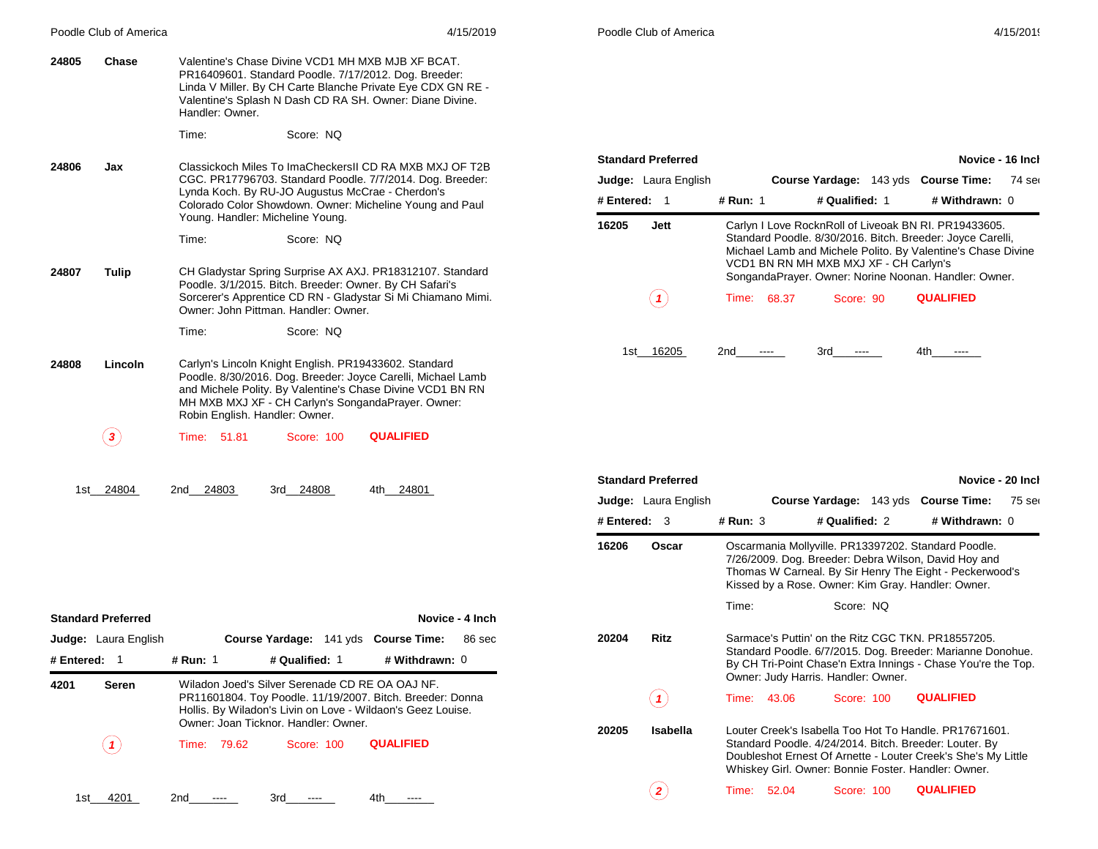|              | Poodle Club of America                                                                                                                                                                                                                                                          |                                                                                                                                                                                                                     |                                      | 4/15/2019                                                                                                                                                                                                                             |                                                          | Poodle Club of America      |                                                                                                                                                                    |                                                                                                                                                                                                                                          |                            | 4/15/2019 |
|--------------|---------------------------------------------------------------------------------------------------------------------------------------------------------------------------------------------------------------------------------------------------------------------------------|---------------------------------------------------------------------------------------------------------------------------------------------------------------------------------------------------------------------|--------------------------------------|---------------------------------------------------------------------------------------------------------------------------------------------------------------------------------------------------------------------------------------|----------------------------------------------------------|-----------------------------|--------------------------------------------------------------------------------------------------------------------------------------------------------------------|------------------------------------------------------------------------------------------------------------------------------------------------------------------------------------------------------------------------------------------|----------------------------|-----------|
| 24805        | Chase                                                                                                                                                                                                                                                                           | Handler: Owner.                                                                                                                                                                                                     |                                      | Valentine's Chase Divine VCD1 MH MXB MJB XF BCAT.<br>PR16409601. Standard Poodle. 7/17/2012. Dog. Breeder:<br>Linda V Miller. By CH Carte Blanche Private Eye CDX GN RE -<br>Valentine's Splash N Dash CD RA SH. Owner: Diane Divine. |                                                          |                             |                                                                                                                                                                    |                                                                                                                                                                                                                                          |                            |           |
|              |                                                                                                                                                                                                                                                                                 | Time:                                                                                                                                                                                                               | Score: NQ                            |                                                                                                                                                                                                                                       |                                                          |                             |                                                                                                                                                                    |                                                                                                                                                                                                                                          |                            |           |
| 24806        | Classickoch Miles To ImaCheckersII CD RA MXB MXJ OF T2B<br>Jax<br>CGC. PR17796703. Standard Poodle. 7/7/2014. Dog. Breeder:<br>Lynda Koch. By RU-JO Augustus McCrae - Cherdon's<br>Colorado Color Showdown. Owner: Micheline Young and Paul<br>Young. Handler: Micheline Young. |                                                                                                                                                                                                                     |                                      | # Entered: 1                                                                                                                                                                                                                          | <b>Standard Preferred</b><br><b>Judge:</b> Laura English | # Run: 1                    | Course Yardage: 143 yds Course Time:<br># Qualified: 1                                                                                                             | # Withdrawn: 0                                                                                                                                                                                                                           | Novice - 16 Inch<br>74 ser |           |
|              |                                                                                                                                                                                                                                                                                 | Time:                                                                                                                                                                                                               | Score: NQ                            |                                                                                                                                                                                                                                       | 16205                                                    | Jett                        |                                                                                                                                                                    | Carlyn I Love RocknRoll of Liveoak BN RI. PR19433605.<br>Standard Poodle. 8/30/2016. Bitch. Breeder: Joyce Carelli,<br>Michael Lamb and Michele Polito. By Valentine's Chase Divine                                                      |                            |           |
| 24807        | Tulip                                                                                                                                                                                                                                                                           | Poodle. 3/1/2015. Bitch. Breeder: Owner. By CH Safari's<br>Owner: John Pittman, Handler: Owner,                                                                                                                     |                                      | CH Gladystar Spring Surprise AX AXJ. PR18312107. Standard<br>Sorcerer's Apprentice CD RN - Gladystar Si Mi Chiamano Mimi.                                                                                                             |                                                          | (1)                         | Time: 68.37                                                                                                                                                        | VCD1 BN RN MH MXB MXJ XF - CH Carlyn's<br>SongandaPrayer. Owner: Norine Noonan. Handler: Owner.<br>Score: 90                                                                                                                             | <b>QUALIFIED</b>           |           |
|              |                                                                                                                                                                                                                                                                                 | Time:                                                                                                                                                                                                               | Score: NQ                            |                                                                                                                                                                                                                                       |                                                          |                             |                                                                                                                                                                    |                                                                                                                                                                                                                                          |                            |           |
| 24808        | <b>Lincoln</b>                                                                                                                                                                                                                                                                  | Carlyn's Lincoln Knight English. PR19433602. Standard<br>Robin English. Handler: Owner.                                                                                                                             |                                      | Poodle. 8/30/2016. Dog. Breeder: Joyce Carelli, Michael Lamb<br>and Michele Polity. By Valentine's Chase Divine VCD1 BN RN<br>MH MXB MXJ XF - CH Carlyn's SongandaPrayer. Owner:                                                      |                                                          | 1st 16205                   | 2nd<br>$\qquad \qquad \cdots$                                                                                                                                      | 3rd<br>$\cdots$                                                                                                                                                                                                                          | 4th<br>----                |           |
|              | $\bf(3)$                                                                                                                                                                                                                                                                        | Time: 51.81                                                                                                                                                                                                         | Score: 100                           | <b>QUALIFIED</b>                                                                                                                                                                                                                      |                                                          |                             |                                                                                                                                                                    |                                                                                                                                                                                                                                          |                            |           |
|              | 1st 24804                                                                                                                                                                                                                                                                       | 2nd 24803<br>3rd 24808<br>4th 24801                                                                                                                                                                                 |                                      |                                                                                                                                                                                                                                       | <b>Standard Preferred</b>                                |                             |                                                                                                                                                                    |                                                                                                                                                                                                                                          | Novice - 20 Inch           |           |
|              |                                                                                                                                                                                                                                                                                 |                                                                                                                                                                                                                     |                                      |                                                                                                                                                                                                                                       |                                                          | <b>Judge:</b> Laura English |                                                                                                                                                                    | Course Yardage: 143 yds Course Time:                                                                                                                                                                                                     |                            | 75 ser    |
|              |                                                                                                                                                                                                                                                                                 |                                                                                                                                                                                                                     |                                      |                                                                                                                                                                                                                                       | # Entered: 3                                             |                             | # Run: 3                                                                                                                                                           | # Qualified: 2                                                                                                                                                                                                                           | # Withdrawn: 0             |           |
|              |                                                                                                                                                                                                                                                                                 |                                                                                                                                                                                                                     |                                      |                                                                                                                                                                                                                                       | 16206                                                    | Oscar                       |                                                                                                                                                                    | Oscarmania Mollyville. PR13397202. Standard Poodle.<br>7/26/2009. Dog. Breeder: Debra Wilson, David Hoy and<br>Thomas W Carneal. By Sir Henry The Eight - Peckerwood's<br>Kissed by a Rose. Owner: Kim Gray. Handler: Owner.             |                            |           |
|              | <b>Standard Preferred</b>                                                                                                                                                                                                                                                       |                                                                                                                                                                                                                     |                                      | Novice - 4 Inch                                                                                                                                                                                                                       |                                                          |                             | Time:                                                                                                                                                              | Score: NQ                                                                                                                                                                                                                                |                            |           |
|              | <b>Judge:</b> Laura English                                                                                                                                                                                                                                                     |                                                                                                                                                                                                                     | Course Yardage: 141 yds Course Time: | 86 sec                                                                                                                                                                                                                                | 20204                                                    | <b>Ritz</b>                 |                                                                                                                                                                    | Sarmace's Puttin' on the Ritz CGC TKN, PR18557205.                                                                                                                                                                                       |                            |           |
| # Entered: 1 |                                                                                                                                                                                                                                                                                 | # Run: 1                                                                                                                                                                                                            | # Withdrawn: 0<br># Qualified: 1     |                                                                                                                                                                                                                                       |                                                          |                             | Standard Poodle. 6/7/2015. Dog. Breeder: Marianne Donohue.<br>By CH Tri-Point Chase'n Extra Innings - Chase You're the Top.<br>Owner: Judy Harris. Handler: Owner. |                                                                                                                                                                                                                                          |                            |           |
| 4201         | Seren                                                                                                                                                                                                                                                                           | Wiladon Joed's Silver Serenade CD RE OA OAJ NF.<br>PR11601804. Toy Poodle. 11/19/2007. Bitch. Breeder: Donna<br>Hollis. By Wiladon's Livin on Love - Wildaon's Geez Louise.<br>Owner: Joan Ticknor. Handler: Owner. |                                      |                                                                                                                                                                                                                                       | $\left( \textbf{1}\right)$                               | Time: 43.06                 | Score: 100                                                                                                                                                         | <b>QUALIFIED</b>                                                                                                                                                                                                                         |                            |           |
|              | (1)                                                                                                                                                                                                                                                                             | Time: 79.62                                                                                                                                                                                                         | Score: 100                           | <b>QUALIFIED</b>                                                                                                                                                                                                                      | 20205                                                    | Isabella                    |                                                                                                                                                                    | Louter Creek's Isabella Too Hot To Handle. PR17671601.<br>Standard Poodle. 4/24/2014. Bitch. Breeder: Louter. By<br>Doubleshot Ernest Of Arnette - Louter Creek's She's My Little<br>Whiskey Girl. Owner: Bonnie Foster. Handler: Owner. |                            |           |
|              | 1st 4201                                                                                                                                                                                                                                                                        | 2nd<br>$\sim$ $\sim$                                                                                                                                                                                                | 3rd<br>-----                         | 4th<br>$\cdots$                                                                                                                                                                                                                       |                                                          | $\bf(2)$                    | Time: 52.04                                                                                                                                                        | Score: 100                                                                                                                                                                                                                               | <b>QUALIFIED</b>           |           |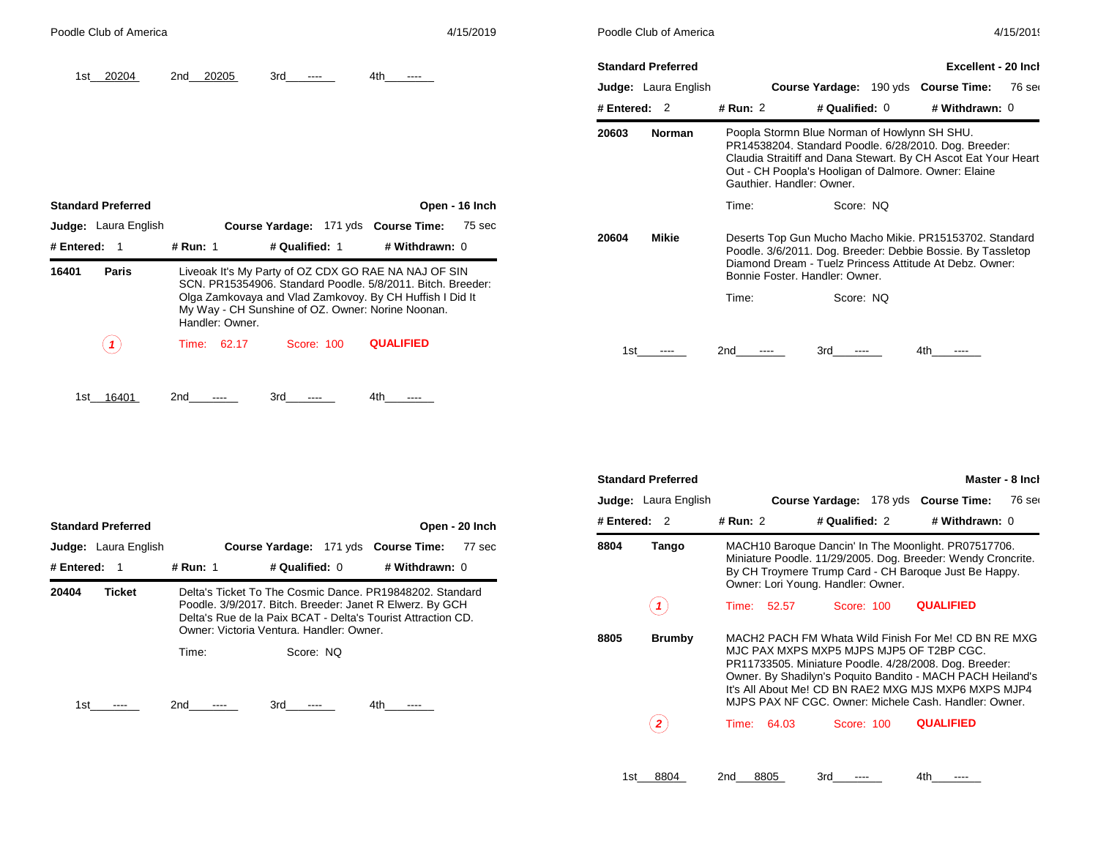| Poodle Club of America             |                |                                                        |                                                                                                                                                                                                                                      | 4/15/2019       |                | Poodle Club of America      |                                         |                                                                                                                                                                                                                                 |                            | 4/15/2019 |
|------------------------------------|----------------|--------------------------------------------------------|--------------------------------------------------------------------------------------------------------------------------------------------------------------------------------------------------------------------------------------|-----------------|----------------|-----------------------------|-----------------------------------------|---------------------------------------------------------------------------------------------------------------------------------------------------------------------------------------------------------------------------------|----------------------------|-----------|
| 20204<br>1st                       | 2nd 20205      | 3rd<br>$---$                                           | 4th<br>$---$                                                                                                                                                                                                                         |                 |                | <b>Standard Preferred</b>   |                                         |                                                                                                                                                                                                                                 | <b>Excellent - 20 Incl</b> |           |
|                                    |                |                                                        |                                                                                                                                                                                                                                      |                 |                | <b>Judge:</b> Laura English |                                         | Course Yardage: 190 yds Course Time:                                                                                                                                                                                            |                            | 76 ser    |
|                                    |                |                                                        |                                                                                                                                                                                                                                      |                 | # Entered: $2$ |                             | # Run: 2                                | # Qualified: 0                                                                                                                                                                                                                  | # Withdrawn: 0             |           |
|                                    |                |                                                        |                                                                                                                                                                                                                                      |                 | 20603          | Norman                      | Gauthier, Handler: Owner.               | Poopla Stormn Blue Norman of Howlynn SH SHU.<br>PR14538204. Standard Poodle. 6/28/2010. Dog. Breeder:<br>Claudia Straitiff and Dana Stewart. By CH Ascot Eat Your Heart<br>Out - CH Poopla's Hooligan of Dalmore. Owner: Elaine |                            |           |
| <b>Standard Preferred</b>          |                |                                                        |                                                                                                                                                                                                                                      | Open - 16 Inch  |                |                             | Time:                                   | Score: NQ                                                                                                                                                                                                                       |                            |           |
| Judge: Laura English<br># Entered: | # Run: 1       | Course Yardage: 171 yds Course Time:<br># Qualified: 1 | # Withdrawn: 0                                                                                                                                                                                                                       | 75 sec<br>20604 |                | <b>Mikie</b>                |                                         | Deserts Top Gun Mucho Macho Mikie. PR15153702. Standard<br>Poodle. 3/6/2011. Dog. Breeder: Debbie Bossie. By Tassletop                                                                                                          |                            |           |
| Paris<br>16401<br>Handler: Owner.  |                |                                                        | Liveoak It's My Party of OZ CDX GO RAE NA NAJ OF SIN<br>SCN, PR15354906, Standard Poodle, 5/8/2011, Bitch, Breeder:<br>Olga Zamkovaya and Vlad Zamkovoy. By CH Huffish I Did It<br>My Way - CH Sunshine of OZ. Owner: Norine Noonan. |                 |                |                             | Bonnie Foster, Handler: Owner.<br>Time: | Diamond Dream - Tuelz Princess Attitude At Debz. Owner:<br>Score: NQ                                                                                                                                                            |                            |           |
| $\mathbf{1}$                       | 62.17<br>Time: | Score: 100                                             | <b>QUALIFIED</b>                                                                                                                                                                                                                     |                 | 1st            |                             | 2nd                                     | 3rd                                                                                                                                                                                                                             | 4th.                       |           |

| # Entered: | <b>Standard Preferred</b><br><b>Judge:</b> Laura English<br>-1 | # Run: 1     | Course Yardage: 171 yds Course Time:<br># Qualified: $0$                                                                                                                                                                         | # Withdrawn: 0 | Open - 20 Inch<br>77 sec |
|------------|----------------------------------------------------------------|--------------|----------------------------------------------------------------------------------------------------------------------------------------------------------------------------------------------------------------------------------|----------------|--------------------------|
| 20404      | <b>Ticket</b>                                                  |              | Delta's Ticket To The Cosmic Dance, PR19848202, Standard<br>Poodle. 3/9/2017. Bitch. Breeder: Janet R Elwerz. By GCH<br>Delta's Rue de la Paix BCAT - Delta's Tourist Attraction CD.<br>Owner: Victoria Ventura, Handler: Owner, |                |                          |
| 1st        |                                                                | Time:<br>2nd | Score: NO<br>3rd                                                                                                                                                                                                                 | 4th            |                          |

1st\_\_\_\_\_\_\_\_ 16401 2nd\_\_\_\_\_\_\_\_ ---- 3rd\_\_\_\_\_\_\_\_ ---- 4th\_\_\_\_\_\_\_\_ ----

|     |                | <b>Standard Preferred</b>   |          |       |                                    |                                                                                                                                                                                                                                                                                                                                           | Master - 8 Inch |
|-----|----------------|-----------------------------|----------|-------|------------------------------------|-------------------------------------------------------------------------------------------------------------------------------------------------------------------------------------------------------------------------------------------------------------------------------------------------------------------------------------------|-----------------|
|     |                | <b>Judge:</b> Laura English |          |       |                                    | Course Yardage: 178 yds Course Time:                                                                                                                                                                                                                                                                                                      | 76 ser          |
| າch | # Entered: $2$ |                             | # Run: 2 |       | # Qualified: 2                     | # Withdrawn: 0                                                                                                                                                                                                                                                                                                                            |                 |
| sec | 8804           | Tango                       |          |       | Owner: Lori Young. Handler: Owner. | MACH10 Baroque Dancin' In The Moonlight. PR07517706.<br>Miniature Poodle. 11/29/2005. Dog. Breeder: Wendy Croncrite.<br>By CH Troymere Trump Card - CH Baroque Just Be Happy.                                                                                                                                                             |                 |
|     |                |                             | Time:    | 52.57 | Score: 100                         | <b>QUALIFIED</b>                                                                                                                                                                                                                                                                                                                          |                 |
|     | 8805           | <b>Brumby</b>               |          |       |                                    | MACH2 PACH FM Whata Wild Finish For Me! CD BN RF MXG<br>MJC PAX MXPS MXP5 MJPS MJP5 OF T2BP CGC.<br>PR11733505. Miniature Poodle. 4/28/2008. Dog. Breeder:<br>Owner. By Shadilyn's Poquito Bandito - MACH PACH Heiland's<br>It's All About Me! CD BN RAE2 MXG MJS MXP6 MXPS MJP4<br>MJPS PAX NF CGC, Owner: Michele Cash, Handler: Owner, |                 |
|     |                |                             | Time:    | 64.03 | Score: 100                         | <b>QUALIFIED</b>                                                                                                                                                                                                                                                                                                                          |                 |
|     | 1st            | 8804                        | 2nd      | 8805  | 3rd                                | 4th                                                                                                                                                                                                                                                                                                                                       |                 |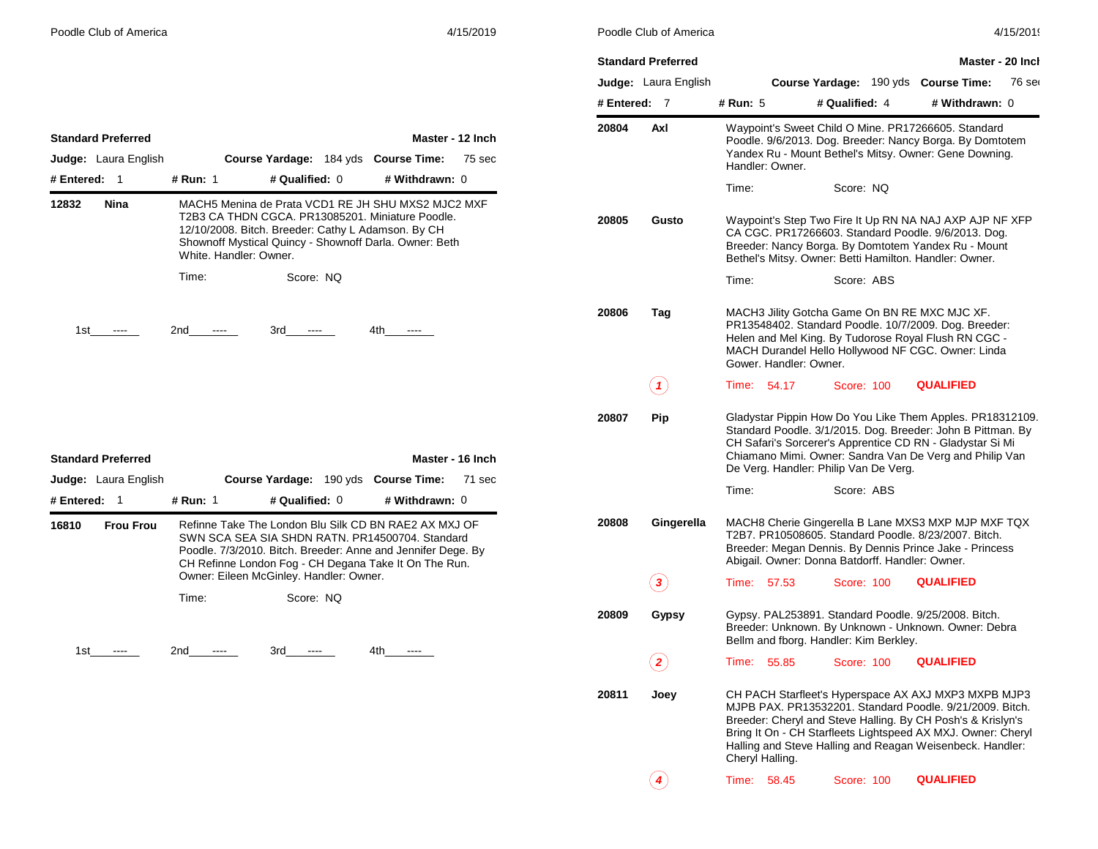|            | <b>Standard Preferred</b>   |                        |                                                        | Master - 20 Inch                                                                                                                                                                                                                                                                                             |
|------------|-----------------------------|------------------------|--------------------------------------------------------|--------------------------------------------------------------------------------------------------------------------------------------------------------------------------------------------------------------------------------------------------------------------------------------------------------------|
|            | <b>Judge:</b> Laura English |                        | <b>Course Yardage: 190 yds</b>                         | <b>Course Time:</b><br>76 ser                                                                                                                                                                                                                                                                                |
| # Entered: | 7                           | # Run: 5               | # Qualified: 4                                         | # Withdrawn: 0                                                                                                                                                                                                                                                                                               |
| 20804      | Axl                         | Handler: Owner.        |                                                        | Waypoint's Sweet Child O Mine. PR17266605. Standard<br>Poodle. 9/6/2013. Dog. Breeder: Nancy Borga. By Domtotem<br>Yandex Ru - Mount Bethel's Mitsy. Owner: Gene Downing.                                                                                                                                    |
|            |                             | Time:                  | Score: NQ                                              |                                                                                                                                                                                                                                                                                                              |
| 20805      | Gusto                       |                        | Bethel's Mitsy. Owner: Betti Hamilton. Handler: Owner. | Waypoint's Step Two Fire It Up RN NA NAJ AXP AJP NF XFP<br>CA CGC. PR17266603. Standard Poodle. 9/6/2013. Dog.<br>Breeder: Nancy Borga. By Domtotem Yandex Ru - Mount                                                                                                                                        |
|            |                             | Time:                  | Score: ABS                                             |                                                                                                                                                                                                                                                                                                              |
| 20806      | Tag                         | Gower, Handler: Owner, | MACH3 Jility Gotcha Game On BN RE MXC MJC XF.          | PR13548402. Standard Poodle. 10/7/2009. Dog. Breeder:<br>Helen and Mel King. By Tudorose Royal Flush RN CGC -<br>MACH Durandel Hello Hollywood NF CGC. Owner: Linda                                                                                                                                          |
|            | 1                           | Time:<br>54.17         | Score: 100                                             | <b>QUALIFIED</b>                                                                                                                                                                                                                                                                                             |
| 20807      | Pip                         |                        | De Verg. Handler: Philip Van De Verg.                  | Gladystar Pippin How Do You Like Them Apples. PR18312109.<br>Standard Poodle. 3/1/2015. Dog. Breeder: John B Pittman. By<br>CH Safari's Sorcerer's Apprentice CD RN - Gladystar Si Mi<br>Chiamano Mimi. Owner: Sandra Van De Verg and Philip Van                                                             |
|            |                             | Time:                  | Score: ABS                                             |                                                                                                                                                                                                                                                                                                              |
| 20808      | Gingerella                  |                        | Abigail. Owner: Donna Batdorff. Handler: Owner.        | MACH8 Cherie Gingerella B Lane MXS3 MXP MJP MXF TQX<br>T2B7. PR10508605. Standard Poodle. 8/23/2007. Bitch.<br>Breeder: Megan Dennis. By Dennis Prince Jake - Princess                                                                                                                                       |
|            |                             | 57.53<br>Time:         | Score: 100                                             | <b>QUALIFIED</b>                                                                                                                                                                                                                                                                                             |
| 20809      | Gypsy                       |                        | Bellm and fborg. Handler: Kim Berkley.                 | Gypsy. PAL253891. Standard Poodle. 9/25/2008. Bitch.<br>Breeder: Unknown. By Unknown - Unknown. Owner: Debra                                                                                                                                                                                                 |
|            | 2                           | Time:<br>55.85         | Score: 100                                             | <b>QUALIFIED</b>                                                                                                                                                                                                                                                                                             |
| 20811      | Joey                        | Cheryl Halling.        |                                                        | CH PACH Starfleet's Hyperspace AX AXJ MXP3 MXPB MJP3<br>MJPB PAX, PR13532201, Standard Poodle, 9/21/2009, Bitch.<br>Breeder: Cheryl and Steve Halling. By CH Posh's & Krislyn's<br>Bring It On - CH Starfleets Lightspeed AX MXJ. Owner: Cheryl<br>Halling and Steve Halling and Reagan Weisenbeck. Handler: |
|            | 4                           | Time:<br>58.45         | Score: 100                                             | <b>QUALIFIED</b>                                                                                                                                                                                                                                                                                             |

|              | <b>Standard Preferred</b> |          |                                         |                | Master - 12 Inch                                                                                                                                                                                                                  |        |
|--------------|---------------------------|----------|-----------------------------------------|----------------|-----------------------------------------------------------------------------------------------------------------------------------------------------------------------------------------------------------------------------------|--------|
|              | Judge: Laura English      |          |                                         |                | Course Yardage: 184 yds Course Time:                                                                                                                                                                                              | 75 sec |
| # Entered: 1 |                           | # Run: 1 |                                         | # Qualified: 0 | # Withdrawn: 0                                                                                                                                                                                                                    |        |
| 12832        | Nina                      |          | White, Handler: Owner.                  |                | MACH5 Menina de Prata VCD1 RE JH SHU MXS2 MJC2 MXF<br>T2B3 CA THDN CGCA. PR13085201. Miniature Poodle.<br>12/10/2008. Bitch. Breeder: Cathy L Adamson. By CH<br>Shownoff Mystical Quincy - Shownoff Darla. Owner: Beth            |        |
|              |                           | Time:    |                                         | Score: NO      |                                                                                                                                                                                                                                   |        |
|              | 1st ----                  | 2nd ---- |                                         | $3rd$ ----     | 4th ----                                                                                                                                                                                                                          |        |
|              |                           |          |                                         |                |                                                                                                                                                                                                                                   |        |
|              |                           |          |                                         |                |                                                                                                                                                                                                                                   |        |
|              |                           |          |                                         |                |                                                                                                                                                                                                                                   |        |
|              | <b>Standard Preferred</b> |          |                                         |                | Master - 16 Inch                                                                                                                                                                                                                  |        |
|              | Judge: Laura English      |          |                                         |                | Course Yardage: 190 yds Course Time:                                                                                                                                                                                              | 71 sec |
| # Entered:   | 1                         | # Run: 1 |                                         | # Qualified: 0 | # Withdrawn: 0                                                                                                                                                                                                                    |        |
| 16810        | <b>Frou Frou</b>          |          | Owner: Eileen McGinley. Handler: Owner. |                | Refinne Take The London Blu Silk CD BN RAE2 AX MXJ OF<br>SWN SCA SEA SIA SHDN RATN, PR14500704, Standard<br>Poodle. 7/3/2010. Bitch. Breeder: Anne and Jennifer Dege. By<br>CH Refinne London Fog - CH Degana Take It On The Run. |        |
|              |                           | Time:    |                                         | Score: NO      |                                                                                                                                                                                                                                   |        |
|              | 1st ----                  | 2nd ---- |                                         | $3rd$ ----     | 4th -                                                                                                                                                                                                                             |        |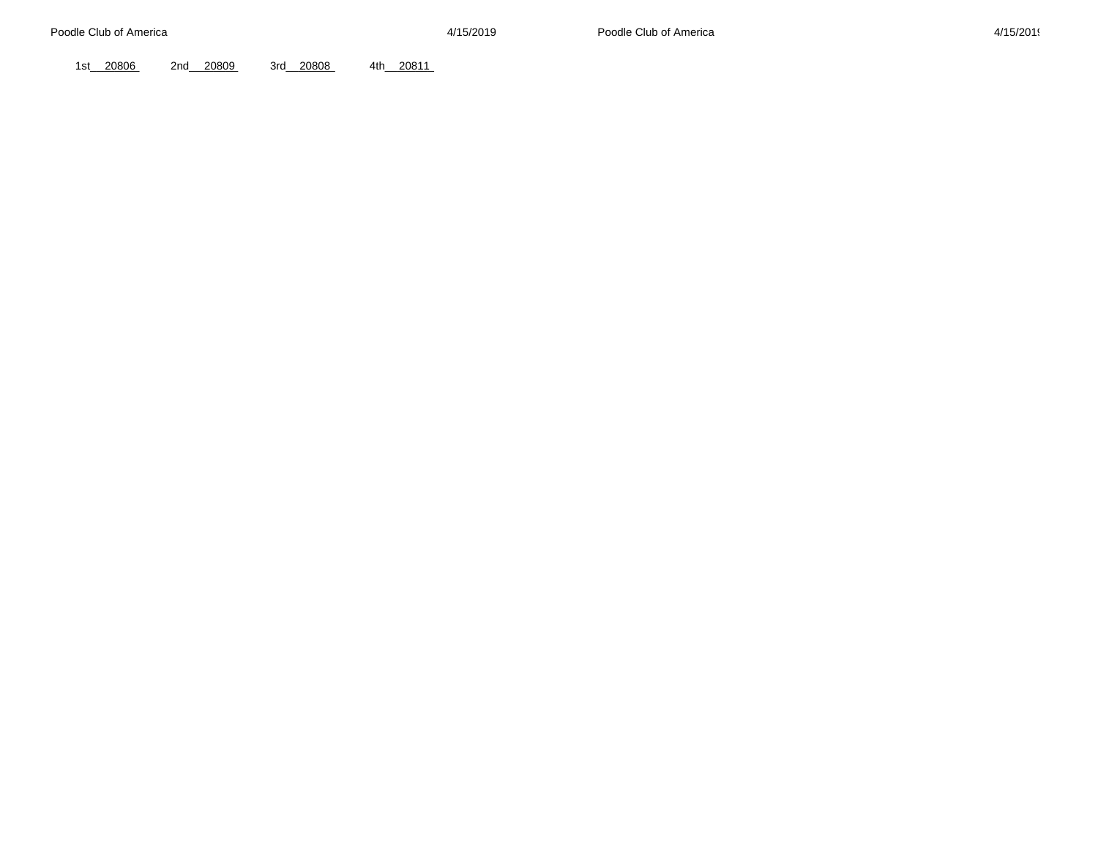1st\_\_\_ 20806 2nd\_\_\_ 20809 3rd\_\_ 20808 4th\_\_ 20811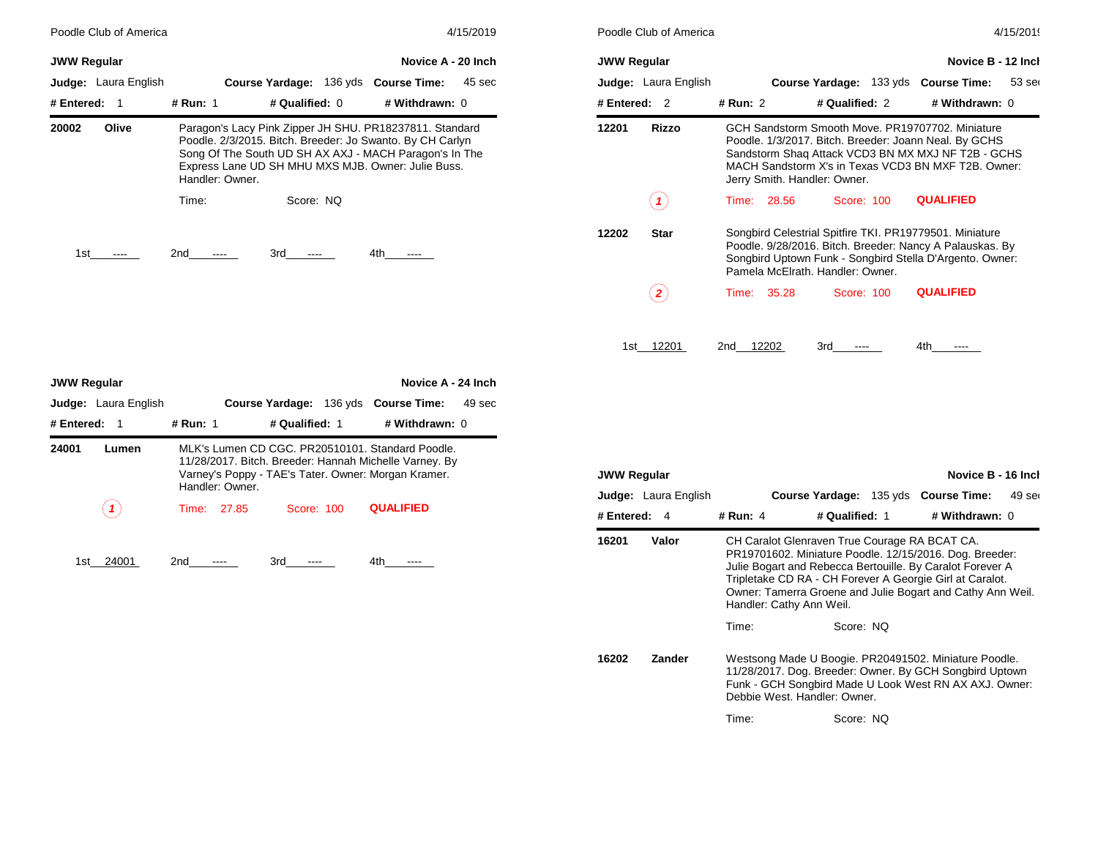| Poodle Club of America | 4/15/2019                                                                                                                                                                                                                                               | Poodle Club of America                                   | 4/15/2019                                                                                                                                                                                                                                              |
|------------------------|---------------------------------------------------------------------------------------------------------------------------------------------------------------------------------------------------------------------------------------------------------|----------------------------------------------------------|--------------------------------------------------------------------------------------------------------------------------------------------------------------------------------------------------------------------------------------------------------|
| <b>JWW Regular</b>     | Novice A - 20 Inch                                                                                                                                                                                                                                      | <b>JWW Regular</b>                                       | Novice B - 12 Incl                                                                                                                                                                                                                                     |
| Judge: Laura English   | Course Yardage: 136 yds Course Time:<br>45 sec                                                                                                                                                                                                          | <b>Judge:</b> Laura English                              | Course Yardage: 133 yds Course Time:<br>$53$ ser                                                                                                                                                                                                       |
| # Entered:<br>- 1      | # Qualified: 0<br># Run: 1<br># Withdrawn: 0                                                                                                                                                                                                            | # Entered: $2$                                           | # Run: 2<br># Qualified: 2<br># Withdrawn: 0                                                                                                                                                                                                           |
| 20002<br>Olive         | Paragon's Lacy Pink Zipper JH SHU. PR18237811. Standard<br>Poodle. 2/3/2015. Bitch. Breeder: Jo Swanto. By CH Carlyn<br>Song Of The South UD SH AX AXJ - MACH Paragon's In The<br>Express Lane UD SH MHU MXS MJB. Owner: Julie Buss.<br>Handler: Owner. | 12201<br>Rizzo                                           | GCH Sandstorm Smooth Move, PR19707702, Miniature<br>Poodle. 1/3/2017. Bitch. Breeder: Joann Neal. By GCHS<br>Sandstorm Shaq Attack VCD3 BN MX MXJ NF T2B - GCHS<br>MACH Sandstorm X's in Texas VCD3 BN MXF T2B, Owner:<br>Jerry Smith. Handler: Owner. |
|                        | Score: NQ<br>Time:                                                                                                                                                                                                                                      | $\left( \begin{array}{c} \textbf{1} \end{array} \right)$ | <b>QUALIFIED</b><br>28.56<br>Score: 100<br>Time:                                                                                                                                                                                                       |
| 1st                    | 2nd<br>3rd<br>4th<br>----<br>----                                                                                                                                                                                                                       | <b>Star</b><br>12202                                     | Songbird Celestrial Spitfire TKI. PR19779501. Miniature<br>Poodle. 9/28/2016. Bitch. Breeder: Nancy A Palauskas. By<br>Songbird Uptown Funk - Songbird Stella D'Argento. Owner:<br>Pamela McFlrath, Handler: Owner,                                    |

|                    | Poodle Club of America<br>4/15/2019 |          |       |                                  |  |                                                                                                                                                                                                                        |                    |
|--------------------|-------------------------------------|----------|-------|----------------------------------|--|------------------------------------------------------------------------------------------------------------------------------------------------------------------------------------------------------------------------|--------------------|
| <b>JWW Regular</b> |                                     |          |       |                                  |  |                                                                                                                                                                                                                        | Novice B - 12 Inch |
|                    | <b>Judge:</b> Laura English         |          |       |                                  |  | <b>Course Yardage: 133 yds Course Time:</b>                                                                                                                                                                            | $53$ ser           |
| # Entered:         | $\mathcal{P}$                       | # Run: 2 |       | # Qualified: 2                   |  | # Withdrawn: 0                                                                                                                                                                                                         |                    |
| 12201              | Rizzo                               |          |       | Jerry Smith. Handler: Owner.     |  | GCH Sandstorm Smooth Move, PR19707702, Miniature<br>Poodle. 1/3/2017. Bitch. Breeder: Joann Neal. By GCHS<br>Sandstorm Shaq Attack VCD3 BN MX MXJ NF T2B - GCHS<br>MACH Sandstorm X's in Texas VCD3 BN MXF T2B, Owner: |                    |
|                    |                                     | Time:    | 28.56 | Score: 100                       |  | <b>QUALIFIED</b>                                                                                                                                                                                                       |                    |
| 12202              | <b>Star</b>                         |          |       | Pamela McFlrath, Handler: Owner, |  | Songbird Celestrial Spitfire TKI. PR19779501. Miniature<br>Poodle. 9/28/2016. Bitch. Breeder: Nancy A Palauskas. By<br>Songbird Uptown Funk - Songbird Stella D'Argento. Owner:                                        |                    |
|                    |                                     | Time:    | 35.28 | Score: 100                       |  | <b>QUALIFIED</b>                                                                                                                                                                                                       |                    |
| 1st                | 12201                               | 2nd      | 12202 | 3rd                              |  | 4th                                                                                                                                                                                                                    |                    |

| <b>JWW Regular</b> |                                                                                                                                                                                               |          |             |                        |  | Novice A - 24 Inch          |        |
|--------------------|-----------------------------------------------------------------------------------------------------------------------------------------------------------------------------------------------|----------|-------------|------------------------|--|-----------------------------|--------|
|                    | Judge: Laura English                                                                                                                                                                          |          |             | <b>Course Yardage:</b> |  | 136 yds <b>Course Time:</b> | 49 sec |
| # Entered:<br>-1   |                                                                                                                                                                                               | # Run: 1 |             | # Qualified: 1         |  | # Withdrawn: 0              |        |
| 24001              | MLK's Lumen CD CGC, PR20510101, Standard Poodle.<br>Lumen<br>11/28/2017. Bitch. Breeder: Hannah Michelle Varney. By<br>Varney's Poppy - TAE's Tater. Owner: Morgan Kramer.<br>Handler: Owner. |          |             |                        |  |                             |        |
|                    |                                                                                                                                                                                               |          | Time: 27.85 | Score: 100             |  | <b>QUALIFIED</b>            |        |
| 1st                | 24001                                                                                                                                                                                         | 2nd      |             | 3rd                    |  | 4th                         |        |

| <b>JWW Regular</b> |                             |                              |                                               | Novice B - 16 Incl                                                                                                                                                                                                                             |
|--------------------|-----------------------------|------------------------------|-----------------------------------------------|------------------------------------------------------------------------------------------------------------------------------------------------------------------------------------------------------------------------------------------------|
|                    | <b>Judge:</b> Laura English |                              | Course Yardage: 135 yds Course Time:          | 49 ser                                                                                                                                                                                                                                         |
| # Entered:         | 4                           | # Run: 4                     | # Qualified: 1                                | # Withdrawn: 0                                                                                                                                                                                                                                 |
| 16201<br>Valor     |                             | Handler: Cathy Ann Weil.     | CH Caralot Glenraven True Courage RA BCAT CA. | PR19701602. Miniature Poodle. 12/15/2016. Dog. Breeder:<br>Julie Bogart and Rebecca Bertouille. By Caralot Forever A<br>Tripletake CD RA - CH Forever A Georgie Girl at Caralot.<br>Owner: Tamerra Groene and Julie Bogart and Cathy Ann Weil. |
|                    |                             | Time:                        | Score: NO                                     |                                                                                                                                                                                                                                                |
| 16202              | Zander                      | Debbie West, Handler: Owner, |                                               | Westsong Made U Boogie. PR20491502. Miniature Poodle.<br>11/28/2017. Dog. Breeder: Owner. By GCH Songbird Uptown<br>Funk - GCH Songbird Made U Look West RN AX AXJ. Owner:                                                                     |
|                    |                             | Time:                        | Score: NO                                     |                                                                                                                                                                                                                                                |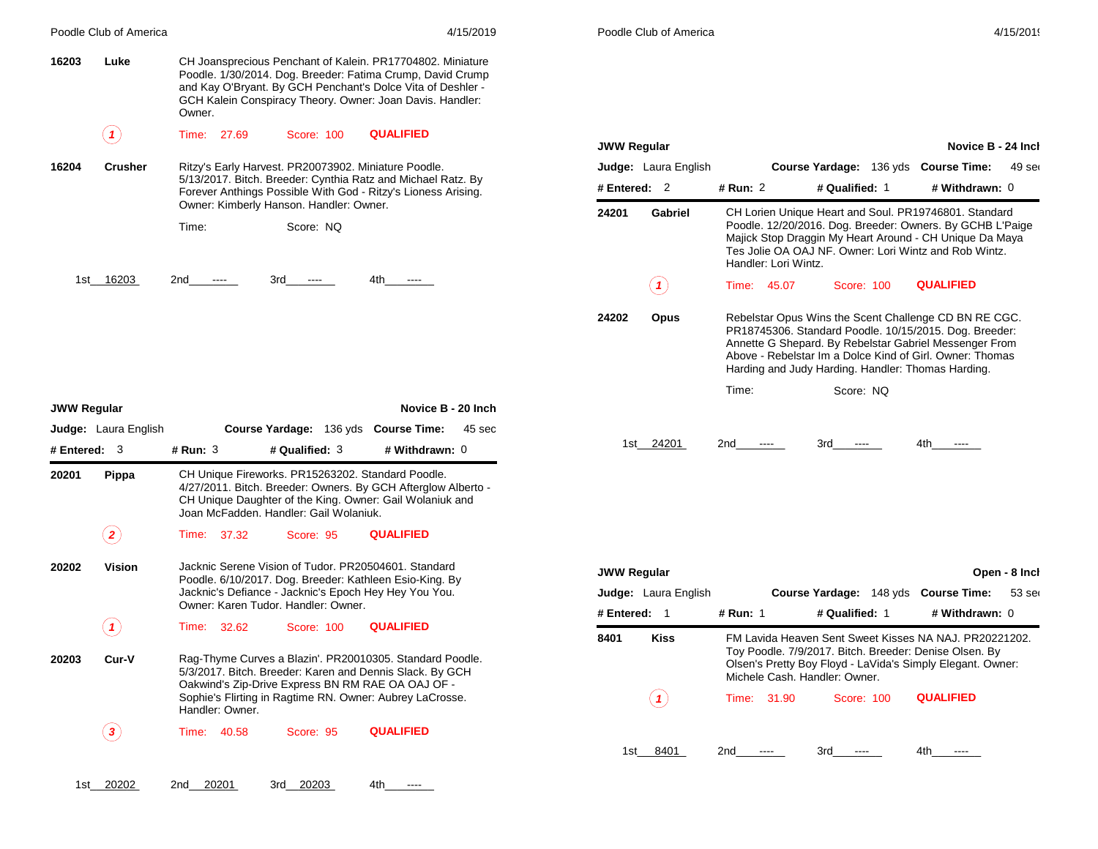|                       |                                      |                                                                                                                                                                                                                                                                                                                           | Poodle Club of America                            |                                                                                                                                                                                                                                                                |
|-----------------------|--------------------------------------|---------------------------------------------------------------------------------------------------------------------------------------------------------------------------------------------------------------------------------------------------------------------------------------------------------------------------|---------------------------------------------------|----------------------------------------------------------------------------------------------------------------------------------------------------------------------------------------------------------------------------------------------------------------|
| 16203                 | Luke                                 | CH Joansprecious Penchant of Kalein. PR17704802. Miniature<br>Poodle. 1/30/2014. Dog. Breeder: Fatima Crump, David Crump<br>and Kay O'Bryant. By GCH Penchant's Dolce Vita of Deshler -<br>GCH Kalein Conspiracy Theory. Owner: Joan Davis. Handler:<br>Owner.                                                            |                                                   |                                                                                                                                                                                                                                                                |
|                       | (1)                                  | <b>QUALIFIED</b><br>Time: 27.69<br>Score: 100                                                                                                                                                                                                                                                                             | <b>JWW Regular</b>                                | Novice B - 24 Incl                                                                                                                                                                                                                                             |
| 16204                 | <b>Crusher</b>                       | Ritzy's Early Harvest. PR20073902. Miniature Poodle.                                                                                                                                                                                                                                                                      | <b>Judge:</b> Laura English                       | Course Yardage: 136 yds Course Time:<br>49 ser                                                                                                                                                                                                                 |
|                       |                                      | 5/13/2017. Bitch. Breeder: Cynthia Ratz and Michael Ratz. By                                                                                                                                                                                                                                                              | # Entered: 2                                      | # Qualified: 1<br># Withdrawn: 0<br># Run: 2                                                                                                                                                                                                                   |
|                       |                                      | Forever Anthings Possible With God - Ritzy's Lioness Arising.<br>Owner: Kimberly Hanson. Handler: Owner.                                                                                                                                                                                                                  |                                                   |                                                                                                                                                                                                                                                                |
|                       |                                      | Score: NQ<br>Time:                                                                                                                                                                                                                                                                                                        | 24201<br>Gabriel                                  | CH Lorien Unique Heart and Soul. PR19746801. Standard<br>Poodle. 12/20/2016. Dog. Breeder: Owners. By GCHB L'Paige<br>Majick Stop Draggin My Heart Around - CH Unique Da Maya<br>Tes Jolie OA OAJ NF. Owner: Lori Wintz and Rob Wintz.<br>Handler: Lori Wintz. |
|                       | 1st 16203                            | 2nd<br>3rd<br>4th<br>$\cdots$<br>$\cdots$<br>$\cdots$                                                                                                                                                                                                                                                                     | $( \mathbf{\ } f )$                               | <b>QUALIFIED</b><br>Time: 45.07<br>Score: 100                                                                                                                                                                                                                  |
|                       |                                      |                                                                                                                                                                                                                                                                                                                           | 24202<br><b>Opus</b>                              | Rebelstar Opus Wins the Scent Challenge CD BN RE CGC.<br>PR18745306. Standard Poodle. 10/15/2015. Dog. Breeder:<br>Annette G Shepard. By Rebelstar Gabriel Messenger From<br>Above - Rebelstar Im a Dolce Kind of Girl, Owner: Thomas                          |
|                       |                                      |                                                                                                                                                                                                                                                                                                                           |                                                   |                                                                                                                                                                                                                                                                |
| <b>JWW Regular</b>    |                                      | Novice B - 20 Inch                                                                                                                                                                                                                                                                                                        |                                                   | Harding and Judy Harding. Handler: Thomas Harding.<br>Time:<br>Score: NQ                                                                                                                                                                                       |
| # Entered: 3<br>20201 | <b>Judge:</b> Laura English<br>Pippa | Course Yardage: 136 yds Course Time: 45 sec<br>$#$ Run: 3<br># Qualified: 3<br># Withdrawn: 0<br>CH Unique Fireworks. PR15263202. Standard Poodle.<br>4/27/2011. Bitch. Breeder: Owners. By GCH Afterglow Alberto -<br>CH Unique Daughter of the King. Owner: Gail Wolaniuk and<br>Joan McFadden. Handler: Gail Wolaniuk. | 1st 24201                                         | 2nd<br>3rd<br>4th<br>$---$<br>$---$<br>$\cdots$                                                                                                                                                                                                                |
|                       | $\bf(2)$                             | <b>QUALIFIED</b><br>Time: 37.32<br>Score: 95                                                                                                                                                                                                                                                                              |                                                   |                                                                                                                                                                                                                                                                |
|                       | Vision                               | Jacknic Serene Vision of Tudor. PR20504601. Standard                                                                                                                                                                                                                                                                      |                                                   |                                                                                                                                                                                                                                                                |
| 20202                 |                                      | Poodle. 6/10/2017. Dog. Breeder: Kathleen Esio-King. By<br>Jacknic's Defiance - Jacknic's Epoch Hey Hey You You.                                                                                                                                                                                                          | <b>JWW Regular</b><br><b>Judge:</b> Laura English | Open - 8 Inch<br>$53$ ser                                                                                                                                                                                                                                      |
|                       |                                      | Owner: Karen Tudor, Handler: Owner,                                                                                                                                                                                                                                                                                       | # Entered: 1                                      | Course Yardage: 148 yds Course Time:<br># Qualified: 1<br># Withdrawn: 0<br># Run: 1                                                                                                                                                                           |
|                       | $\left( \mathbf{1}\right)$           | <b>QUALIFIED</b><br>Time: 32.62<br>Score: 100                                                                                                                                                                                                                                                                             | 8401<br>Kiss                                      | FM Lavida Heaven Sent Sweet Kisses NA NAJ, PR20221202.                                                                                                                                                                                                         |
|                       | Cur-V                                | Rag-Thyme Curves a Blazin'. PR20010305. Standard Poodle.<br>5/3/2017. Bitch. Breeder: Karen and Dennis Slack. By GCH                                                                                                                                                                                                      |                                                   | Toy Poodle. 7/9/2017. Bitch. Breeder: Denise Olsen. By<br>Olsen's Pretty Boy Floyd - LaVida's Simply Elegant. Owner:<br>Michele Cash, Handler: Owner.                                                                                                          |
| 20203                 |                                      | Oakwind's Zip-Drive Express BN RM RAE OA OAJ OF -<br>Sophie's Flirting in Ragtime RN. Owner: Aubrey LaCrosse.<br>Handler: Owner.                                                                                                                                                                                          | (1)                                               | Time: 31.90<br><b>QUALIFIED</b><br>Score: 100                                                                                                                                                                                                                  |
|                       | $\bf(3)$                             | <b>QUALIFIED</b><br>Time: 40.58<br>Score: 95                                                                                                                                                                                                                                                                              |                                                   |                                                                                                                                                                                                                                                                |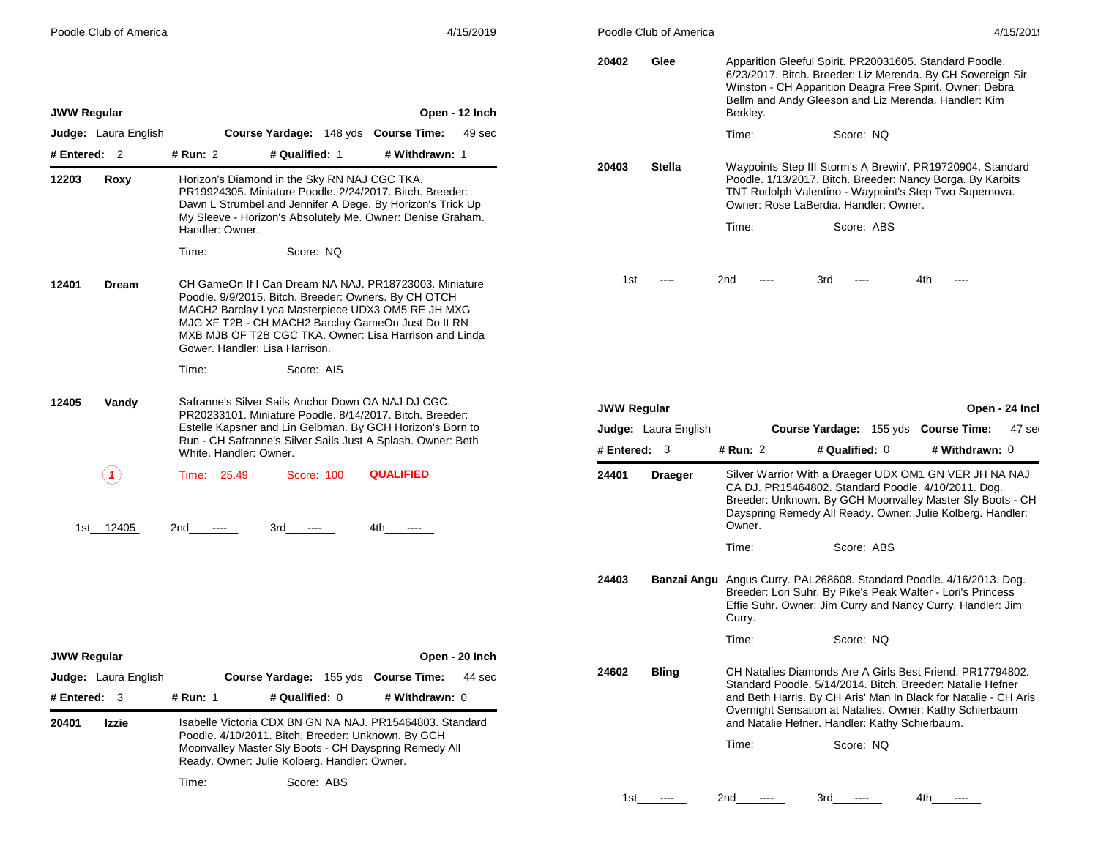|  |  |  | Poodle Club of America |
|--|--|--|------------------------|
|--|--|--|------------------------|

| 4/15/2019 |  |  |
|-----------|--|--|
|           |  |  |

| Poodle Club of America         | 4/15/2019                                                                                                                                                                                                                                                                                                             | Poodle Club of America                 | 4/15/2019                                                                                                                                                                                                                                              |  |  |
|--------------------------------|-----------------------------------------------------------------------------------------------------------------------------------------------------------------------------------------------------------------------------------------------------------------------------------------------------------------------|----------------------------------------|--------------------------------------------------------------------------------------------------------------------------------------------------------------------------------------------------------------------------------------------------------|--|--|
| <b>JWW Regular</b>             | Open - 12 Inch                                                                                                                                                                                                                                                                                                        | 20402<br>Glee                          | Apparition Gleeful Spirit. PR20031605. Standard Poodle.<br>6/23/2017. Bitch. Breeder: Liz Merenda. By CH Sovereign Sir<br>Winston - CH Apparition Deagra Free Spirit. Owner: Debra<br>Bellm and Andy Gleeson and Liz Merenda. Handler: Kim<br>Berkley. |  |  |
| Judge: Laura English           | Course Yardage: 148 yds Course Time:<br>49 sec                                                                                                                                                                                                                                                                        |                                        | Time:<br>Score: NQ                                                                                                                                                                                                                                     |  |  |
| # Entered: 2                   | # Run: 2<br># Qualified: 1<br># Withdrawn: 1                                                                                                                                                                                                                                                                          |                                        |                                                                                                                                                                                                                                                        |  |  |
| 12203<br>Roxy                  | Horizon's Diamond in the Sky RN NAJ CGC TKA.<br>PR19924305. Miniature Poodle, 2/24/2017. Bitch. Breeder:<br>Dawn L Strumbel and Jennifer A Dege. By Horizon's Trick Up<br>My Sleeve - Horizon's Absolutely Me. Owner: Denise Graham.<br>Handler: Owner.                                                               | 20403<br><b>Stella</b>                 | Waypoints Step III Storm's A Brewin'. PR19720904. Standard<br>Poodle. 1/13/2017. Bitch. Breeder: Nancy Borga. By Karbits<br>TNT Rudolph Valentino - Waypoint's Step Two Supernova.<br>Owner: Rose LaBerdia. Handler: Owner.<br>Score: ABS<br>Time:     |  |  |
|                                | Time:<br>Score: NQ                                                                                                                                                                                                                                                                                                    |                                        |                                                                                                                                                                                                                                                        |  |  |
| 12401<br><b>Dream</b>          | CH GameOn If I Can Dream NA NAJ. PR18723003. Miniature<br>Poodle. 9/9/2015. Bitch. Breeder: Owners. By CH OTCH<br>MACH2 Barclay Lyca Masterpiece UDX3 OM5 RE JH MXG<br>MJG XF T2B - CH MACH2 Barclay GameOn Just Do It RN<br>MXB MJB OF T2B CGC TKA. Owner: Lisa Harrison and Linda<br>Gower, Handler: Lisa Harrison. | 1st<br>$\cdots$                        | 2nd<br>3rd<br>4th<br>$---$<br>$\cdots$<br>$\cdots$                                                                                                                                                                                                     |  |  |
|                                | Time:<br>Score: AIS                                                                                                                                                                                                                                                                                                   |                                        |                                                                                                                                                                                                                                                        |  |  |
| 12405<br>Vandy                 | Safranne's Silver Sails Anchor Down OA NAJ DJ CGC.<br>PR20233101. Miniature Poodle, 8/14/2017. Bitch. Breeder:<br>Estelle Kapsner and Lin Gelbman. By GCH Horizon's Born to                                                                                                                                           | <b>JWW Regular</b>                     | Open - 24 Incl<br>47 ser                                                                                                                                                                                                                               |  |  |
|                                | Run - CH Safranne's Silver Sails Just A Splash. Owner: Beth                                                                                                                                                                                                                                                           | Judge: Laura English<br># Entered: $3$ | Course Yardage: 155 yds Course Time:<br># Qualified: 0<br># Run: 2<br># Withdrawn: 0                                                                                                                                                                   |  |  |
|                                | White. Handler: Owner.                                                                                                                                                                                                                                                                                                |                                        |                                                                                                                                                                                                                                                        |  |  |
| (1)<br>1st 12405               | <b>QUALIFIED</b><br>Time: 25.49<br>Score: 100<br>2nd<br>3rd<br>4th.<br>$\cdots$<br>$\cdots$<br>$\sim$ $\sim$ $\sim$                                                                                                                                                                                                   | 24401<br><b>Draeger</b>                | Silver Warrior With a Draeger UDX OM1 GN VER JH NA NAJ<br>CA DJ. PR15464802. Standard Poodle. 4/10/2011. Dog.<br>Breeder: Unknown. By GCH Moonvalley Master Sly Boots - CH<br>Dayspring Remedy All Ready. Owner: Julie Kolberg. Handler:<br>Owner.     |  |  |
|                                |                                                                                                                                                                                                                                                                                                                       |                                        | Time:<br>Score: ABS                                                                                                                                                                                                                                    |  |  |
|                                |                                                                                                                                                                                                                                                                                                                       | 24403                                  | Banzai Angu Angus Curry. PAL268608. Standard Poodle. 4/16/2013. Dog.<br>Breeder: Lori Suhr. By Pike's Peak Walter - Lori's Princess<br>Effie Suhr. Owner: Jim Curry and Nancy Curry. Handler: Jim<br>Curry.                                            |  |  |
|                                |                                                                                                                                                                                                                                                                                                                       |                                        | Time:<br>Score: NQ                                                                                                                                                                                                                                     |  |  |
| <b>JWW Regular</b>             | Open - 20 Inch                                                                                                                                                                                                                                                                                                        | 24602<br><b>Bling</b>                  | CH Natalies Diamonds Are A Girls Best Friend. PR17794802.                                                                                                                                                                                              |  |  |
| Judge: Laura English           | Course Yardage: 155 yds Course Time:<br>44 sec                                                                                                                                                                                                                                                                        |                                        | Standard Poodle, 5/14/2014. Bitch. Breeder: Natalie Hefner                                                                                                                                                                                             |  |  |
| # Entered: 3<br>20401<br>Izzie | # Qualified: 0<br># Withdrawn: 0<br># Run: 1<br>Isabelle Victoria CDX BN GN NA NAJ. PR15464803. Standard                                                                                                                                                                                                              |                                        | and Beth Harris. By CH Aris' Man In Black for Natalie - CH Aris<br>Overnight Sensation at Natalies. Owner: Kathy Schierbaum<br>and Natalie Hefner. Handler: Kathy Schierbaum.                                                                          |  |  |
|                                | Poodle. 4/10/2011. Bitch. Breeder: Unknown. By GCH<br>Moonvalley Master Sly Boots - CH Dayspring Remedy All<br>Ready. Owner: Julie Kolberg. Handler: Owner.                                                                                                                                                           |                                        | Time:<br>Score: NQ                                                                                                                                                                                                                                     |  |  |
|                                | Score: ABS<br>Time:                                                                                                                                                                                                                                                                                                   |                                        |                                                                                                                                                                                                                                                        |  |  |
|                                |                                                                                                                                                                                                                                                                                                                       | 1st_<br>-----                          | 2nd<br>3rd<br>4th_<br>$---$<br>$---$<br>$\cdots$                                                                                                                                                                                                       |  |  |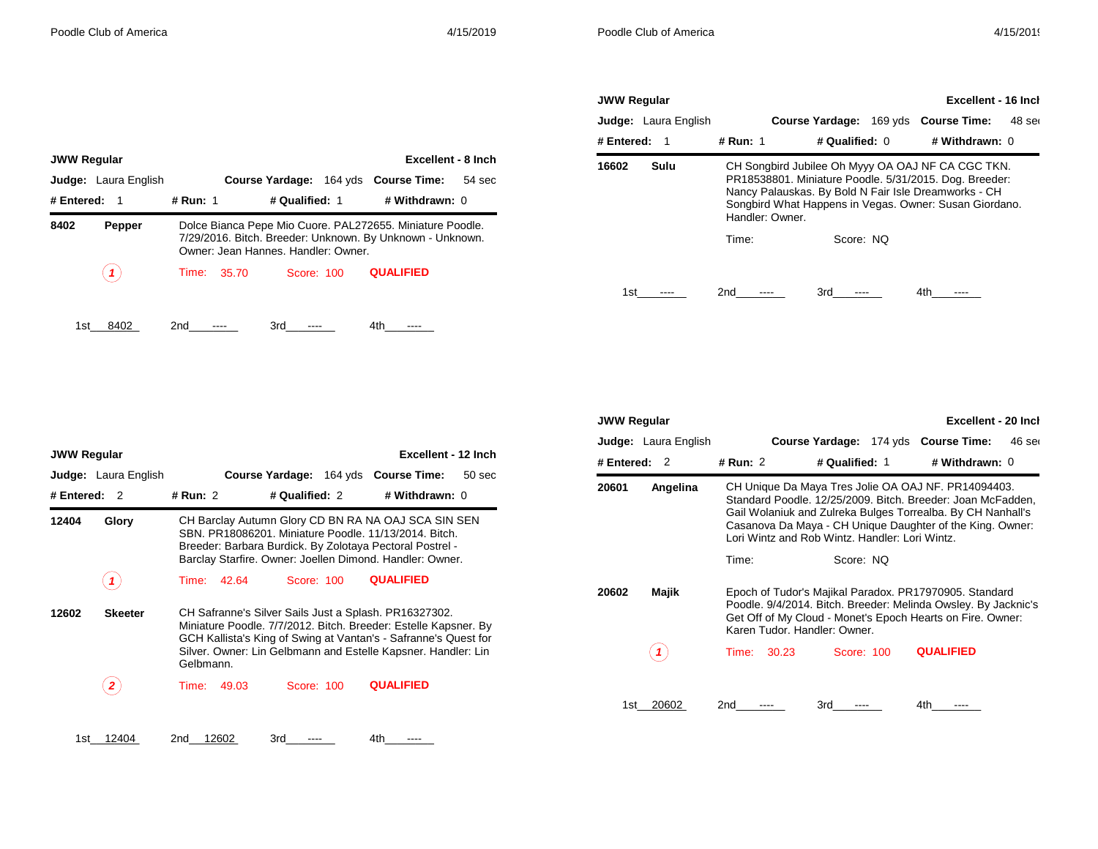| <b>JWW Regular</b> |                             |                 |                                                                                                                                                                                                                               | Excellent - 16 Inch         |        |
|--------------------|-----------------------------|-----------------|-------------------------------------------------------------------------------------------------------------------------------------------------------------------------------------------------------------------------------|-----------------------------|--------|
|                    | <b>Judge:</b> Laura English |                 | <b>Course Yardage:</b>                                                                                                                                                                                                        | 169 yds <b>Course Time:</b> | 48 ser |
| # Entered:         | -1                          | # Run: 1        | # Qualified: 0                                                                                                                                                                                                                | # Withdrawn: 0              |        |
| 16602              | Sulu                        | Handler: Owner. | CH Songbird Jubilee Oh Myyy OA OAJ NF CA CGC TKN.<br>PR18538801. Miniature Poodle. 5/31/2015. Dog. Breeder:<br>Nancy Palauskas. By Bold N Fair Isle Dreamworks - CH<br>Songbird What Happens in Vegas. Owner: Susan Giordano. |                             |        |
|                    |                             | Time:           | Score: NO                                                                                                                                                                                                                     |                             |        |
| 1st                |                             | 2nd             | 3rd                                                                                                                                                                                                                           | 4th                         |        |

| <b>JWW Regular</b> |                             |          |                                                                                                                                                               |                | Excellent - 8 Inch          |        |  |  |
|--------------------|-----------------------------|----------|---------------------------------------------------------------------------------------------------------------------------------------------------------------|----------------|-----------------------------|--------|--|--|
|                    | <b>Judge:</b> Laura English |          | <b>Course Yardage:</b>                                                                                                                                        |                | 164 yds <b>Course Time:</b> | 54 sec |  |  |
| # Entered:         | - 1                         | # Run: 1 |                                                                                                                                                               | # Qualified: 1 | # Withdrawn: 0              |        |  |  |
| 8402               | Pepper                      |          | Dolce Bianca Pepe Mio Cuore. PAL272655. Miniature Poodle.<br>7/29/2016. Bitch. Breeder: Unknown. By Unknown - Unknown.<br>Owner: Jean Hannes, Handler: Owner, |                |                             |        |  |  |
|                    |                             | Time:    | 35.70                                                                                                                                                         | Score: 100     | <b>QUALIFIED</b>            |        |  |  |
|                    |                             |          |                                                                                                                                                               |                |                             |        |  |  |

1st\_\_\_\_\_\_\_\_ 8402 2nd\_\_\_\_\_\_\_\_ ---- 3rd\_\_\_\_\_\_\_\_ ---- 4th\_\_\_\_\_\_\_\_ ----

| <b>JWW Regular</b> |                      |          |                                                                                                                                                                                                                                                                           |                |  | Excellent - 12 Inch                  |        |  |  |
|--------------------|----------------------|----------|---------------------------------------------------------------------------------------------------------------------------------------------------------------------------------------------------------------------------------------------------------------------------|----------------|--|--------------------------------------|--------|--|--|
|                    | Judge: Laura English |          |                                                                                                                                                                                                                                                                           |                |  | Course Yardage: 164 yds Course Time: | 50 sec |  |  |
| # Entered:         | 2                    | # Run: 2 |                                                                                                                                                                                                                                                                           | # Qualified: 2 |  | # Withdrawn: 0                       |        |  |  |
| 12404              | Glory                |          | CH Barclay Autumn Glory CD BN RA NA OAJ SCA SIN SEN<br>SBN, PR18086201, Miniature Poodle, 11/13/2014, Bitch.<br>Breeder: Barbara Burdick. By Zolotaya Pectoral Postrel -<br>Barclay Starfire. Owner: Joellen Dimond. Handler: Owner.                                      |                |  |                                      |        |  |  |
|                    |                      | Time:    | 42.64                                                                                                                                                                                                                                                                     | Score: 100     |  | <b>QUALIFIED</b>                     |        |  |  |
| 12602              | <b>Skeeter</b>       |          | CH Safranne's Silver Sails Just a Splash. PR16327302.<br>Miniature Poodle. 7/7/2012. Bitch. Breeder: Estelle Kapsner. By<br>GCH Kallista's King of Swing at Vantan's - Safranne's Quest for<br>Silver. Owner: Lin Gelbmann and Estelle Kapsner. Handler: Lin<br>Gelbmann. |                |  |                                      |        |  |  |
|                    |                      | Time:    | 49.03                                                                                                                                                                                                                                                                     | Score: 100     |  | <b>QUALIFIED</b>                     |        |  |  |
| 1st                | 12404                | 2nd      | 12602                                                                                                                                                                                                                                                                     | 3rd            |  | 4th                                  |        |  |  |

| <b>JWW Regular</b> |                             |          |                                                                                                                                                                                                                        |                                                |  | Excellent - 20 Inch                                                                                                                                                                                                                            |          |  |  |
|--------------------|-----------------------------|----------|------------------------------------------------------------------------------------------------------------------------------------------------------------------------------------------------------------------------|------------------------------------------------|--|------------------------------------------------------------------------------------------------------------------------------------------------------------------------------------------------------------------------------------------------|----------|--|--|
|                    | <b>Judge:</b> Laura English |          |                                                                                                                                                                                                                        |                                                |  | Course Yardage: 174 yds Course Time:                                                                                                                                                                                                           | $46$ ser |  |  |
| # Entered:         | $\overline{2}$              | # Run: 2 |                                                                                                                                                                                                                        | # Qualified: 1                                 |  | # Withdrawn: 0                                                                                                                                                                                                                                 |          |  |  |
| 20601              | Angelina                    |          |                                                                                                                                                                                                                        | Lori Wintz and Rob Wintz, Handler: Lori Wintz, |  | CH Unique Da Maya Tres Jolie OA OAJ NF. PR14094403.<br>Standard Poodle. 12/25/2009. Bitch. Breeder: Joan McFadden,<br>Gail Wolaniuk and Zulreka Bulges Torrealba. By CH Nanhall's<br>Casanova Da Maya - CH Unique Daughter of the King. Owner: |          |  |  |
|                    |                             | Time:    |                                                                                                                                                                                                                        | Score: NO                                      |  |                                                                                                                                                                                                                                                |          |  |  |
| 20602              | Majik                       |          | Epoch of Tudor's Majikal Paradox. PR17970905. Standard<br>Poodle. 9/4/2014. Bitch. Breeder: Melinda Owsley. By Jacknic's<br>Get Off of My Cloud - Monet's Epoch Hearts on Fire. Owner:<br>Karen Tudor, Handler: Owner, |                                                |  |                                                                                                                                                                                                                                                |          |  |  |
|                    |                             | Time:    | 30.23                                                                                                                                                                                                                  | Score: 100                                     |  | <b>QUALIFIED</b>                                                                                                                                                                                                                               |          |  |  |
| 1st                | 20602                       | 2nd      |                                                                                                                                                                                                                        | 3rd                                            |  | 4th                                                                                                                                                                                                                                            |          |  |  |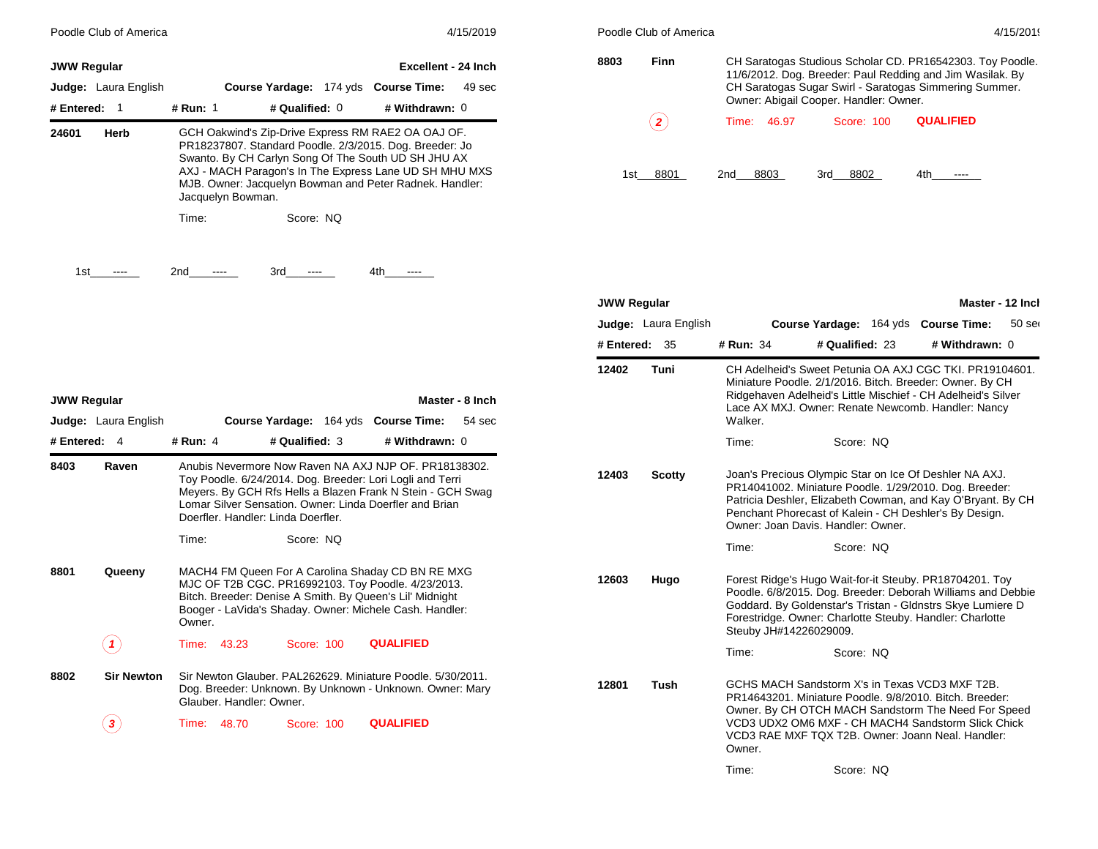|                    | Poodle Club of America                         |                          |                                                                                                                                                                                                                                 | 4/15/2019                                                                                                               |                    | Poodle Club of America      |                                           |                                                                                                                                                                                                                                                                                 |                                     | 4/15/2019        |
|--------------------|------------------------------------------------|--------------------------|---------------------------------------------------------------------------------------------------------------------------------------------------------------------------------------------------------------------------------|-------------------------------------------------------------------------------------------------------------------------|--------------------|-----------------------------|-------------------------------------------|---------------------------------------------------------------------------------------------------------------------------------------------------------------------------------------------------------------------------------------------------------------------------------|-------------------------------------|------------------|
| <b>JWW Regular</b> | Judge: Laura English                           |                          | Course Yardage: 174 yds Course Time:                                                                                                                                                                                            | <b>Excellent - 24 Inch</b><br>49 sec                                                                                    | 8803               | Finn                        |                                           | CH Saratogas Studious Scholar CD. PR16542303. Toy Poodle.<br>11/6/2012. Dog. Breeder: Paul Redding and Jim Wasilak. By<br>CH Saratogas Sugar Swirl - Saratogas Simmering Summer.                                                                                                |                                     |                  |
| # Entered: 1       |                                                | # Run: 1                 | # Qualified: 0                                                                                                                                                                                                                  | # Withdrawn: 0                                                                                                          |                    |                             |                                           | Owner: Abigail Cooper. Handler: Owner.                                                                                                                                                                                                                                          |                                     |                  |
| 24601              | Herb                                           | Jacquelyn Bowman.        | GCH Oakwind's Zip-Drive Express RM RAE2 OA OAJ OF.<br>PR18237807. Standard Poodle. 2/3/2015. Dog. Breeder: Jo<br>Swanto. By CH Carlyn Song Of The South UD SH JHU AX<br>MJB. Owner: Jacquelyn Bowman and Peter Radnek. Handler: | AXJ - MACH Paragon's In The Express Lane UD SH MHU MXS                                                                  |                    | $\bf(2)$<br>1st 8801        | 46.97<br>Time:<br>8803<br>2 <sub>nd</sub> | Score: 100<br>3rd 8802                                                                                                                                                                                                                                                          | <b>QUALIFIED</b><br>4th<br>$\cdots$ |                  |
| 1st                | $\cdots$                                       | Time:<br>2nd<br>$\cdots$ | Score: NQ<br>3rd<br>$\cdots$                                                                                                                                                                                                    | 4th<br>$\hspace{0.05cm} \ldots$                                                                                         |                    |                             |                                           |                                                                                                                                                                                                                                                                                 |                                     |                  |
|                    |                                                |                          |                                                                                                                                                                                                                                 |                                                                                                                         | <b>JWW Regular</b> |                             |                                           |                                                                                                                                                                                                                                                                                 |                                     | Master - 12 Inch |
|                    |                                                |                          |                                                                                                                                                                                                                                 |                                                                                                                         |                    | <b>Judge:</b> Laura English |                                           | Course Yardage: 164 yds Course Time:                                                                                                                                                                                                                                            |                                     | $50$ ser         |
|                    |                                                |                          |                                                                                                                                                                                                                                 |                                                                                                                         | # Entered: 35      |                             | # Run: 34                                 | # Qualified: 23                                                                                                                                                                                                                                                                 | # Withdrawn: 0                      |                  |
| <b>JWW Regular</b> | <b>Judge:</b> Laura English                    |                          | Course Yardage: 164 yds Course Time:                                                                                                                                                                                            | Master - 8 Inch<br>54 sec                                                                                               | 12402              | Tuni                        | Walker.                                   | CH Adelheid's Sweet Petunia OA AXJ CGC TKI. PR19104601.<br>Miniature Poodle. 2/1/2016. Bitch. Breeder: Owner. By CH<br>Ridgehaven Adelheid's Little Mischief - CH Adelheid's Silver<br>Lace AX MXJ. Owner: Renate Newcomb. Handler: Nancy                                       |                                     |                  |
| # Entered: 4       |                                                | # Run: 4                 | # Qualified: 3                                                                                                                                                                                                                  | # Withdrawn: 0                                                                                                          |                    |                             | Time:                                     | Score: NQ                                                                                                                                                                                                                                                                       |                                     |                  |
| 8403               | Raven                                          |                          | Toy Poodle. 6/24/2014. Dog. Breeder: Lori Logli and Terri<br>Lomar Silver Sensation. Owner: Linda Doerfler and Brian<br>Doerfler. Handler: Linda Doerfler.                                                                      | Anubis Nevermore Now Raven NA AXJ NJP OF. PR18138302.<br>Meyers. By GCH Rfs Hells a Blazen Frank N Stein - GCH Swag     | 12403              | Scotty                      |                                           | Joan's Precious Olympic Star on Ice Of Deshler NA AXJ.<br>PR14041002. Miniature Poodle. 1/29/2010. Dog. Breeder:<br>Patricia Deshler, Elizabeth Cowman, and Kay O'Bryant. By CH<br>Penchant Phorecast of Kalein - CH Deshler's By Design.<br>Owner: Joan Davis. Handler: Owner. |                                     |                  |
|                    |                                                | Time:                    | Score: NQ                                                                                                                                                                                                                       |                                                                                                                         |                    |                             | Time:                                     | Score: NQ                                                                                                                                                                                                                                                                       |                                     |                  |
| 8801               | Queeny                                         | Owner.                   | MACH4 FM Queen For A Carolina Shaday CD BN RE MXG<br>MJC OF T2B CGC. PR16992103. Toy Poodle. 4/23/2013.<br>Bitch. Breeder: Denise A Smith. By Queen's Lil' Midnight<br>Booger - LaVida's Shaday. Owner: Michele Cash. Handler:  |                                                                                                                         | 12603              | Hugo                        | Steuby JH#14226029009.                    | Forest Ridge's Hugo Wait-for-it Steuby. PR18704201. Toy<br>Poodle. 6/8/2015. Dog. Breeder: Deborah Williams and Debbie<br>Goddard. By Goldenstar's Tristan - Gldnstrs Skye Lumiere D<br>Forestridge. Owner: Charlotte Steuby. Handler: Charlotte                                |                                     |                  |
|                    | $\left( \begin{matrix} 1 \end{matrix} \right)$ | Time: 43.23              | Score: 100                                                                                                                                                                                                                      | <b>QUALIFIED</b>                                                                                                        |                    |                             | Time:                                     | Score: NQ                                                                                                                                                                                                                                                                       |                                     |                  |
| 8802               | <b>Sir Newton</b>                              |                          | Glauber, Handler: Owner.                                                                                                                                                                                                        | Sir Newton Glauber. PAL262629. Miniature Poodle. 5/30/2011.<br>Dog. Breeder: Unknown. By Unknown - Unknown. Owner: Mary | 12801              | Tush                        |                                           | GCHS MACH Sandstorm X's in Texas VCD3 MXF T2B.<br>PR14643201. Miniature Poodle, 9/8/2010. Bitch. Breeder:<br>Owner. By CH OTCH MACH Sandstorm The Need For Speed                                                                                                                |                                     |                  |
|                    | $\bf(3)$                                       | Time: 48.70              | Score: 100                                                                                                                                                                                                                      | <b>QUALIFIED</b>                                                                                                        |                    |                             | Owner.                                    | VCD3 UDX2 OM6 MXF - CH MACH4 Sandstorm Slick Chick<br>VCD3 RAE MXF TQX T2B. Owner: Joann Neal. Handler:                                                                                                                                                                         |                                     |                  |

Time: Score: NQ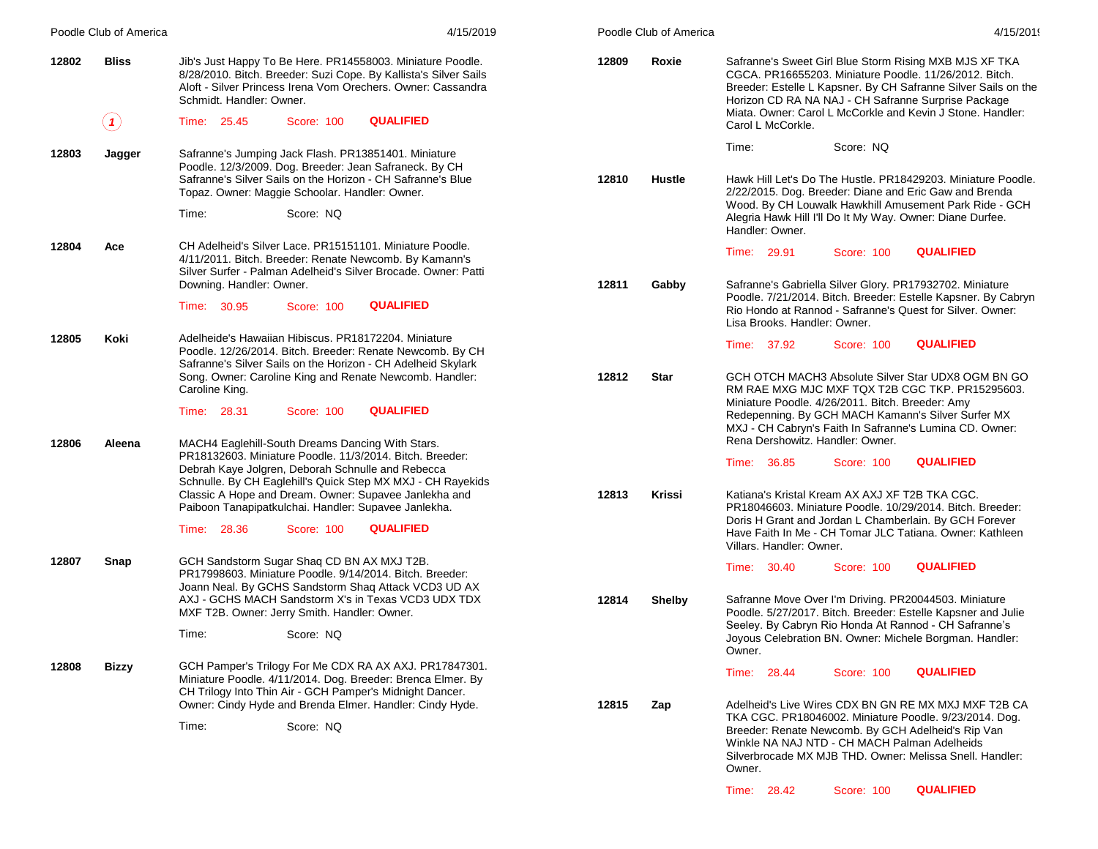|       | Poodle Club of America | 4/15/2019                                                                                                                                                                                                                                                                                     | Poodle Club of America |               |                                                                                      |            | 4/15/2019                                                                                                                                                                                                                                                                                               |
|-------|------------------------|-----------------------------------------------------------------------------------------------------------------------------------------------------------------------------------------------------------------------------------------------------------------------------------------------|------------------------|---------------|--------------------------------------------------------------------------------------|------------|---------------------------------------------------------------------------------------------------------------------------------------------------------------------------------------------------------------------------------------------------------------------------------------------------------|
| 12802 | <b>Bliss</b><br>(1)    | Jib's Just Happy To Be Here. PR14558003. Miniature Poodle.<br>8/28/2010. Bitch. Breeder: Suzi Cope. By Kallista's Silver Sails<br>Aloft - Silver Princess Irena Vom Orechers. Owner: Cassandra<br>Schmidt. Handler: Owner.<br><b>QUALIFIED</b><br>Time: 25.45<br>Score: 100                   | 12809                  | Roxie         | Carol L McCorkle.                                                                    |            | Safranne's Sweet Girl Blue Storm Rising MXB MJS XF TKA<br>CGCA, PR16655203, Miniature Poodle, 11/26/2012, Bitch.<br>Breeder: Estelle L Kapsner. By CH Safranne Silver Sails on the<br>Horizon CD RA NA NAJ - CH Safranne Surprise Package<br>Miata. Owner: Carol L McCorkle and Kevin J Stone. Handler: |
|       |                        |                                                                                                                                                                                                                                                                                               |                        |               |                                                                                      | Score: NQ  |                                                                                                                                                                                                                                                                                                         |
| 12803 | Jagger                 | Safranne's Jumping Jack Flash. PR13851401. Miniature<br>Poodle. 12/3/2009. Dog. Breeder: Jean Safraneck. By CH<br>Safranne's Silver Sails on the Horizon - CH Safranne's Blue<br>Topaz. Owner: Maggie Schoolar. Handler: Owner.                                                               | 12810                  | Hustle        | Time:                                                                                |            | Hawk Hill Let's Do The Hustle. PR18429203. Miniature Poodle.<br>2/22/2015. Dog. Breeder: Diane and Eric Gaw and Brenda                                                                                                                                                                                  |
|       |                        | Time:<br>Score: NQ                                                                                                                                                                                                                                                                            |                        |               | Handler: Owner.                                                                      |            | Wood. By CH Louwalk Hawkhill Amusement Park Ride - GCH<br>Alegria Hawk Hill I'll Do It My Way. Owner: Diane Durfee.                                                                                                                                                                                     |
| 12804 | Ace                    | CH Adelheid's Silver Lace. PR15151101. Miniature Poodle.<br>4/11/2011. Bitch. Breeder: Renate Newcomb. By Kamann's<br>Silver Surfer - Palman Adelheid's Silver Brocade. Owner: Patti                                                                                                          |                        |               | Time: 29.91                                                                          | Score: 100 | <b>QUALIFIED</b>                                                                                                                                                                                                                                                                                        |
|       |                        | Downing. Handler: Owner.<br><b>QUALIFIED</b><br>Time: 30.95<br>Score: 100                                                                                                                                                                                                                     | 12811                  | Gabby         | Lisa Brooks, Handler: Owner,                                                         |            | Safranne's Gabriella Silver Glory. PR17932702. Miniature<br>Poodle. 7/21/2014. Bitch. Breeder: Estelle Kapsner. By Cabryn<br>Rio Hondo at Rannod - Safranne's Quest for Silver. Owner:                                                                                                                  |
| 12805 | Koki                   | Adelheide's Hawaiian Hibiscus. PR18172204. Miniature<br>Poodle. 12/26/2014. Bitch. Breeder: Renate Newcomb. By CH<br>Safranne's Silver Sails on the Horizon - CH Adelheid Skylark<br>Song. Owner: Caroline King and Renate Newcomb. Handler:<br>Caroline King.                                | 12812<br><b>Star</b>   |               | Time: 37.92                                                                          | Score: 100 | <b>QUALIFIED</b><br>GCH OTCH MACH3 Absolute Silver Star UDX8 OGM BN GO<br>RM RAE MXG MJC MXF TQX T2B CGC TKP. PR15295603.                                                                                                                                                                               |
| 12806 | Aleena                 | <b>QUALIFIED</b><br>Time: 28.31<br>Score: 100<br>MACH4 Eaglehill-South Dreams Dancing With Stars.                                                                                                                                                                                             |                        |               | Miniature Poodle. 4/26/2011. Bitch. Breeder: Amy<br>Rena Dershowitz. Handler: Owner. |            | Redepenning. By GCH MACH Kamann's Silver Surfer MX<br>MXJ - CH Cabryn's Faith In Safranne's Lumina CD. Owner:                                                                                                                                                                                           |
|       |                        | PR18132603. Miniature Poodle. 11/3/2014. Bitch. Breeder:<br>Debrah Kaye Jolgren, Deborah Schnulle and Rebecca<br>Schnulle. By CH Eaglehill's Quick Step MX MXJ - CH Rayekids<br>Classic A Hope and Dream. Owner: Supavee Janlekha and<br>Paiboon Tanapipatkulchai. Handler: Supavee Janlekha. | 12813                  | Krissi        | Time: 36.85<br>Katiana's Kristal Kream AX AXJ XF T2B TKA CGC.                        | Score: 100 | <b>QUALIFIED</b><br>PR18046603. Miniature Poodle. 10/29/2014. Bitch. Breeder:                                                                                                                                                                                                                           |
|       |                        | <b>QUALIFIED</b><br>Time: 28.36<br>Score: 100                                                                                                                                                                                                                                                 |                        |               | Villars, Handler: Owner.                                                             |            | Doris H Grant and Jordan L Chamberlain. By GCH Forever<br>Have Faith In Me - CH Tomar JLC Tatiana. Owner: Kathleen                                                                                                                                                                                      |
| 12807 | Snap                   | GCH Sandstorm Sugar Shaq CD BN AX MXJ T2B.<br>PR17998603. Miniature Poodle. 9/14/2014. Bitch. Breeder:<br>Joann Neal. By GCHS Sandstorm Shaq Attack VCD3 UD AX<br>AXJ - GCHS MACH Sandstorm X's in Texas VCD3 UDX TDX                                                                         |                        |               | Time: 30.40                                                                          | Score: 100 | <b>QUALIFIED</b><br>Safranne Move Over I'm Driving. PR20044503. Miniature                                                                                                                                                                                                                               |
|       |                        | MXF T2B. Owner: Jerry Smith. Handler: Owner.<br>Time:<br>Score: NQ                                                                                                                                                                                                                            | 12814                  | <b>Shelby</b> |                                                                                      |            | Poodle. 5/27/2017. Bitch. Breeder: Estelle Kapsner and Julie<br>Seeley. By Cabryn Rio Honda At Rannod - CH Safranne's<br>Joyous Celebration BN. Owner: Michele Borgman. Handler:                                                                                                                        |
| 12808 | <b>Bizzy</b>           | GCH Pamper's Trilogy For Me CDX RA AX AXJ. PR17847301.<br>Miniature Poodle. 4/11/2014. Dog. Breeder: Brenca Elmer. By<br>CH Trilogy Into Thin Air - GCH Pamper's Midnight Dancer.                                                                                                             |                        |               | Owner.<br>Time: 28.44                                                                | Score: 100 | <b>QUALIFIED</b>                                                                                                                                                                                                                                                                                        |
|       |                        | Owner: Cindy Hyde and Brenda Elmer. Handler: Cindy Hyde.<br>Score: NQ<br>Time:                                                                                                                                                                                                                | 12815<br>Zap           |               | Winkle NA NAJ NTD - CH MACH Palman Adelheids<br>Owner.                               |            | Adelheid's Live Wires CDX BN GN RE MX MXJ MXF T2B CA<br>TKA CGC. PR18046002. Miniature Poodle. 9/23/2014. Dog.<br>Breeder: Renate Newcomb. By GCH Adelheid's Rip Van<br>Silverbrocade MX MJB THD. Owner: Melissa Snell. Handler:                                                                        |
|       |                        |                                                                                                                                                                                                                                                                                               |                        |               | Time: 28.42                                                                          | Score: 100 | <b>QUALIFIED</b>                                                                                                                                                                                                                                                                                        |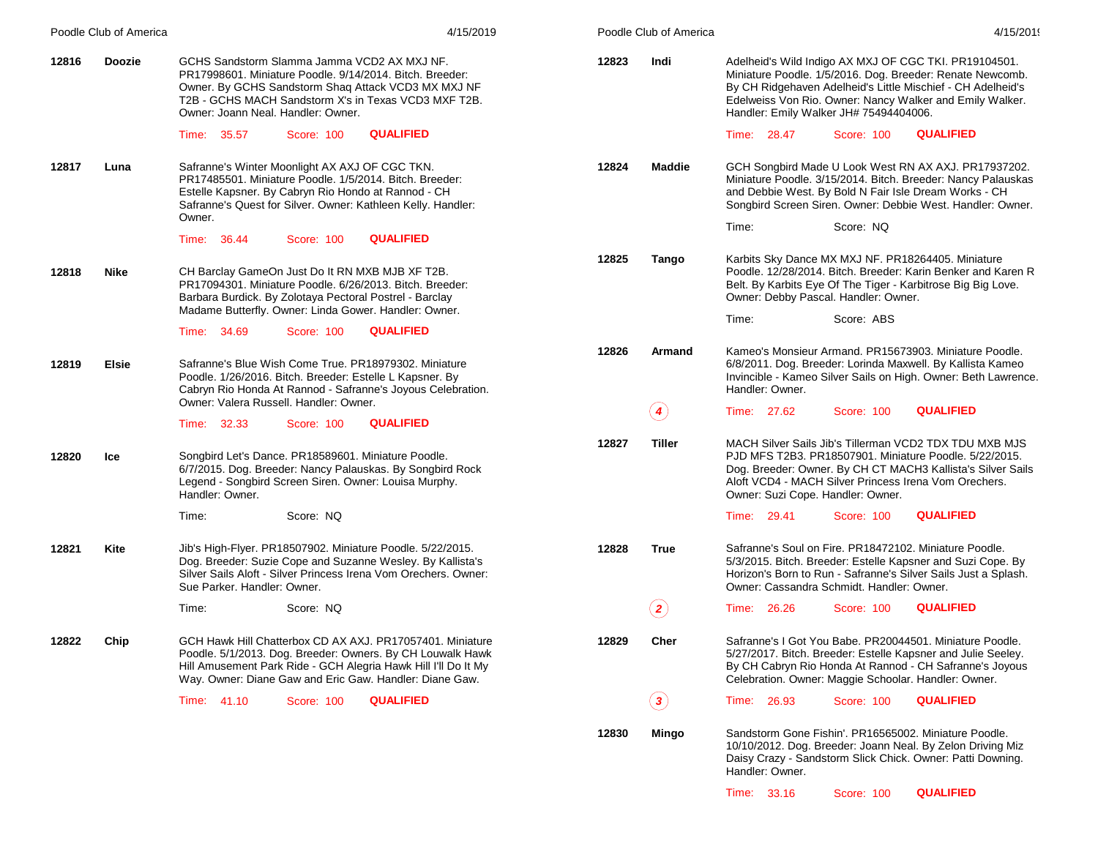|                       | Poodle Club of America | 4/15/2019                                                                                                                                                                                                                                                    |       | Poodle Club of America | 4/15/2019                                                                                                                                                                                                                                                                               |
|-----------------------|------------------------|--------------------------------------------------------------------------------------------------------------------------------------------------------------------------------------------------------------------------------------------------------------|-------|------------------------|-----------------------------------------------------------------------------------------------------------------------------------------------------------------------------------------------------------------------------------------------------------------------------------------|
| 12816                 | <b>Doozie</b>          | GCHS Sandstorm Slamma Jamma VCD2 AX MXJ NF.<br>PR17998601. Miniature Poodle. 9/14/2014. Bitch. Breeder:<br>Owner. By GCHS Sandstorm Shaq Attack VCD3 MX MXJ NF<br>T2B - GCHS MACH Sandstorm X's in Texas VCD3 MXF T2B.<br>Owner: Joann Neal, Handler: Owner. | 12823 | Indi                   | Adelheid's Wild Indigo AX MXJ OF CGC TKI. PR19104501.<br>Miniature Poodle. 1/5/2016. Dog. Breeder: Renate Newcomb.<br>By CH Ridgehaven Adelheid's Little Mischief - CH Adelheid's<br>Edelweiss Von Rio. Owner: Nancy Walker and Emily Walker.<br>Handler: Emily Walker JH# 75494404006. |
|                       |                        | <b>QUALIFIED</b><br>Time: 35.57<br>Score: 100                                                                                                                                                                                                                |       |                        | <b>QUALIFIED</b><br>Time: 28.47<br>Score: 100                                                                                                                                                                                                                                           |
| 12817                 | Luna                   | Safranne's Winter Moonlight AX AXJ OF CGC TKN.<br>PR17485501. Miniature Poodle. 1/5/2014. Bitch. Breeder:<br>Estelle Kapsner. By Cabryn Rio Hondo at Rannod - CH<br>Safranne's Quest for Silver. Owner: Kathleen Kelly. Handler:<br>Owner.                   | 12824 | <b>Maddie</b>          | GCH Songbird Made U Look West RN AX AXJ. PR17937202.<br>Miniature Poodle. 3/15/2014. Bitch. Breeder: Nancy Palauskas<br>and Debbie West. By Bold N Fair Isle Dream Works - CH<br>Songbird Screen Siren. Owner: Debbie West. Handler: Owner.                                             |
|                       |                        | <b>QUALIFIED</b><br>Time: 36.44<br>Score: 100                                                                                                                                                                                                                |       |                        | Score: NQ<br>Time:                                                                                                                                                                                                                                                                      |
| 12818                 | <b>Nike</b>            | CH Barclay GameOn Just Do It RN MXB MJB XF T2B.<br>PR17094301. Miniature Poodle. 6/26/2013. Bitch. Breeder:<br>Barbara Burdick. By Zolotaya Pectoral Postrel - Barclay<br>Madame Butterfly. Owner: Linda Gower. Handler: Owner.                              | 12825 | Tango                  | Karbits Sky Dance MX MXJ NF. PR18264405. Miniature<br>Poodle. 12/28/2014. Bitch. Breeder: Karin Benker and Karen R<br>Belt. By Karbits Eye Of The Tiger - Karbitrose Big Big Love.<br>Owner: Debby Pascal. Handler: Owner.                                                              |
|                       |                        | <b>QUALIFIED</b><br>Time: 34.69<br>Score: 100                                                                                                                                                                                                                |       |                        | Score: ABS<br>Time:                                                                                                                                                                                                                                                                     |
| 12819<br><b>Elsie</b> |                        | Safranne's Blue Wish Come True, PR18979302, Miniature<br>Poodle. 1/26/2016. Bitch. Breeder: Estelle L Kapsner. By<br>Cabryn Rio Honda At Rannod - Safranne's Joyous Celebration.                                                                             | 12826 | Armand                 | Kameo's Monsieur Armand. PR15673903. Miniature Poodle.<br>6/8/2011. Dog. Breeder: Lorinda Maxwell. By Kallista Kameo<br>Invincible - Kameo Silver Sails on High. Owner: Beth Lawrence.<br>Handler: Owner.                                                                               |
|                       |                        | Owner: Valera Russell, Handler: Owner.<br><b>QUALIFIED</b><br>Time: 32.33<br>Score: 100                                                                                                                                                                      |       | $\left( 4\right)$      | <b>QUALIFIED</b><br>Time: 27.62<br>Score: 100                                                                                                                                                                                                                                           |
| 12820                 | Ice                    | Songbird Let's Dance. PR18589601. Miniature Poodle.<br>6/7/2015. Dog. Breeder: Nancy Palauskas. By Songbird Rock<br>Legend - Songbird Screen Siren. Owner: Louisa Murphy.<br>Handler: Owner.                                                                 | 12827 | Tiller                 | MACH Silver Sails Jib's Tillerman VCD2 TDX TDU MXB MJS<br>PJD MFS T2B3. PR18507901. Miniature Poodle. 5/22/2015.<br>Dog. Breeder: Owner. By CH CT MACH3 Kallista's Silver Sails<br>Aloft VCD4 - MACH Silver Princess Irena Vom Orechers.<br>Owner: Suzi Cope. Handler: Owner.           |
|                       |                        | Time:<br>Score: NQ                                                                                                                                                                                                                                           |       |                        | <b>QUALIFIED</b><br>Time: 29.41<br>Score: 100                                                                                                                                                                                                                                           |
| 12821                 | Kite                   | Jib's High-Flyer. PR18507902. Miniature Poodle. 5/22/2015.<br>Dog. Breeder: Suzie Cope and Suzanne Wesley. By Kallista's<br>Silver Sails Aloft - Silver Princess Irena Vom Orechers, Owner:<br>Sue Parker. Handler: Owner.                                   | 12828 | True                   | Safranne's Soul on Fire. PR18472102. Miniature Poodle.<br>5/3/2015. Bitch. Breeder: Estelle Kapsner and Suzi Cope. By<br>Horizon's Born to Run - Safranne's Silver Sails Just a Splash.<br>Owner: Cassandra Schmidt. Handler: Owner.                                                    |
|                       |                        | Time:<br>Score: NQ                                                                                                                                                                                                                                           |       | $\bf(2)$               | <b>QUALIFIED</b><br>Time: 26.26<br>Score: 100                                                                                                                                                                                                                                           |
| 12822                 | Chip                   | GCH Hawk Hill Chatterbox CD AX AXJ, PR17057401, Miniature<br>Poodle. 5/1/2013. Dog. Breeder: Owners. By CH Louwalk Hawk<br>Hill Amusement Park Ride - GCH Alegria Hawk Hill I'll Do It My<br>Way. Owner: Diane Gaw and Eric Gaw. Handler: Diane Gaw.         | 12829 | Cher                   | Safranne's I Got You Babe, PR20044501, Miniature Poodle.<br>5/27/2017. Bitch. Breeder: Estelle Kapsner and Julie Seeley.<br>By CH Cabryn Rio Honda At Rannod - CH Safranne's Joyous<br>Celebration. Owner: Maggie Schoolar. Handler: Owner.                                             |
|                       |                        | <b>QUALIFIED</b><br>Time: 41.10<br>Score: 100                                                                                                                                                                                                                |       | $\odot$                | <b>QUALIFIED</b><br>Time: 26.93<br>Score: 100                                                                                                                                                                                                                                           |
|                       |                        |                                                                                                                                                                                                                                                              | 12830 | Mingo                  | Sandstorm Gone Fishin'. PR16565002. Miniature Poodle.<br>10/10/2012. Dog. Breeder: Joann Neal. By Zelon Driving Miz<br>Daisy Crazy - Sandstorm Slick Chick. Owner: Patti Downing.<br>Handler: Owner.                                                                                    |

Time: 33.16 Score: 100 **QUALIFIED**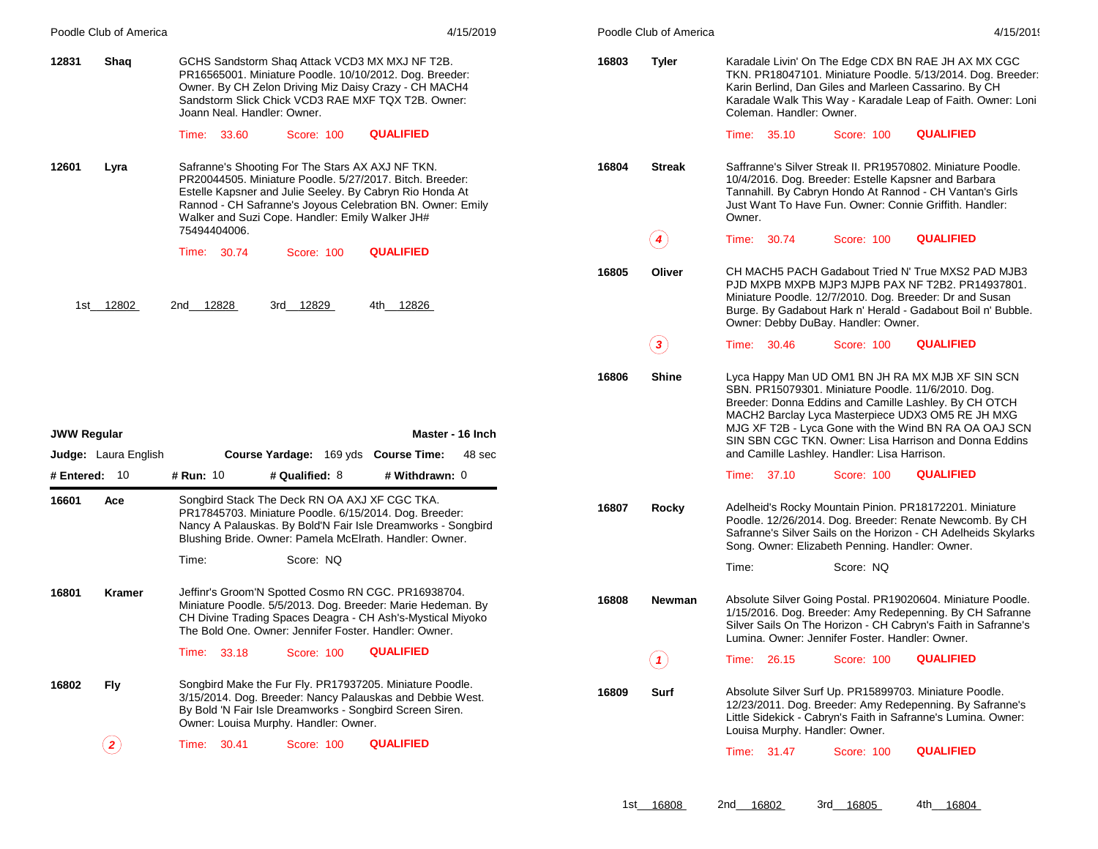| Poodle Club of America                            | 4/15/2019                                                                                                                                                                                                                                                                                                 | Poodle Club of America     | 4/15/2019                                                                                                                                                                                                                                                                                                                                                                               |
|---------------------------------------------------|-----------------------------------------------------------------------------------------------------------------------------------------------------------------------------------------------------------------------------------------------------------------------------------------------------------|----------------------------|-----------------------------------------------------------------------------------------------------------------------------------------------------------------------------------------------------------------------------------------------------------------------------------------------------------------------------------------------------------------------------------------|
| 12831<br>Shaq                                     | GCHS Sandstorm Shaq Attack VCD3 MX MXJ NF T2B.<br>PR16565001. Miniature Poodle. 10/10/2012. Dog. Breeder:<br>Owner. By CH Zelon Driving Miz Daisy Crazy - CH MACH4<br>Sandstorm Slick Chick VCD3 RAE MXF TQX T2B. Owner:<br>Joann Neal, Handler: Owner.                                                   | 16803<br><b>Tyler</b>      | Karadale Livin' On The Edge CDX BN RAE JH AX MX CGC<br>TKN. PR18047101. Miniature Poodle. 5/13/2014. Dog. Breeder:<br>Karin Berlind, Dan Giles and Marleen Cassarino. By CH<br>Karadale Walk This Way - Karadale Leap of Faith. Owner: Loni<br>Coleman. Handler: Owner.                                                                                                                 |
|                                                   | <b>QUALIFIED</b><br>Time: 33.60<br>Score: 100                                                                                                                                                                                                                                                             |                            | <b>QUALIFIED</b><br>Time: 35.10<br><b>Score: 100</b>                                                                                                                                                                                                                                                                                                                                    |
| 12601<br>Lyra                                     | Safranne's Shooting For The Stars AX AXJ NF TKN.<br>PR20044505. Miniature Poodle. 5/27/2017. Bitch. Breeder:<br>Estelle Kapsner and Julie Seeley. By Cabryn Rio Honda At<br>Rannod - CH Safranne's Joyous Celebration BN. Owner: Emily<br>Walker and Suzi Cope. Handler: Emily Walker JH#<br>75494404006. | 16804<br><b>Streak</b>     | Saffranne's Silver Streak II. PR19570802. Miniature Poodle.<br>10/4/2016. Dog. Breeder: Estelle Kapsner and Barbara<br>Tannahill. By Cabryn Hondo At Rannod - CH Vantan's Girls<br>Just Want To Have Fun. Owner: Connie Griffith. Handler:<br>Owner.                                                                                                                                    |
|                                                   | <b>QUALIFIED</b><br>Time: 30.74<br>Score: 100                                                                                                                                                                                                                                                             | $\left( \textbf{4}\right)$ | <b>QUALIFIED</b><br>30.74<br>Time:<br>Score: 100                                                                                                                                                                                                                                                                                                                                        |
| 1st 12802                                         | 3rd 12829<br>4th 12826<br>2nd 12828                                                                                                                                                                                                                                                                       | 16805<br>Oliver            | CH MACH5 PACH Gadabout Tried N' True MXS2 PAD MJB3<br>PJD MXPB MXPB MJP3 MJPB PAX NF T2B2. PR14937801.<br>Miniature Poodle. 12/7/2010. Dog. Breeder: Dr and Susan<br>Burge. By Gadabout Hark n' Herald - Gadabout Boil n' Bubble.<br>Owner: Debby DuBay. Handler: Owner.                                                                                                                |
|                                                   |                                                                                                                                                                                                                                                                                                           | $\bf{(3)}$                 | <b>QUALIFIED</b><br>Time: 30.46<br>Score: 100                                                                                                                                                                                                                                                                                                                                           |
| <b>JWW Regular</b><br><b>Judge:</b> Laura English | Master - 16 Inch<br>Course Yardage: 169 yds Course Time:<br>48 sec                                                                                                                                                                                                                                        | 16806<br>Shine             | Lyca Happy Man UD OM1 BN JH RA MX MJB XF SIN SCN<br>SBN. PR15079301. Miniature Poodle. 11/6/2010. Dog.<br>Breeder: Donna Eddins and Camille Lashley. By CH OTCH<br>MACH2 Barclay Lyca Masterpiece UDX3 OM5 RE JH MXG<br>MJG XF T2B - Lyca Gone with the Wind BN RA OA OAJ SCN<br>SIN SBN CGC TKN. Owner: Lisa Harrison and Donna Eddins<br>and Camille Lashley. Handler: Lisa Harrison. |
| # Entered: 10                                     | # Run: 10<br># Qualified: 8<br># Withdrawn: 0                                                                                                                                                                                                                                                             |                            | <b>QUALIFIED</b><br>Time: 37.10<br>Score: 100                                                                                                                                                                                                                                                                                                                                           |
| 16601<br>Ace                                      | Songbird Stack The Deck RN OA AXJ XF CGC TKA.<br>PR17845703. Miniature Poodle. 6/15/2014. Dog. Breeder:<br>Nancy A Palauskas. By Bold'N Fair Isle Dreamworks - Songbird<br>Blushing Bride. Owner: Pamela McElrath. Handler: Owner.                                                                        | 16807<br>Rocky             | Adelheid's Rocky Mountain Pinion. PR18172201. Miniature<br>Poodle. 12/26/2014. Dog. Breeder: Renate Newcomb. By CH<br>Safranne's Silver Sails on the Horizon - CH Adelheids Skylarks<br>Song. Owner: Elizabeth Penning. Handler: Owner.                                                                                                                                                 |
|                                                   | Score: NQ<br>Time:                                                                                                                                                                                                                                                                                        |                            | Time:<br>Score: NQ                                                                                                                                                                                                                                                                                                                                                                      |
| 16801<br>Kramer                                   | Jeffinr's Groom'N Spotted Cosmo RN CGC. PR16938704.<br>Miniature Poodle. 5/5/2013. Dog. Breeder: Marie Hedeman. By<br>CH Divine Trading Spaces Deagra - CH Ash's-Mystical Miyoko<br>The Bold One. Owner: Jennifer Foster. Handler: Owner.                                                                 | 16808<br>Newman            | Absolute Silver Going Postal. PR19020604. Miniature Poodle.<br>1/15/2016. Dog. Breeder: Amy Redepenning. By CH Safranne<br>Silver Sails On The Horizon - CH Cabryn's Faith in Safranne's<br>Lumina. Owner: Jennifer Foster. Handler: Owner.                                                                                                                                             |
|                                                   | <b>QUALIFIED</b><br>Time: 33.18<br>Score: 100                                                                                                                                                                                                                                                             | $\left( \mathbf{1}\right)$ | <b>QUALIFIED</b><br>Time: 26.15<br>Score: 100                                                                                                                                                                                                                                                                                                                                           |
| <b>Fly</b><br>16802                               | Songbird Make the Fur Fly. PR17937205. Miniature Poodle.<br>3/15/2014. Dog. Breeder: Nancy Palauskas and Debbie West.<br>By Bold 'N Fair Isle Dreamworks - Songbird Screen Siren.<br>Owner: Louisa Murphy. Handler: Owner.                                                                                | 16809<br>Surf              | Absolute Silver Surf Up. PR15899703. Miniature Poodle.<br>12/23/2011. Dog. Breeder: Amy Redepenning. By Safranne's<br>Little Sidekick - Cabryn's Faith in Safranne's Lumina. Owner:<br>Louisa Murphy. Handler: Owner.                                                                                                                                                                   |
| $\bf(2)$                                          | Time: 30.41<br><b>QUALIFIED</b><br>Score: 100                                                                                                                                                                                                                                                             |                            | <b>QUALIFIED</b><br>Time: 31.47<br>Score: 100                                                                                                                                                                                                                                                                                                                                           |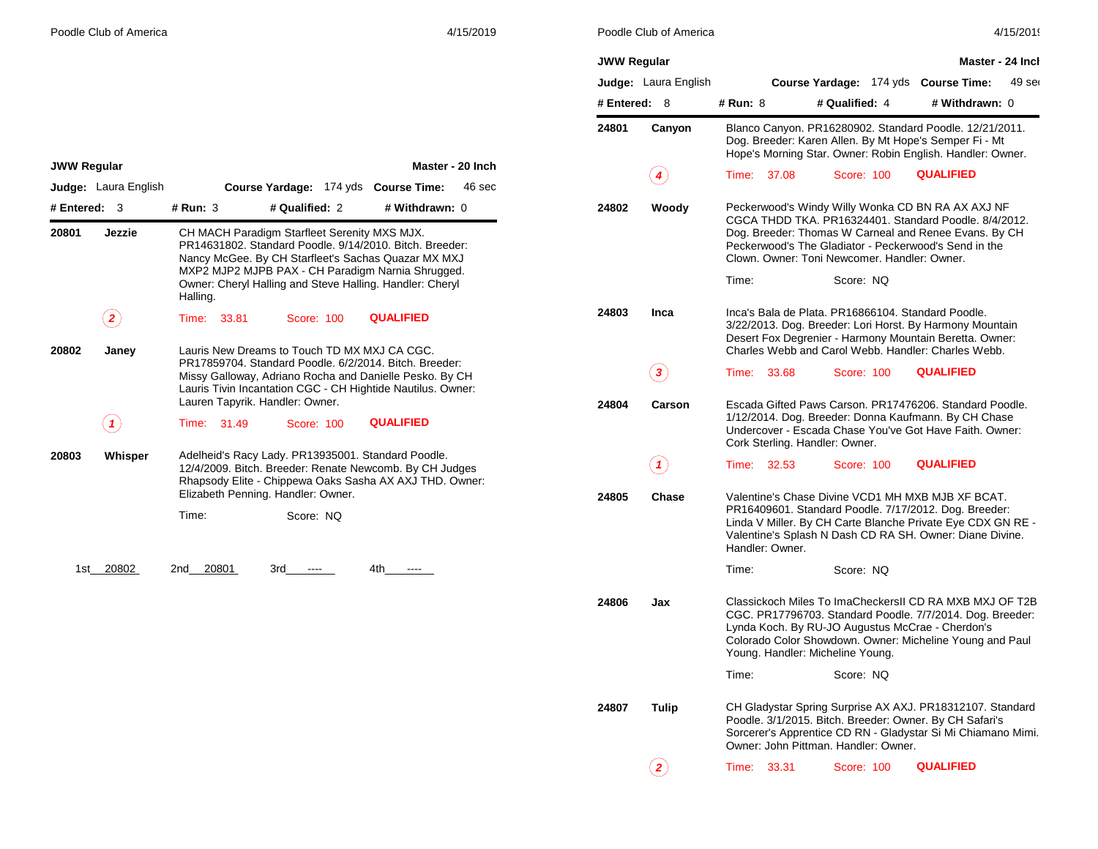| 4/15/2019 |  |  |
|-----------|--|--|
|           |  |  |

| <b>JWW Regular</b> |                      |          |                                              |                |                                                                                                                                                                                                                                       | Master - 24 Incl |
|--------------------|----------------------|----------|----------------------------------------------|----------------|---------------------------------------------------------------------------------------------------------------------------------------------------------------------------------------------------------------------------------------|------------------|
|                    | Judge: Laura English |          |                                              |                | Course Yardage: 174 yds Course Time:                                                                                                                                                                                                  | $49$ ser         |
| # Entered:         | 8                    | # Run: 8 |                                              | # Qualified: 4 | # Withdrawn: 0                                                                                                                                                                                                                        |                  |
| 24801              | Canyon               |          |                                              |                | Blanco Canyon. PR16280902. Standard Poodle. 12/21/2011.<br>Dog. Breeder: Karen Allen. By Mt Hope's Semper Fi - Mt<br>Hope's Morning Star. Owner: Robin English. Handler: Owner.                                                       |                  |
|                    |                      | Time:    | 37.08                                        | Score: 100     | <b>QUALIFIED</b>                                                                                                                                                                                                                      |                  |
| 24802              | Woody                |          | Clown, Owner: Toni Newcomer, Handler: Owner, |                | Peckerwood's Windy Willy Wonka CD BN RA AX AXJ NF<br>CGCA THDD TKA, PR16324401, Standard Poodle, 8/4/2012.<br>Dog. Breeder: Thomas W Carneal and Renee Evans. By CH<br>Peckerwood's The Gladiator - Peckerwood's Send in the          |                  |
|                    |                      | Time:    |                                              | Score: NQ      |                                                                                                                                                                                                                                       |                  |
| 24803              | Inca                 |          |                                              |                | Inca's Bala de Plata, PR16866104, Standard Poodle.<br>3/22/2013. Dog. Breeder: Lori Horst. By Harmony Mountain<br>Desert Fox Degrenier - Harmony Mountain Beretta. Owner:<br>Charles Webb and Carol Webb, Handler: Charles Webb,      |                  |
|                    | 3                    | Time:    | 33.68                                        | Score: 100     | <b>QUALIFIED</b>                                                                                                                                                                                                                      |                  |
| 24804              | Carson               |          | Cork Sterling. Handler: Owner.               |                | Escada Gifted Paws Carson. PR17476206. Standard Poodle.<br>1/12/2014. Dog. Breeder: Donna Kaufmann. By CH Chase<br>Undercover - Escada Chase You've Got Have Faith, Owner:                                                            |                  |
|                    | 1                    | Time:    | 32.53                                        | Score: 100     | <b>QUALIFIED</b>                                                                                                                                                                                                                      |                  |
| 24805              | Chase                |          | Handler: Owner.                              |                | Valentine's Chase Divine VCD1 MH MXB MJB XF BCAT.<br>PR16409601. Standard Poodle. 7/17/2012. Dog. Breeder:<br>Linda V Miller. By CH Carte Blanche Private Eye CDX GN RE -<br>Valentine's Splash N Dash CD RA SH. Owner: Diane Divine. |                  |
|                    |                      | Time:    |                                              | Score: NQ      |                                                                                                                                                                                                                                       |                  |
| 24806              | Jax                  |          | Young. Handler: Micheline Young.             |                | Classickoch Miles To ImaCheckersII CD RA MXB MXJ OF T2B<br>CGC. PR17796703. Standard Poodle. 7/7/2014. Dog. Breeder:<br>Lynda Koch. By RU-JO Augustus McCrae - Cherdon's<br>Colorado Color Showdown. Owner: Micheline Young and Paul  |                  |
|                    |                      | Time:    |                                              | Score: NQ      |                                                                                                                                                                                                                                       |                  |
| 24807              | Tulip                |          | Owner: John Pittman. Handler: Owner.         |                | CH Gladystar Spring Surprise AX AXJ. PR18312107. Standard<br>Poodle. 3/1/2015. Bitch. Breeder: Owner. By CH Safari's<br>Sorcerer's Apprentice CD RN - Gladystar Si Mi Chiamano Mimi.                                                  |                  |
|                    |                      | Time:    | 33.31                                        | Score: 100     | <b>QUALIFIED</b>                                                                                                                                                                                                                      |                  |
|                    |                      |          |                                              |                |                                                                                                                                                                                                                                       |                  |

| <b>JWW Regular</b> |                             |              |                                                                                          |                                                                                                                                                                                                                                 | Master - 20 Inch |
|--------------------|-----------------------------|--------------|------------------------------------------------------------------------------------------|---------------------------------------------------------------------------------------------------------------------------------------------------------------------------------------------------------------------------------|------------------|
|                    | <b>Judge:</b> Laura English |              | Course Yardage: 174 yds Course Time:                                                     |                                                                                                                                                                                                                                 | 46 sec           |
| # Entered:         | 3                           | # Run: 3     | # Qualified: 2                                                                           | # Withdrawn: 0                                                                                                                                                                                                                  |                  |
| 20801              | Jezzie                      | Halling.     | CH MACH Paradigm Starfleet Serenity MXS MJX.                                             | PR14631802. Standard Poodle. 9/14/2010. Bitch. Breeder:<br>Nancy McGee. By CH Starfleet's Sachas Quazar MX MXJ<br>MXP2 MJP2 MJPB PAX - CH Paradigm Narnia Shrugged.<br>Owner: Cheryl Halling and Steve Halling. Handler: Cheryl |                  |
|                    | 2                           | Time:        | Score: 100<br>33.81                                                                      | <b>QUALIFIED</b>                                                                                                                                                                                                                |                  |
| 20802              | Janey                       |              | Lauris New Dreams to Touch TD MX MXJ CA CGC.<br>Lauren Tapyrik. Handler: Owner.          | PR17859704. Standard Poodle. 6/2/2014. Bitch. Breeder:<br>Missy Galloway, Adriano Rocha and Danielle Pesko. By CH<br>Lauris Tivin Incantation CGC - CH Hightide Nautilus. Owner:                                                |                  |
|                    | 1                           | Time:        | Score: 100<br>31.49                                                                      | <b>QUALIFIED</b>                                                                                                                                                                                                                |                  |
| 20803              | Whisper                     |              | Adelheid's Racy Lady. PR13935001. Standard Poodle.<br>Elizabeth Penning. Handler: Owner. | 12/4/2009. Bitch. Breeder: Renate Newcomb. By CH Judges<br>Rhapsody Elite - Chippewa Oaks Sasha AX AXJ THD. Owner:                                                                                                              |                  |
|                    |                             | Time:        | Score: NQ                                                                                |                                                                                                                                                                                                                                 |                  |
|                    | 1st 20802                   | 20801<br>2nd | 3rd                                                                                      | 4th -                                                                                                                                                                                                                           |                  |
|                    |                             |              |                                                                                          |                                                                                                                                                                                                                                 |                  |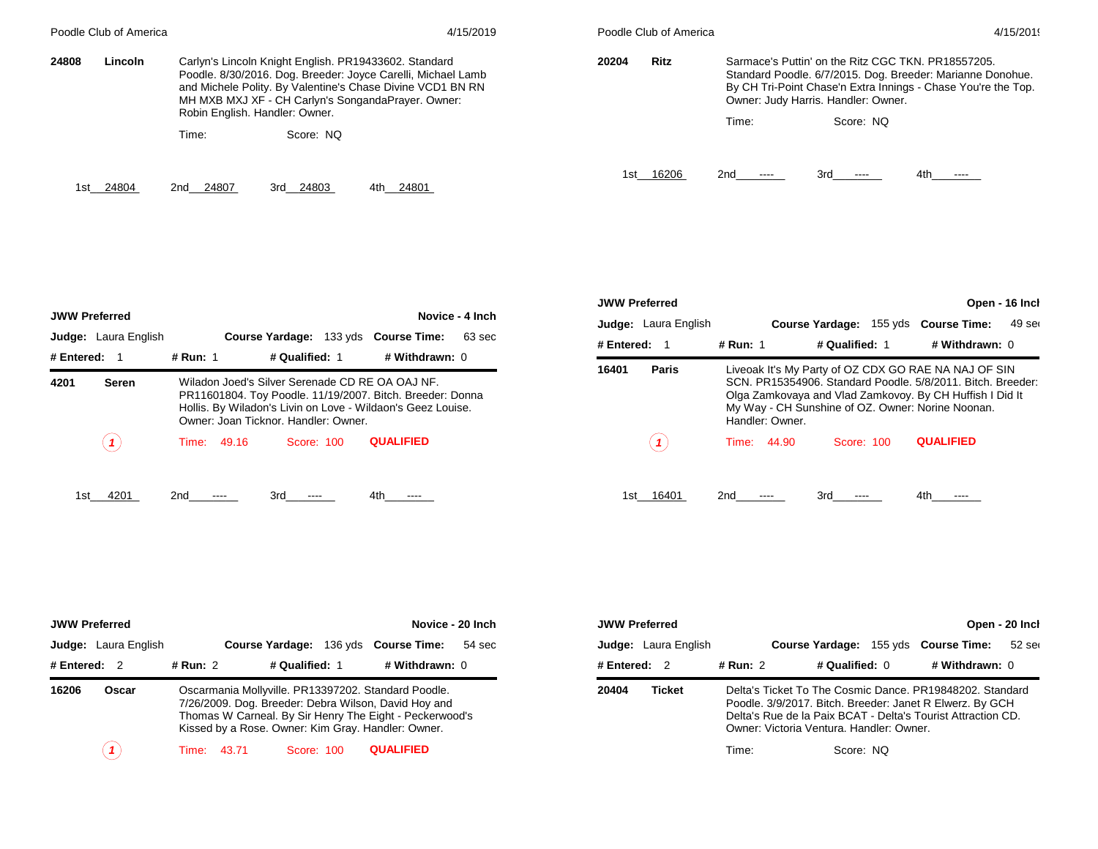| Poodle Club of America |              |                                                                                                                                                                                                                                                                             | 4/15/2019            |              | Poodle Club of America | 4/15/2019                                                                                                                                                                                                                             |              |          |
|------------------------|--------------|-----------------------------------------------------------------------------------------------------------------------------------------------------------------------------------------------------------------------------------------------------------------------------|----------------------|--------------|------------------------|---------------------------------------------------------------------------------------------------------------------------------------------------------------------------------------------------------------------------------------|--------------|----------|
| 24808<br>Lincoln       |              | Carlyn's Lincoln Knight English. PR19433602. Standard<br>Poodle. 8/30/2016. Dog. Breeder: Joyce Carelli, Michael Lamb<br>and Michele Polity. By Valentine's Chase Divine VCD1 BN RN<br>MH MXB MXJ XF - CH Carlyn's SongandaPrayer. Owner:<br>Robin English. Handler: Owner. | <b>Ritz</b><br>20204 |              | Time:                  | Sarmace's Puttin' on the Ritz CGC TKN, PR18557205.<br>Standard Poodle. 6/7/2015. Dog. Breeder: Marianne Donohue.<br>By CH Tri-Point Chase'n Extra Innings - Chase You're the Top.<br>Owner: Judy Harris. Handler: Owner.<br>Score: NO |              |          |
|                        | Time:        | Score: NO                                                                                                                                                                                                                                                                   |                      |              |                        |                                                                                                                                                                                                                                       |              |          |
| 24804<br>1st           | 24807<br>2nd | 24803<br>3rd<br>4th                                                                                                                                                                                                                                                         | 24801                | 16206<br>1st |                        | 2nd<br>-----                                                                                                                                                                                                                          | 3rd<br>----- | 4th ---- |

| <b>JWW Preferred</b>                                                                                                                                                                                                                        |                             |          |             |                |  |                                      | Novice - 4 Inch |
|---------------------------------------------------------------------------------------------------------------------------------------------------------------------------------------------------------------------------------------------|-----------------------------|----------|-------------|----------------|--|--------------------------------------|-----------------|
|                                                                                                                                                                                                                                             | <b>Judge:</b> Laura English |          |             |                |  | Course Yardage: 133 yds Course Time: | 63 sec          |
| # Entered: $1$                                                                                                                                                                                                                              |                             | # Run: 1 |             | # Qualified: 1 |  | # Withdrawn: 0                       |                 |
| Wiladon Joed's Silver Serenade CD RE OA OAJ NF.<br>4201<br><b>Seren</b><br>PR11601804. Toy Poodle. 11/19/2007. Bitch. Breeder: Donna<br>Hollis. By Wiladon's Livin on Love - Wildaon's Geez Louise.<br>Owner: Joan Ticknor, Handler: Owner, |                             |          |             |                |  |                                      |                 |
|                                                                                                                                                                                                                                             |                             |          | Time: 49.16 | Score: 100     |  | <b>QUALIFIED</b>                     |                 |
| 1st                                                                                                                                                                                                                                         | 4201                        | 2nd      |             | 3rd            |  | 4th                                  |                 |

| <b>JWW Preferred</b> |                             |          |                 |                | Open - 16 Inch                                                                                                                                                                                                                       |        |  |
|----------------------|-----------------------------|----------|-----------------|----------------|--------------------------------------------------------------------------------------------------------------------------------------------------------------------------------------------------------------------------------------|--------|--|
|                      | <b>Judge:</b> Laura English |          |                 |                | Course Yardage: 155 yds Course Time:                                                                                                                                                                                                 | 49 ser |  |
| # Entered:           | $\overline{1}$              | # Run: 1 |                 | # Qualified: 1 | # Withdrawn: 0                                                                                                                                                                                                                       |        |  |
| 16401                | Paris                       |          | Handler: Owner. |                | Liveoak It's My Party of OZ CDX GO RAE NA NAJ OF SIN<br>SCN. PR15354906. Standard Poodle, 5/8/2011. Bitch. Breeder:<br>Olga Zamkovaya and Vlad Zamkovoy. By CH Huffish I Did It<br>My Way - CH Sunshine of OZ. Owner: Norine Noonan. |        |  |
|                      |                             |          | Time: 44.90     | Score: 100     | <b>QUALIFIED</b>                                                                                                                                                                                                                     |        |  |
| 1st                  | 16401                       | 2nd      |                 | 3rd            | 4th                                                                                                                                                                                                                                  |        |  |

|                | <b>JWW Preferred</b><br>Novice - 20 Inch |          |       |                |  |                                                                                                                                                                                                                              |        |  |  |  |  |
|----------------|------------------------------------------|----------|-------|----------------|--|------------------------------------------------------------------------------------------------------------------------------------------------------------------------------------------------------------------------------|--------|--|--|--|--|
|                | <b>Judge:</b> Laura English              |          |       |                |  | Course Yardage: 136 yds Course Time:                                                                                                                                                                                         | 54 sec |  |  |  |  |
| # Entered: $2$ |                                          | # Run: 2 |       | # Qualified: 1 |  | # Withdrawn: 0                                                                                                                                                                                                               |        |  |  |  |  |
| 16206          | Oscar                                    |          |       |                |  | Oscarmania Mollyville. PR13397202. Standard Poodle.<br>7/26/2009. Dog. Breeder: Debra Wilson, David Hoy and<br>Thomas W Carneal. By Sir Henry The Eight - Peckerwood's<br>Kissed by a Rose. Owner: Kim Gray. Handler: Owner. |        |  |  |  |  |
|                |                                          | Time:    | 43.71 | Score: 100     |  | <b>QUALIFIED</b>                                                                                                                                                                                                             |        |  |  |  |  |

|                | <b>JWW Preferred</b><br>Open - 20 Inch |          |                                                                                                                                                                                                                                               |  |                |          |  |  |  |  |
|----------------|----------------------------------------|----------|-----------------------------------------------------------------------------------------------------------------------------------------------------------------------------------------------------------------------------------------------|--|----------------|----------|--|--|--|--|
|                | <b>Judge:</b> Laura English            |          | Course Yardage: 155 yds Course Time:                                                                                                                                                                                                          |  |                | $52$ ser |  |  |  |  |
| # Entered: $2$ |                                        | # Run: 2 | # Qualified: 0                                                                                                                                                                                                                                |  | # Withdrawn: 0 |          |  |  |  |  |
| 20404          | <b>Ticket</b>                          | Time:    | Delta's Ticket To The Cosmic Dance. PR19848202. Standard<br>Poodle. 3/9/2017. Bitch. Breeder: Janet R Elwerz. By GCH<br>Delta's Rue de la Paix BCAT - Delta's Tourist Attraction CD.<br>Owner: Victoria Ventura, Handler: Owner,<br>Score: NO |  |                |          |  |  |  |  |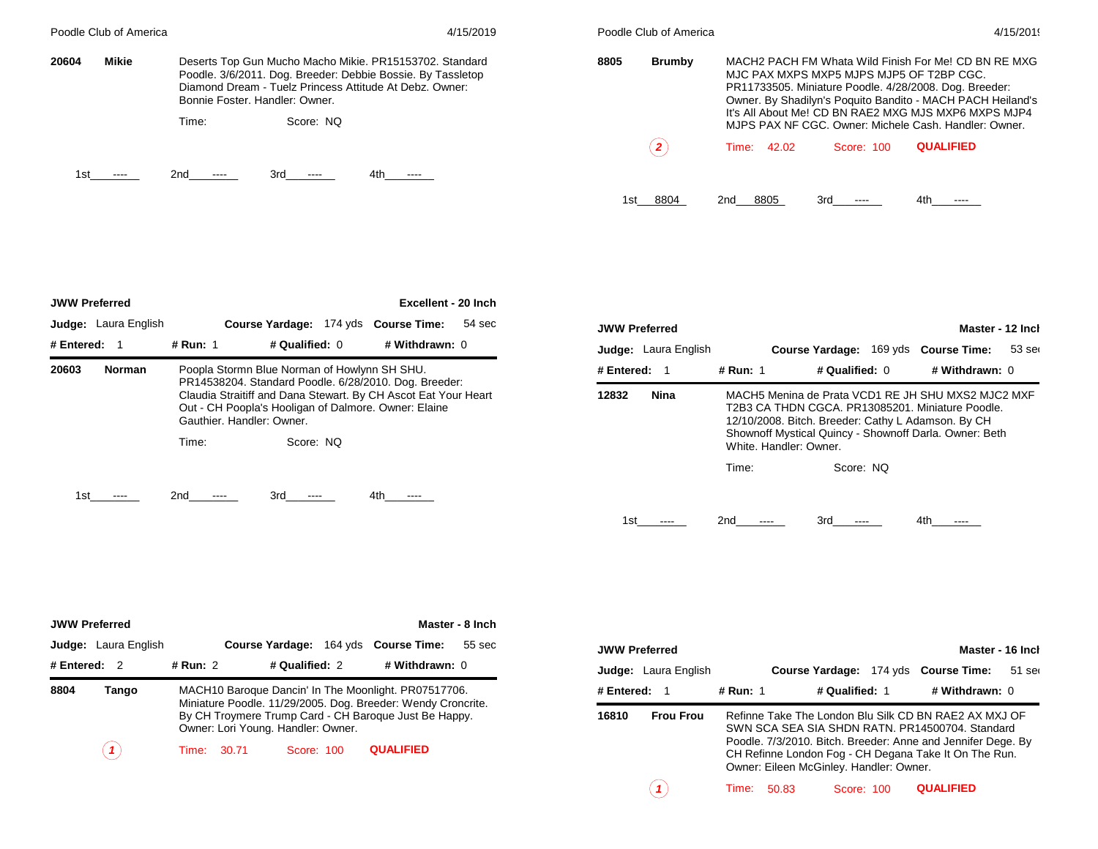|       | Poodle Club of America |       |                                                                                                                                                                                                                     | 4/15/2019        |      | Poodle Club of America |                                                                                                                                                                                                                                                                                  |            | 4/15/2019                                                                 |  |  |
|-------|------------------------|-------|---------------------------------------------------------------------------------------------------------------------------------------------------------------------------------------------------------------------|------------------|------|------------------------|----------------------------------------------------------------------------------------------------------------------------------------------------------------------------------------------------------------------------------------------------------------------------------|------------|---------------------------------------------------------------------------|--|--|
| 20604 | Mikie                  |       | Deserts Top Gun Mucho Macho Mikie. PR15153702. Standard<br>Poodle. 3/6/2011. Dog. Breeder: Debbie Bossie. By Tassletop<br>Diamond Dream - Tuelz Princess Attitude At Debz. Owner:<br>Bonnie Foster, Handler: Owner. |                  | 8805 | Brumby                 | MACH2 PACH FM Whata Wild Finish For Me! CD BN RE MXG<br>MJC PAX MXPS MXP5 MJPS MJP5 OF T2BP CGC.<br>PR11733505. Miniature Poodle. 4/28/2008. Dog. Breeder:<br>Owner. By Shadilyn's Poquito Bandito - MACH PACH Heiland's<br>It's All About Me! CD BN RAE2 MXG MJS MXP6 MXPS MJP4 |            |                                                                           |  |  |
|       |                        | Time: | Score: NO                                                                                                                                                                                                           |                  |      | $\overline{2}$         | 42.02<br>Time:                                                                                                                                                                                                                                                                   | Score: 100 | MJPS PAX NF CGC, Owner: Michele Cash, Handler: Owner,<br><b>QUALIFIED</b> |  |  |
| 1st   |                        | 2nd   | 4th<br>3rd.<br>-----                                                                                                                                                                                                | <b>CONTINUES</b> |      |                        |                                                                                                                                                                                                                                                                                  |            |                                                                           |  |  |
|       |                        |       |                                                                                                                                                                                                                     |                  | 1st  | 8804                   | 8805<br>2nd.                                                                                                                                                                                                                                                                     | 3rd        | 4th                                                                       |  |  |

| <b>JWW Preferred</b> |                      |                           |                                              | Excellent - 20 Inch                                                                                                                                                             |        |
|----------------------|----------------------|---------------------------|----------------------------------------------|---------------------------------------------------------------------------------------------------------------------------------------------------------------------------------|--------|
|                      | Judge: Laura English |                           |                                              | Course Yardage: 174 yds Course Time:                                                                                                                                            | 54 sec |
| # Entered:           | $\blacksquare$       | # Run: 1                  | # Qualified: 0                               | # Withdrawn: 0                                                                                                                                                                  |        |
| 20603                | <b>Norman</b>        | Gauthier, Handler: Owner, | Poopla Stormn Blue Norman of Howlynn SH SHU. | PR14538204. Standard Poodle. 6/28/2010. Dog. Breeder:<br>Claudia Straitiff and Dana Stewart. By CH Ascot Eat Your Heart<br>Out - CH Poopla's Hooligan of Dalmore. Owner: Elaine |        |
|                      |                      | Time:                     | Score: NO                                    |                                                                                                                                                                                 |        |
| 1st                  |                      | 2nd                       | 3rd                                          | 4th.                                                                                                                                                                            |        |

| <b>JWW Preferred</b> |                      |          |                        |                |                                                                                                                                                                                                                        | Master - 12 Inch |
|----------------------|----------------------|----------|------------------------|----------------|------------------------------------------------------------------------------------------------------------------------------------------------------------------------------------------------------------------------|------------------|
|                      | Judge: Laura English |          |                        |                | Course Yardage: 169 yds Course Time:                                                                                                                                                                                   | $53$ ser         |
| # Entered:           | - 1                  | # Run: 1 |                        | # Qualified: 0 | # Withdrawn: 0                                                                                                                                                                                                         |                  |
| 12832                | Nina                 |          | White, Handler: Owner. |                | MACH5 Menina de Prata VCD1 RE JH SHU MXS2 MJC2 MXF<br>T2B3 CA THDN CGCA, PR13085201, Miniature Poodle,<br>12/10/2008. Bitch. Breeder: Cathy L Adamson. By CH<br>Shownoff Mystical Quincy - Shownoff Darla. Owner: Beth |                  |
|                      |                      | Time:    |                        | Score: NO      |                                                                                                                                                                                                                        |                  |
| 1st                  |                      | 2nd      |                        | 3rd            | 4th                                                                                                                                                                                                                    |                  |

| <b>JWW Preferred</b> |                             |            |                                    |                |                                                                                                                                                                               | Master - 8 Inch |
|----------------------|-----------------------------|------------|------------------------------------|----------------|-------------------------------------------------------------------------------------------------------------------------------------------------------------------------------|-----------------|
|                      | <b>Judge:</b> Laura English |            |                                    |                | Course Yardage: 164 yds Course Time:                                                                                                                                          | 55 sec          |
| # Entered:           | - 2                         | # Run: $2$ |                                    | # Qualified: 2 | # Withdrawn: 0                                                                                                                                                                |                 |
| 8804                 | Tango                       |            | Owner: Lori Young. Handler: Owner. |                | MACH10 Baroque Dancin' In The Moonlight. PR07517706.<br>Miniature Poodle. 11/29/2005. Dog. Breeder: Wendy Croncrite.<br>By CH Troymere Trump Card - CH Baroque Just Be Happy. |                 |
|                      |                             | Time:      | 30.71                              | Score: 100     | <b>QUALIFIED</b>                                                                                                                                                              |                 |

| <b>JWW Preferred</b> |                             |          |                                         |                | Master - 16 Inch                                                                                                                                                                                                                  |          |
|----------------------|-----------------------------|----------|-----------------------------------------|----------------|-----------------------------------------------------------------------------------------------------------------------------------------------------------------------------------------------------------------------------------|----------|
|                      | <b>Judge:</b> Laura English |          |                                         |                | Course Yardage: 174 yds Course Time:                                                                                                                                                                                              | $51$ ser |
| # Entered: $1$       |                             | # Run: 1 |                                         | # Qualified: 1 | # Withdrawn: 0                                                                                                                                                                                                                    |          |
| 16810                | <b>Frou Frou</b>            |          | Owner: Eileen McGinley. Handler: Owner. |                | Refinne Take The London Blu Silk CD BN RAE2 AX MXJ OF<br>SWN SCA SEA SIA SHDN RATN, PR14500704, Standard<br>Poodle. 7/3/2010. Bitch. Breeder: Anne and Jennifer Dege. By<br>CH Refinne London Fog - CH Degana Take It On The Run. |          |
|                      |                             | Time:    | 50.83                                   | Score: 100     | <b>QUALIFIED</b>                                                                                                                                                                                                                  |          |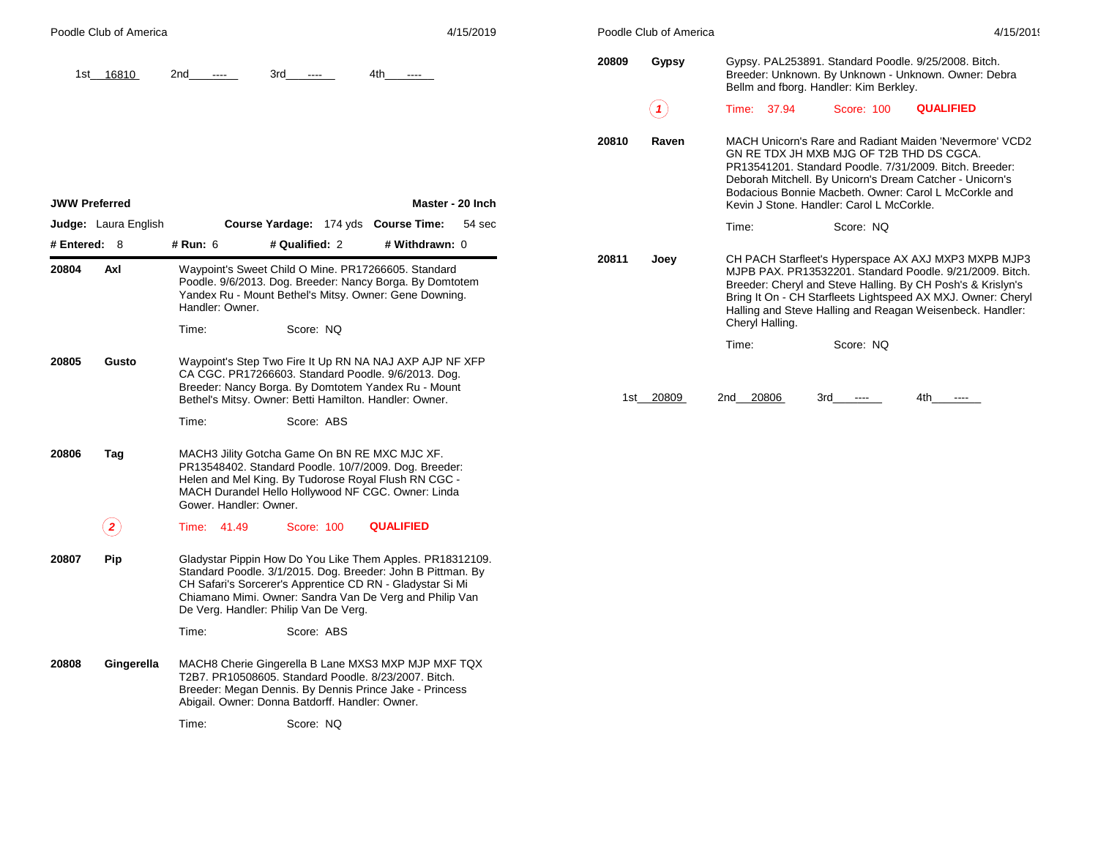|                         | Poodle Club of America      |                             |                                                                                                                                                                                                                                                                                           |                  | 4/15/2019        |       | Poodle Club of America |                 |                                                                                                | 4/15/2019                                                                                                                                                                                                                                                                                                    |
|-------------------------|-----------------------------|-----------------------------|-------------------------------------------------------------------------------------------------------------------------------------------------------------------------------------------------------------------------------------------------------------------------------------------|------------------|------------------|-------|------------------------|-----------------|------------------------------------------------------------------------------------------------|--------------------------------------------------------------------------------------------------------------------------------------------------------------------------------------------------------------------------------------------------------------------------------------------------------------|
|                         | 1st 16810                   | 2nd<br>$\cdots$             | 3rd<br>$\cdots$                                                                                                                                                                                                                                                                           | 4th<br>$\cdots$  |                  | 20809 | Gypsy                  |                 | Gypsy. PAL253891. Standard Poodle. 9/25/2008. Bitch.<br>Bellm and fborg. Handler: Kim Berkley. | Breeder: Unknown. By Unknown - Unknown. Owner: Debra                                                                                                                                                                                                                                                         |
|                         |                             |                             |                                                                                                                                                                                                                                                                                           |                  |                  |       | (1)                    | Time: 37.94     | Score: 100                                                                                     | <b>QUALIFIED</b>                                                                                                                                                                                                                                                                                             |
| <b>JWW Preferred</b>    |                             |                             |                                                                                                                                                                                                                                                                                           |                  | Master - 20 Inch | 20810 | Raven                  |                 | GN RE TDX JH MXB MJG OF T2B THD DS CGCA.<br>Kevin J Stone. Handler: Carol L McCorkle.          | MACH Unicorn's Rare and Radiant Maiden 'Nevermore' VCD2<br>PR13541201. Standard Poodle. 7/31/2009. Bitch. Breeder:<br>Deborah Mitchell. By Unicorn's Dream Catcher - Unicorn's<br>Bodacious Bonnie Macbeth. Owner: Carol L McCorkle and                                                                      |
|                         | <b>Judge:</b> Laura English |                             | Course Yardage: 174 yds Course Time:                                                                                                                                                                                                                                                      |                  | 54 sec           |       |                        | Time:           | Score: NQ                                                                                      |                                                                                                                                                                                                                                                                                                              |
| # Entered: $8$<br>20804 | Axl                         | # Run: 6<br>Handler: Owner. | # Qualified: 2<br>Waypoint's Sweet Child O Mine. PR17266605. Standard<br>Poodle. 9/6/2013. Dog. Breeder: Nancy Borga. By Domtotem<br>Yandex Ru - Mount Bethel's Mitsy. Owner: Gene Downing.                                                                                               | # Withdrawn: 0   |                  | 20811 | Joey                   | Cheryl Halling. |                                                                                                | CH PACH Starfleet's Hyperspace AX AXJ MXP3 MXPB MJP3<br>MJPB PAX. PR13532201. Standard Poodle. 9/21/2009. Bitch.<br>Breeder: Cheryl and Steve Halling. By CH Posh's & Krislyn's<br>Bring It On - CH Starfleets Lightspeed AX MXJ. Owner: Cheryl<br>Halling and Steve Halling and Reagan Weisenbeck. Handler: |
|                         |                             | Time:                       | Score: NQ                                                                                                                                                                                                                                                                                 |                  |                  |       |                        | Time:           | Score: NO                                                                                      |                                                                                                                                                                                                                                                                                                              |
| 20805                   | Gusto                       |                             | Waypoint's Step Two Fire It Up RN NA NAJ AXP AJP NF XFP<br>CA CGC. PR17266603. Standard Poodle. 9/6/2013. Dog.<br>Breeder: Nancy Borga. By Domtotem Yandex Ru - Mount<br>Bethel's Mitsy. Owner: Betti Hamilton. Handler: Owner.                                                           |                  |                  |       | 1st 20809              | 2nd 20806       | 3rd<br>$\sim$ $\sim$                                                                           | 4th l<br>$\sim$ $\sim$ $\sim$                                                                                                                                                                                                                                                                                |
|                         |                             | Time:                       | Score: ABS                                                                                                                                                                                                                                                                                |                  |                  |       |                        |                 |                                                                                                |                                                                                                                                                                                                                                                                                                              |
| 20806                   | Tag                         | Gower. Handler: Owner.      | MACH3 Jility Gotcha Game On BN RE MXC MJC XF.<br>PR13548402. Standard Poodle. 10/7/2009. Dog. Breeder:<br>Helen and Mel King. By Tudorose Royal Flush RN CGC -<br>MACH Durandel Hello Hollywood NF CGC. Owner: Linda                                                                      |                  |                  |       |                        |                 |                                                                                                |                                                                                                                                                                                                                                                                                                              |
|                         | $\mathbf{2} \mathbf{)}$     | Time: 41.49                 | <b>Score: 100</b>                                                                                                                                                                                                                                                                         | <b>QUALIFIED</b> |                  |       |                        |                 |                                                                                                |                                                                                                                                                                                                                                                                                                              |
| 20807                   | <b>Pip</b>                  |                             | Gladystar Pippin How Do You Like Them Apples. PR18312109.<br>Standard Poodle. 3/1/2015. Dog. Breeder: John B Pittman. By<br>CH Safari's Sorcerer's Apprentice CD RN - Gladystar Si Mi<br>Chiamano Mimi. Owner: Sandra Van De Verg and Philip Van<br>De Verg. Handler: Philip Van De Verg. |                  |                  |       |                        |                 |                                                                                                |                                                                                                                                                                                                                                                                                                              |
|                         |                             | Time:                       | Score: ABS                                                                                                                                                                                                                                                                                |                  |                  |       |                        |                 |                                                                                                |                                                                                                                                                                                                                                                                                                              |
| 20808                   | Gingerella                  |                             | MACH8 Cherie Gingerella B Lane MXS3 MXP MJP MXF TQX<br>T2B7. PR10508605. Standard Poodle. 8/23/2007. Bitch.                                                                                                                                                                               |                  |                  |       |                        |                 |                                                                                                |                                                                                                                                                                                                                                                                                                              |

Time: Score: NQ

Breeder: Megan Dennis. By Dennis Prince Jake - Princess

Abigail. Owner: Donna Batdorff. Handler: Owner.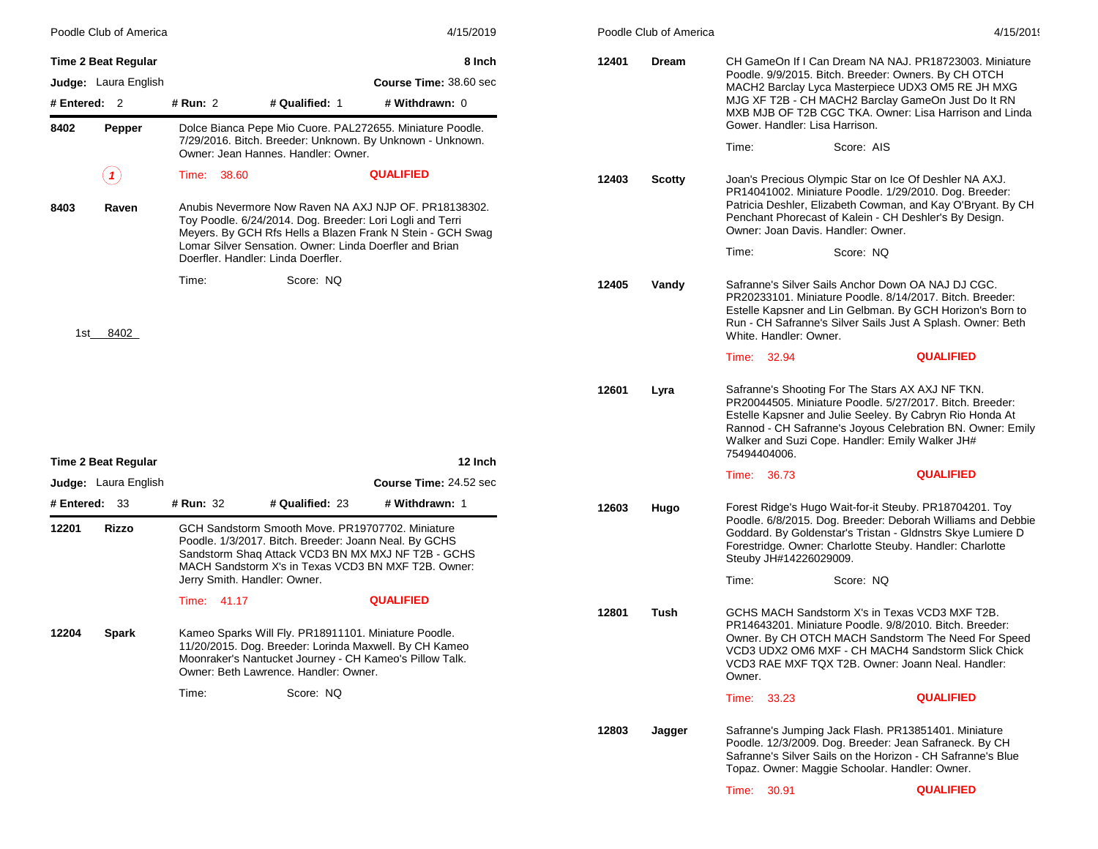|                        | Poodle Club of America      |             |                                                                                                                                                                                                                    | 4/15/2019                                                                                                                   |       | Poodle Club of America                                                                                                                                      |                                                                                                                                                                     |                                                                                                                                                                                                                                                                                           | 4/15/2019 |
|------------------------|-----------------------------|-------------|--------------------------------------------------------------------------------------------------------------------------------------------------------------------------------------------------------------------|-----------------------------------------------------------------------------------------------------------------------------|-------|-------------------------------------------------------------------------------------------------------------------------------------------------------------|---------------------------------------------------------------------------------------------------------------------------------------------------------------------|-------------------------------------------------------------------------------------------------------------------------------------------------------------------------------------------------------------------------------------------------------------------------------------------|-----------|
|                        | <b>Time 2 Beat Regular</b>  |             |                                                                                                                                                                                                                    | 8 Inch                                                                                                                      | 12401 | Dream                                                                                                                                                       | CH GameOn If I Can Dream NA NAJ. PR18723003. Miniature<br>Poodle. 9/9/2015. Bitch. Breeder: Owners. By CH OTCH<br>MACH2 Barclay Lyca Masterpiece UDX3 OM5 RE JH MXG |                                                                                                                                                                                                                                                                                           |           |
| # Entered: 2           | <b>Judge:</b> Laura English | # Run: 2    | # Qualified: 1                                                                                                                                                                                                     | Course Time: 38.60 sec<br># Withdrawn: 0                                                                                    |       |                                                                                                                                                             |                                                                                                                                                                     | MJG XF T2B - CH MACH2 Barclay GameOn Just Do It RN                                                                                                                                                                                                                                        |           |
|                        |                             |             |                                                                                                                                                                                                                    |                                                                                                                             |       |                                                                                                                                                             | Gower. Handler: Lisa Harrison.                                                                                                                                      | MXB MJB OF T2B CGC TKA. Owner: Lisa Harrison and Linda                                                                                                                                                                                                                                    |           |
| 8402                   | Pepper                      |             | Owner: Jean Hannes. Handler: Owner.                                                                                                                                                                                | Dolce Bianca Pepe Mio Cuore. PAL272655. Miniature Poodle.<br>7/29/2016. Bitch. Breeder: Unknown. By Unknown - Unknown.      |       |                                                                                                                                                             | Time:                                                                                                                                                               | Score: AIS                                                                                                                                                                                                                                                                                |           |
|                        | $( \mathbf{\ } 1)$          | Time: 38.60 |                                                                                                                                                                                                                    | <b>QUALIFIED</b>                                                                                                            | 12403 | <b>Scotty</b>                                                                                                                                               |                                                                                                                                                                     | Joan's Precious Olympic Star on Ice Of Deshler NA AXJ.<br>PR14041002. Miniature Poodle. 1/29/2010. Dog. Breeder:                                                                                                                                                                          |           |
| 8403                   | Raven                       |             | Toy Poodle. 6/24/2014. Dog. Breeder: Lori Logli and Terri                                                                                                                                                          | Anubis Nevermore Now Raven NA AXJ NJP OF, PR18138302.<br>Meyers. By GCH Rfs Hells a Blazen Frank N Stein - GCH Swag         |       | Patricia Deshler, Elizabeth Cowman, and Kay O'Bryant. By CH<br>Penchant Phorecast of Kalein - CH Deshler's By Design.<br>Owner: Joan Davis. Handler: Owner. |                                                                                                                                                                     |                                                                                                                                                                                                                                                                                           |           |
|                        |                             |             | Lomar Silver Sensation. Owner: Linda Doerfler and Brian<br>Doerfler. Handler: Linda Doerfler.                                                                                                                      |                                                                                                                             |       |                                                                                                                                                             | Time:                                                                                                                                                               | Score: NQ                                                                                                                                                                                                                                                                                 |           |
| 1st                    | 8402                        | Time:       | Score: NQ                                                                                                                                                                                                          |                                                                                                                             | 12405 | Vandy                                                                                                                                                       | White. Handler: Owner.                                                                                                                                              | Safranne's Silver Sails Anchor Down OA NAJ DJ CGC.<br>PR20233101. Miniature Poodle. 8/14/2017. Bitch. Breeder:<br>Estelle Kapsner and Lin Gelbman. By GCH Horizon's Born to<br>Run - CH Safranne's Silver Sails Just A Splash. Owner: Beth                                                |           |
|                        |                             |             |                                                                                                                                                                                                                    |                                                                                                                             |       |                                                                                                                                                             | Time: 32.94                                                                                                                                                         | <b>QUALIFIED</b>                                                                                                                                                                                                                                                                          |           |
|                        |                             |             |                                                                                                                                                                                                                    |                                                                                                                             | 12601 | Lyra                                                                                                                                                        | 75494404006.                                                                                                                                                        | Safranne's Shooting For The Stars AX AXJ NF TKN.<br>PR20044505. Miniature Poodle. 5/27/2017. Bitch. Breeder:<br>Estelle Kapsner and Julie Seeley. By Cabryn Rio Honda At<br>Rannod - CH Safranne's Joyous Celebration BN. Owner: Emily<br>Walker and Suzi Cope. Handler: Emily Walker JH# |           |
|                        | Time 2 Beat Regular         |             |                                                                                                                                                                                                                    | 12 Inch                                                                                                                     |       |                                                                                                                                                             | 36.73<br>Time:                                                                                                                                                      | <b>QUALIFIED</b>                                                                                                                                                                                                                                                                          |           |
|                        | Judge: Laura English        |             |                                                                                                                                                                                                                    | Course Time: 24.52 sec                                                                                                      |       |                                                                                                                                                             |                                                                                                                                                                     |                                                                                                                                                                                                                                                                                           |           |
| # Entered: 33<br>12201 | Rizzo                       | # Run: 32   | # Qualified: 23<br>GCH Sandstorm Smooth Move. PR19707702. Miniature<br>Poodle. 1/3/2017. Bitch. Breeder: Joann Neal. By GCHS                                                                                       | # Withdrawn: 1<br>Sandstorm Shaq Attack VCD3 BN MX MXJ NF T2B - GCHS<br>MACH Sandstorm X's in Texas VCD3 BN MXF T2B. Owner: | 12603 | Hugo                                                                                                                                                        | Steuby JH#14226029009.                                                                                                                                              | Forest Ridge's Hugo Wait-for-it Steuby. PR18704201. Toy<br>Poodle. 6/8/2015. Dog. Breeder: Deborah Williams and Debbie<br>Goddard. By Goldenstar's Tristan - Gldnstrs Skye Lumiere D<br>Forestridge. Owner: Charlotte Steuby. Handler: Charlotte                                          |           |
|                        |                             |             | Jerry Smith. Handler: Owner.                                                                                                                                                                                       |                                                                                                                             |       |                                                                                                                                                             | Time:                                                                                                                                                               | Score: NQ                                                                                                                                                                                                                                                                                 |           |
|                        |                             | Time: 41.17 |                                                                                                                                                                                                                    | <b>QUALIFIED</b>                                                                                                            | 12801 | Tush                                                                                                                                                        |                                                                                                                                                                     | GCHS MACH Sandstorm X's in Texas VCD3 MXF T2B.                                                                                                                                                                                                                                            |           |
| 12204                  | Spark                       |             | Kameo Sparks Will Fly. PR18911101. Miniature Poodle.<br>11/20/2015. Dog. Breeder: Lorinda Maxwell. By CH Kameo<br>Moonraker's Nantucket Journey - CH Kameo's Pillow Talk.<br>Owner: Beth Lawrence, Handler: Owner, |                                                                                                                             |       |                                                                                                                                                             | Owner.                                                                                                                                                              | PR14643201. Miniature Poodle. 9/8/2010. Bitch. Breeder:<br>Owner. By CH OTCH MACH Sandstorm The Need For Speed<br>VCD3 UDX2 OM6 MXF - CH MACH4 Sandstorm Slick Chick<br>VCD3 RAE MXF TQX T2B. Owner: Joann Neal. Handler:                                                                 |           |
|                        |                             | Time:       | Score: NQ                                                                                                                                                                                                          |                                                                                                                             |       |                                                                                                                                                             | Time: 33.23                                                                                                                                                         | <b>QUALIFIED</b>                                                                                                                                                                                                                                                                          |           |
|                        |                             |             |                                                                                                                                                                                                                    |                                                                                                                             | 12803 | Jagger                                                                                                                                                      |                                                                                                                                                                     | Safranne's Jumping Jack Flash. PR13851401. Miniature<br>Poodle. 12/3/2009. Dog. Breeder: Jean Safraneck. By CH<br>Safranne's Silver Sails on the Horizon - CH Safranne's Blue<br>Topaz. Owner: Maggie Schoolar. Handler: Owner.                                                           |           |
|                        |                             |             |                                                                                                                                                                                                                    |                                                                                                                             |       |                                                                                                                                                             | Time: 30.91                                                                                                                                                         | <b>QUALIFIED</b>                                                                                                                                                                                                                                                                          |           |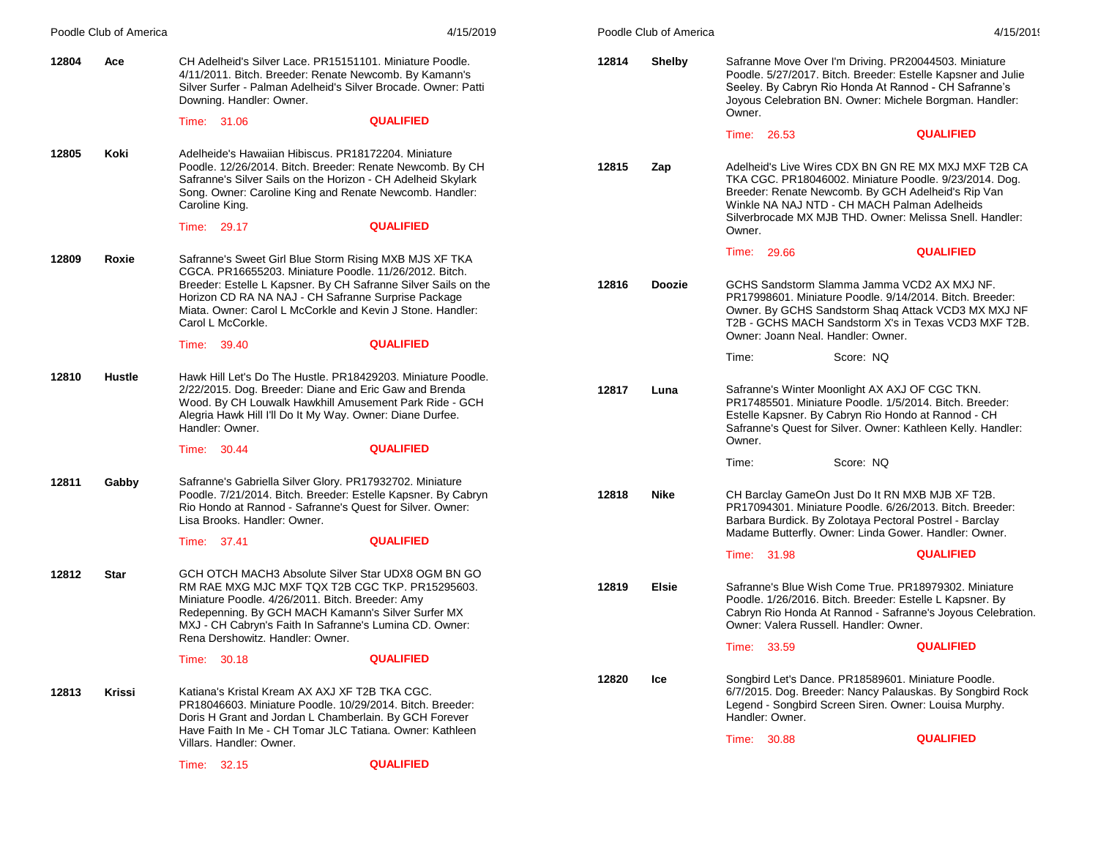|       | Poodle Club of America |                                                                                                                                                                                                       | 4/15/2019                                                                                                                                                                            |       | Poodle Club of America |                                | 4/15/2019                                                                                                                                                                                                                                                                        |
|-------|------------------------|-------------------------------------------------------------------------------------------------------------------------------------------------------------------------------------------------------|--------------------------------------------------------------------------------------------------------------------------------------------------------------------------------------|-------|------------------------|--------------------------------|----------------------------------------------------------------------------------------------------------------------------------------------------------------------------------------------------------------------------------------------------------------------------------|
| 12804 | Ace                    | CH Adelheid's Silver Lace. PR15151101. Miniature Poodle.<br>4/11/2011. Bitch. Breeder: Renate Newcomb. By Kamann's<br>Downing. Handler: Owner.                                                        | Silver Surfer - Palman Adelheid's Silver Brocade. Owner: Patti<br><b>QUALIFIED</b>                                                                                                   | 12814 | <b>Shelby</b>          | Owner.                         | Safranne Move Over I'm Driving. PR20044503. Miniature<br>Poodle. 5/27/2017. Bitch. Breeder: Estelle Kapsner and Julie<br>Seeley. By Cabryn Rio Honda At Rannod - CH Safranne's<br>Joyous Celebration BN. Owner: Michele Borgman. Handler:                                        |
|       |                        | Time: 31.06                                                                                                                                                                                           |                                                                                                                                                                                      |       |                        | Time: 26.53                    | <b>QUALIFIED</b>                                                                                                                                                                                                                                                                 |
| 12805 | Koki                   | Adelheide's Hawaiian Hibiscus. PR18172204. Miniature<br>Caroline King.                                                                                                                                | Poodle. 12/26/2014. Bitch. Breeder: Renate Newcomb. By CH<br>Safranne's Silver Sails on the Horizon - CH Adelheid Skylark<br>Song. Owner: Caroline King and Renate Newcomb. Handler: | 12815 | Zap                    |                                | Adelheid's Live Wires CDX BN GN RE MX MXJ MXF T2B CA<br>TKA CGC. PR18046002. Miniature Poodle. 9/23/2014. Dog.<br>Breeder: Renate Newcomb. By GCH Adelheid's Rip Van<br>Winkle NA NAJ NTD - CH MACH Palman Adelheids<br>Silverbrocade MX MJB THD. Owner: Melissa Snell. Handler: |
|       |                        | Time: 29.17                                                                                                                                                                                           | <b>QUALIFIED</b>                                                                                                                                                                     |       |                        | Owner.                         |                                                                                                                                                                                                                                                                                  |
| 12809 | Roxie                  | Safranne's Sweet Girl Blue Storm Rising MXB MJS XF TKA<br>CGCA. PR16655203. Miniature Poodle. 11/26/2012. Bitch.                                                                                      | Breeder: Estelle L Kapsner. By CH Safranne Silver Sails on the                                                                                                                       | 12816 | <b>Doozie</b>          | Time: 29.66                    | <b>QUALIFIED</b><br>GCHS Sandstorm Slamma Jamma VCD2 AX MXJ NF.                                                                                                                                                                                                                  |
|       |                        | Horizon CD RA NA NAJ - CH Safranne Surprise Package<br>Carol L McCorkle.                                                                                                                              | Miata, Owner: Carol L McCorkle and Kevin J Stone, Handler:                                                                                                                           |       |                        |                                | PR17998601. Miniature Poodle. 9/14/2014. Bitch. Breeder:<br>Owner. By GCHS Sandstorm Shaq Attack VCD3 MX MXJ NF<br>T2B - GCHS MACH Sandstorm X's in Texas VCD3 MXF T2B.<br>Owner: Joann Neal, Handler: Owner.                                                                    |
|       |                        | Time: 39.40                                                                                                                                                                                           | <b>QUALIFIED</b>                                                                                                                                                                     |       |                        |                                |                                                                                                                                                                                                                                                                                  |
|       |                        |                                                                                                                                                                                                       |                                                                                                                                                                                      |       |                        | Time:                          | Score: NQ                                                                                                                                                                                                                                                                        |
| 12810 | Hustle                 | 2/22/2015. Dog. Breeder: Diane and Eric Gaw and Brenda<br>Alegria Hawk Hill I'll Do It My Way. Owner: Diane Durfee.<br>Handler: Owner.                                                                | Hawk Hill Let's Do The Hustle, PR18429203, Miniature Poodle,<br>Wood. By CH Louwalk Hawkhill Amusement Park Ride - GCH                                                               | 12817 | Luna                   | Owner.                         | Safranne's Winter Moonlight AX AXJ OF CGC TKN.<br>PR17485501. Miniature Poodle. 1/5/2014. Bitch. Breeder:<br>Estelle Kapsner. By Cabryn Rio Hondo at Rannod - CH<br>Safranne's Quest for Silver. Owner: Kathleen Kelly. Handler:                                                 |
|       |                        | Time: 30.44                                                                                                                                                                                           | <b>QUALIFIED</b>                                                                                                                                                                     |       |                        | Time:                          | Score: NQ                                                                                                                                                                                                                                                                        |
| 12811 | Gabby                  | Safranne's Gabriella Silver Glory. PR17932702. Miniature<br>Rio Hondo at Rannod - Safranne's Quest for Silver. Owner:<br>Lisa Brooks, Handler: Owner,                                                 | Poodle. 7/21/2014. Bitch. Breeder: Estelle Kapsner. By Cabryn                                                                                                                        | 12818 | <b>Nike</b>            |                                | CH Barclay GameOn Just Do It RN MXB MJB XF T2B.<br>PR17094301. Miniature Poodle. 6/26/2013. Bitch. Breeder:<br>Barbara Burdick. By Zolotaya Pectoral Postrel - Barclay<br>Madame Butterfly. Owner: Linda Gower. Handler: Owner.                                                  |
|       |                        | Time: 37.41                                                                                                                                                                                           | <b>QUALIFIED</b>                                                                                                                                                                     |       |                        |                                |                                                                                                                                                                                                                                                                                  |
| 12812 | <b>Star</b>            | Miniature Poodle. 4/26/2011. Bitch. Breeder: Amy<br>Redepenning. By GCH MACH Kamann's Silver Surfer MX<br>MXJ - CH Cabryn's Faith In Safranne's Lumina CD. Owner:<br>Rena Dershowitz. Handler: Owner. | GCH OTCH MACH3 Absolute Silver Star UDX8 OGM BN GO<br>RM RAE MXG MJC MXF TQX T2B CGC TKP. PR15295603.                                                                                | 12819 | Elsie                  | Time: 31.98                    | <b>QUALIFIED</b><br>Safranne's Blue Wish Come True. PR18979302. Miniature<br>Poodle. 1/26/2016. Bitch. Breeder: Estelle L Kapsner. By<br>Cabryn Rio Honda At Rannod - Safranne's Joyous Celebration.<br>Owner: Valera Russell. Handler: Owner.                                   |
|       |                        | Time: 30.18                                                                                                                                                                                           | <b>QUALIFIED</b>                                                                                                                                                                     |       |                        | Time: 33.59                    | <b>QUALIFIED</b>                                                                                                                                                                                                                                                                 |
| 12813 | Krissi                 | Katiana's Kristal Kream AX AXJ XF T2B TKA CGC.<br>PR18046603. Miniature Poodle, 10/29/2014. Bitch. Breeder:<br>Doris H Grant and Jordan L Chamberlain. By GCH Forever<br>Villars. Handler: Owner.     | Have Faith In Me - CH Tomar JLC Tatiana, Owner: Kathleen                                                                                                                             | 12820 | Ice                    | Handler: Owner.<br>Time: 30.88 | Songbird Let's Dance. PR18589601. Miniature Poodle.<br>6/7/2015. Dog. Breeder: Nancy Palauskas. By Songbird Rock<br>Legend - Songbird Screen Siren. Owner: Louisa Murphy.<br><b>QUALIFIED</b>                                                                                    |
|       |                        | Time: 32.15                                                                                                                                                                                           | <b>QUALIFIED</b>                                                                                                                                                                     |       |                        |                                |                                                                                                                                                                                                                                                                                  |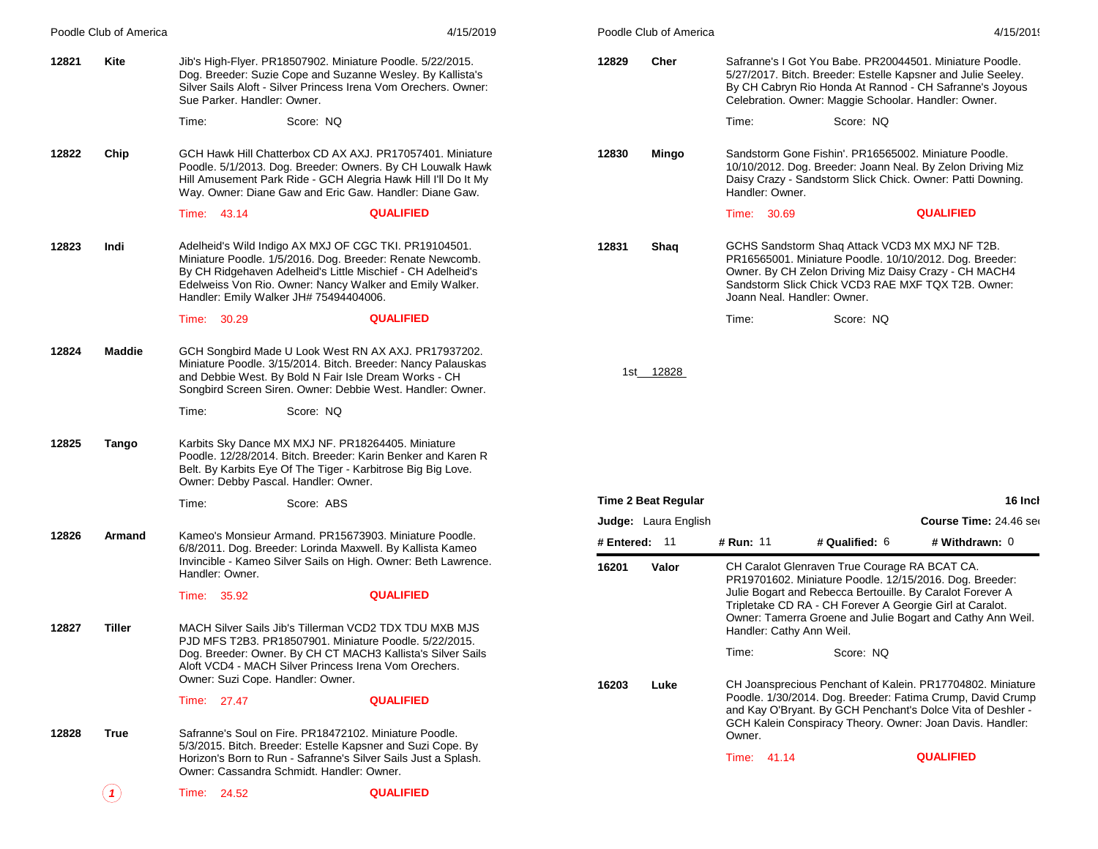|       | Poodle Club of America     |                                                                                                     |            | 4/15/2019                                                                                                                                                                                                                                            |               | Poodle Club of America      |                             |                                                                                                                                                                                                                                                                                                 |                        | 4/15/2019 |
|-------|----------------------------|-----------------------------------------------------------------------------------------------------|------------|------------------------------------------------------------------------------------------------------------------------------------------------------------------------------------------------------------------------------------------------------|---------------|-----------------------------|-----------------------------|-------------------------------------------------------------------------------------------------------------------------------------------------------------------------------------------------------------------------------------------------------------------------------------------------|------------------------|-----------|
| 12821 | Kite                       | Sue Parker. Handler: Owner.                                                                         |            | Jib's High-Flyer. PR18507902. Miniature Poodle. 5/22/2015.<br>Dog. Breeder: Suzie Cope and Suzanne Wesley. By Kallista's<br>Silver Sails Aloft - Silver Princess Irena Vom Orechers. Owner:                                                          | 12829         | Cher                        |                             | Safranne's I Got You Babe. PR20044501. Miniature Poodle.<br>5/27/2017. Bitch. Breeder: Estelle Kapsner and Julie Seeley.<br>By CH Cabryn Rio Honda At Rannod - CH Safranne's Joyous<br>Celebration. Owner: Maggie Schoolar. Handler: Owner.                                                     |                        |           |
|       |                            | Time:                                                                                               | Score: NQ  |                                                                                                                                                                                                                                                      |               |                             | Time:                       | Score: NQ                                                                                                                                                                                                                                                                                       |                        |           |
| 12822 | Chip                       |                                                                                                     |            | GCH Hawk Hill Chatterbox CD AX AXJ. PR17057401. Miniature<br>Poodle. 5/1/2013. Dog. Breeder: Owners. By CH Louwalk Hawk<br>Hill Amusement Park Ride - GCH Alegria Hawk Hill I'll Do It My<br>Way. Owner: Diane Gaw and Eric Gaw. Handler: Diane Gaw. | 12830         | Mingo                       | Handler: Owner.             | Sandstorm Gone Fishin'. PR16565002. Miniature Poodle.<br>10/10/2012. Dog. Breeder: Joann Neal. By Zelon Driving Miz<br>Daisy Crazy - Sandstorm Slick Chick. Owner: Patti Downing.                                                                                                               |                        |           |
|       |                            | Time: 43.14                                                                                         |            | <b>QUALIFIED</b>                                                                                                                                                                                                                                     |               |                             | Time: 30.69                 |                                                                                                                                                                                                                                                                                                 | <b>QUALIFIED</b>       |           |
| 12823 | Indi                       | Handler: Emily Walker JH# 75494404006.                                                              |            | Adelheid's Wild Indigo AX MXJ OF CGC TKI. PR19104501.<br>Miniature Poodle. 1/5/2016. Dog. Breeder: Renate Newcomb.<br>By CH Ridgehaven Adelheid's Little Mischief - CH Adelheid's<br>Edelweiss Von Rio. Owner: Nancy Walker and Emily Walker.        | 12831         | Shaq                        | Joann Neal, Handler: Owner. | GCHS Sandstorm Shaq Attack VCD3 MX MXJ NF T2B.<br>PR16565001. Miniature Poodle. 10/10/2012. Dog. Breeder:<br>Owner. By CH Zelon Driving Miz Daisy Crazy - CH MACH4<br>Sandstorm Slick Chick VCD3 RAE MXF TQX T2B. Owner:                                                                        |                        |           |
|       |                            | Time: 30.29                                                                                         |            | <b>QUALIFIED</b>                                                                                                                                                                                                                                     |               |                             | Time:                       | Score: NQ                                                                                                                                                                                                                                                                                       |                        |           |
| 12824 | Maddie                     | and Debbie West. By Bold N Fair Isle Dream Works - CH                                               |            | GCH Songbird Made U Look West RN AX AXJ. PR17937202.<br>Miniature Poodle. 3/15/2014. Bitch. Breeder: Nancy Palauskas<br>Songbird Screen Siren. Owner: Debbie West. Handler: Owner.                                                                   |               | 1st__12828                  |                             |                                                                                                                                                                                                                                                                                                 |                        |           |
|       |                            | Time:                                                                                               | Score: NQ  |                                                                                                                                                                                                                                                      |               |                             |                             |                                                                                                                                                                                                                                                                                                 |                        |           |
| 12825 | Tango                      | Karbits Sky Dance MX MXJ NF. PR18264405. Miniature<br>Owner: Debby Pascal. Handler: Owner.          |            | Poodle. 12/28/2014. Bitch. Breeder: Karin Benker and Karen R.<br>Belt. By Karbits Eye Of The Tiger - Karbitrose Big Big Love.                                                                                                                        |               |                             |                             |                                                                                                                                                                                                                                                                                                 |                        |           |
|       |                            | Time:                                                                                               | Score: ABS |                                                                                                                                                                                                                                                      |               | Time 2 Beat Regular         |                             |                                                                                                                                                                                                                                                                                                 |                        | 16 Inch   |
|       |                            |                                                                                                     |            |                                                                                                                                                                                                                                                      |               | <b>Judge:</b> Laura English |                             |                                                                                                                                                                                                                                                                                                 | Course Time: 24.46 ser |           |
| 12826 | Armand                     |                                                                                                     |            | Kameo's Monsieur Armand. PR15673903. Miniature Poodle.<br>6/8/2011. Dog. Breeder: Lorinda Maxwell. By Kallista Kameo<br>Invincible - Kameo Silver Sails on High. Owner: Beth Lawrence.                                                               | # Entered: 11 |                             | # Run: 11                   | # Qualified: 6                                                                                                                                                                                                                                                                                  | # Withdrawn: 0         |           |
| 12827 | Tiller                     | Handler: Owner.<br>Time: 35.92                                                                      |            | <b>QUALIFIED</b><br>MACH Silver Sails Jib's Tillerman VCD2 TDX TDU MXB MJS                                                                                                                                                                           | 16201         | Valor                       | Handler: Cathy Ann Weil.    | CH Caralot Glenraven True Courage RA BCAT CA.<br>PR19701602. Miniature Poodle. 12/15/2016. Dog. Breeder:<br>Julie Bogart and Rebecca Bertouille. By Caralot Forever A<br>Tripletake CD RA - CH Forever A Georgie Girl at Caralot.<br>Owner: Tamerra Groene and Julie Bogart and Cathy Ann Weil. |                        |           |
|       |                            | Aloft VCD4 - MACH Silver Princess Irena Vom Orechers.<br>Owner: Suzi Cope. Handler: Owner.          |            | PJD MFS T2B3. PR18507901. Miniature Poodle. 5/22/2015.<br>Dog. Breeder: Owner. By CH CT MACH3 Kallista's Silver Sails                                                                                                                                | 16203         | Luke                        | Time:                       | Score: NQ<br>CH Joansprecious Penchant of Kalein. PR17704802. Miniature                                                                                                                                                                                                                         |                        |           |
|       |                            | Time: 27.47                                                                                         |            | <b>QUALIFIED</b>                                                                                                                                                                                                                                     |               |                             |                             | Poodle. 1/30/2014. Dog. Breeder: Fatima Crump, David Crump<br>and Kay O'Bryant. By GCH Penchant's Dolce Vita of Deshler -<br>GCH Kalein Conspiracy Theory. Owner: Joan Davis. Handler:                                                                                                          |                        |           |
| 12828 | <b>True</b>                | Safranne's Soul on Fire. PR18472102. Miniature Poodle.<br>Owner: Cassandra Schmidt, Handler: Owner, |            | 5/3/2015. Bitch. Breeder: Estelle Kapsner and Suzi Cope. By<br>Horizon's Born to Run - Safranne's Silver Sails Just a Splash.                                                                                                                        |               |                             | Owner.<br>Time: 41.14       |                                                                                                                                                                                                                                                                                                 | <b>QUALIFIED</b>       |           |
|       | $\left( \textbf{1}\right)$ | Time: 24.52                                                                                         |            | <b>QUALIFIED</b>                                                                                                                                                                                                                                     |               |                             |                             |                                                                                                                                                                                                                                                                                                 |                        |           |
|       |                            |                                                                                                     |            |                                                                                                                                                                                                                                                      |               |                             |                             |                                                                                                                                                                                                                                                                                                 |                        |           |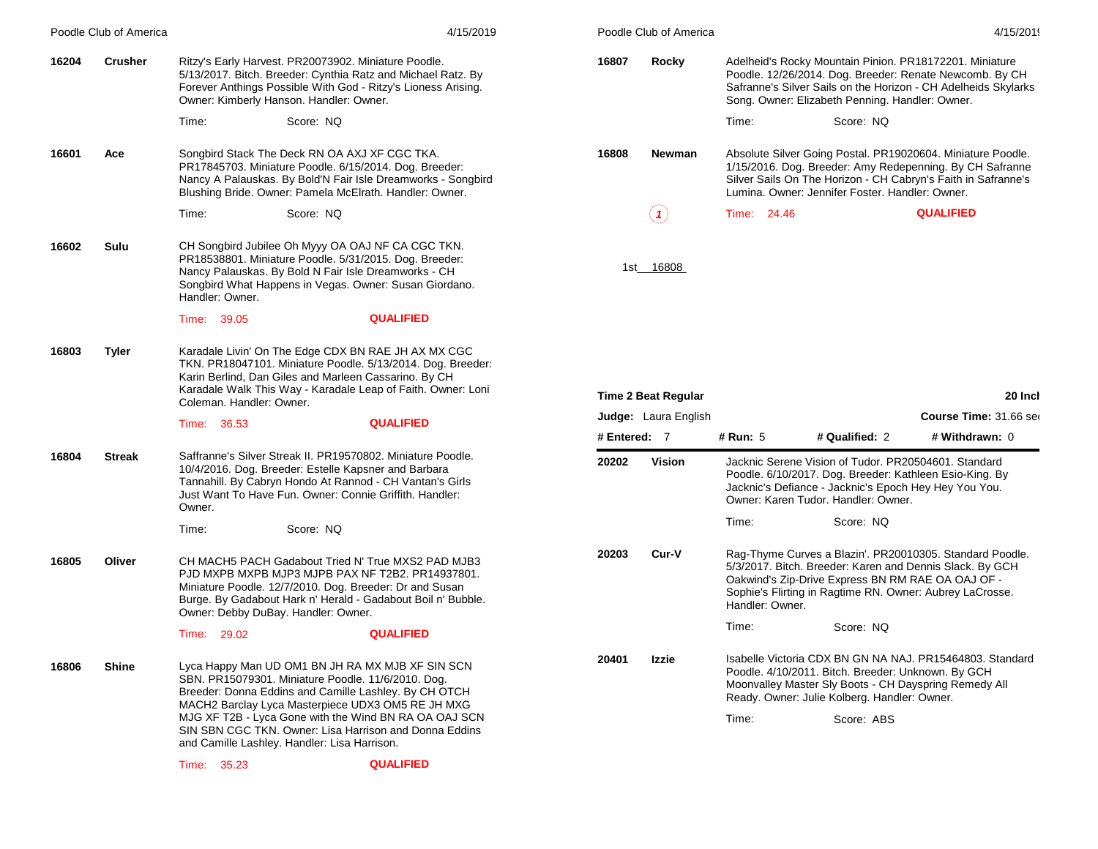|       | Poodle Club of America |                                                                                                                                                                                          |           | 4/15/2019                                                                                                                                                                                                                                                                         |              | Poodle Club of America      |                 |                                                                                                                  | 4/15/2019                                                                                                                                                                                |
|-------|------------------------|------------------------------------------------------------------------------------------------------------------------------------------------------------------------------------------|-----------|-----------------------------------------------------------------------------------------------------------------------------------------------------------------------------------------------------------------------------------------------------------------------------------|--------------|-----------------------------|-----------------|------------------------------------------------------------------------------------------------------------------|------------------------------------------------------------------------------------------------------------------------------------------------------------------------------------------|
| 16204 | <b>Crusher</b>         | Ritzy's Early Harvest. PR20073902. Miniature Poodle.<br>Owner: Kimberly Hanson. Handler: Owner.                                                                                          |           | 5/13/2017. Bitch. Breeder: Cynthia Ratz and Michael Ratz. By<br>Forever Anthings Possible With God - Ritzy's Lioness Arising.                                                                                                                                                     | 16807        | Rocky                       |                 | Song. Owner: Elizabeth Penning. Handler: Owner.                                                                  | Adelheid's Rocky Mountain Pinion. PR18172201. Miniature<br>Poodle. 12/26/2014. Dog. Breeder: Renate Newcomb. By CH<br>Safranne's Silver Sails on the Horizon - CH Adelheids Skylarks     |
|       |                        | Time:                                                                                                                                                                                    | Score: NQ |                                                                                                                                                                                                                                                                                   |              |                             | Time:           | Score: NQ                                                                                                        |                                                                                                                                                                                          |
| 16601 | Ace                    | Songbird Stack The Deck RN OA AXJ XF CGC TKA.                                                                                                                                            |           | PR17845703. Miniature Poodle. 6/15/2014. Dog. Breeder:<br>Nancy A Palauskas. By Bold'N Fair Isle Dreamworks - Songbird<br>Blushing Bride. Owner: Pamela McElrath. Handler: Owner.                                                                                                 | 16808        | Newman                      |                 | Lumina. Owner: Jennifer Foster. Handler: Owner.                                                                  | Absolute Silver Going Postal. PR19020604. Miniature Poodle.<br>1/15/2016. Dog. Breeder: Amy Redepenning. By CH Safranne<br>Silver Sails On The Horizon - CH Cabryn's Faith in Safranne's |
|       |                        | Time:                                                                                                                                                                                    | Score: NQ |                                                                                                                                                                                                                                                                                   |              | $\bf(1)$                    | Time: 24.46     |                                                                                                                  | <b>QUALIFIED</b>                                                                                                                                                                         |
| 16602 | Sulu                   | Nancy Palauskas. By Bold N Fair Isle Dreamworks - CH<br>Handler: Owner.                                                                                                                  |           | CH Songbird Jubilee Oh Myyy OA OAJ NF CA CGC TKN.<br>PR18538801. Miniature Poodle. 5/31/2015. Dog. Breeder:<br>Songbird What Happens in Vegas. Owner: Susan Giordano.                                                                                                             |              | 1st_16808                   |                 |                                                                                                                  |                                                                                                                                                                                          |
|       |                        | Time: 39.05                                                                                                                                                                              |           | <b>QUALIFIED</b>                                                                                                                                                                                                                                                                  |              |                             |                 |                                                                                                                  |                                                                                                                                                                                          |
| 16803 | <b>Tyler</b>           | Karin Berlind, Dan Giles and Marleen Cassarino. By CH<br>Coleman. Handler: Owner.                                                                                                        |           | Karadale Livin' On The Edge CDX BN RAE JH AX MX CGC<br>TKN. PR18047101. Miniature Poodle. 5/13/2014. Dog. Breeder:<br>Karadale Walk This Way - Karadale Leap of Faith. Owner: Loni                                                                                                |              | <b>Time 2 Beat Regular</b>  |                 |                                                                                                                  | 20 Inch                                                                                                                                                                                  |
|       |                        | Time: 36.53                                                                                                                                                                              |           | <b>QUALIFIED</b>                                                                                                                                                                                                                                                                  |              | <b>Judge:</b> Laura English |                 |                                                                                                                  | Course Time: 31.66 ser                                                                                                                                                                   |
|       |                        |                                                                                                                                                                                          |           |                                                                                                                                                                                                                                                                                   | # Entered: 7 |                             | # Run: 5        | # Qualified: 2                                                                                                   | # Withdrawn: 0                                                                                                                                                                           |
|       |                        |                                                                                                                                                                                          |           |                                                                                                                                                                                                                                                                                   |              |                             |                 | Jacknic Serene Vision of Tudor. PR20504601. Standard                                                             |                                                                                                                                                                                          |
| 16804 | <b>Streak</b>          | Saffranne's Silver Streak II. PR19570802. Miniature Poodle.<br>10/4/2016. Dog. Breeder: Estelle Kapsner and Barbara<br>Just Want To Have Fun. Owner: Connie Griffith. Handler:<br>Owner. |           | Tannahill. By Cabryn Hondo At Rannod - CH Vantan's Girls                                                                                                                                                                                                                          | 20202        | Vision                      |                 | Jacknic's Defiance - Jacknic's Epoch Hey Hey You You.<br>Owner: Karen Tudor. Handler: Owner.                     | Poodle. 6/10/2017. Dog. Breeder: Kathleen Esio-King. By                                                                                                                                  |
|       |                        | Time:                                                                                                                                                                                    | Score: NQ |                                                                                                                                                                                                                                                                                   |              |                             | Time:           | Score: NQ                                                                                                        |                                                                                                                                                                                          |
| 16805 | Oliver                 |                                                                                                                                                                                          |           | CH MACH5 PACH Gadabout Tried N' True MXS2 PAD MJB3<br>PJD MXPB MXPB MJP3 MJPB PAX NF T2B2. PR14937801.<br>Miniature Poodle. 12/7/2010. Dog. Breeder: Dr and Susan<br>Burge. By Gadabout Hark n' Herald - Gadabout Boil n' Bubble.                                                 | 20203        | Cur-V                       | Handler: Owner. | Oakwind's Zip-Drive Express BN RM RAE OA OAJ OF -                                                                | Rag-Thyme Curves a Blazin'. PR20010305. Standard Poodle.<br>5/3/2017. Bitch. Breeder: Karen and Dennis Slack. By GCH<br>Sophie's Flirting in Ragtime RN. Owner: Aubrey LaCrosse.         |
|       |                        | Owner: Debby DuBay. Handler: Owner.<br>Time: 29.02                                                                                                                                       |           | <b>QUALIFIED</b>                                                                                                                                                                                                                                                                  |              |                             | Time:           | Score: NQ                                                                                                        |                                                                                                                                                                                          |
| 16806 | <b>Shine</b>           | SBN. PR15079301. Miniature Poodle. 11/6/2010. Dog.                                                                                                                                       |           | Lyca Happy Man UD OM1 BN JH RA MX MJB XF SIN SCN<br>Breeder: Donna Eddins and Camille Lashley. By CH OTCH<br>MACH2 Barclay Lyca Masterpiece UDX3 OM5 RE JH MXG<br>MJG XF T2B - Lyca Gone with the Wind BN RA OA OAJ SCN<br>SIN SBN CGC TKN. Owner: Lisa Harrison and Donna Eddins | 20401        | Izzie                       | Time:           | Poodle. 4/10/2011. Bitch. Breeder: Unknown. By GCH<br>Ready. Owner: Julie Kolberg. Handler: Owner.<br>Score: ABS | Isabelle Victoria CDX BN GN NA NAJ. PR15464803. Standard<br>Moonvalley Master Sly Boots - CH Dayspring Remedy All                                                                        |
|       |                        | and Camille Lashley. Handler: Lisa Harrison.<br>Time: 35.23                                                                                                                              |           | <b>QUALIFIED</b>                                                                                                                                                                                                                                                                  |              |                             |                 |                                                                                                                  |                                                                                                                                                                                          |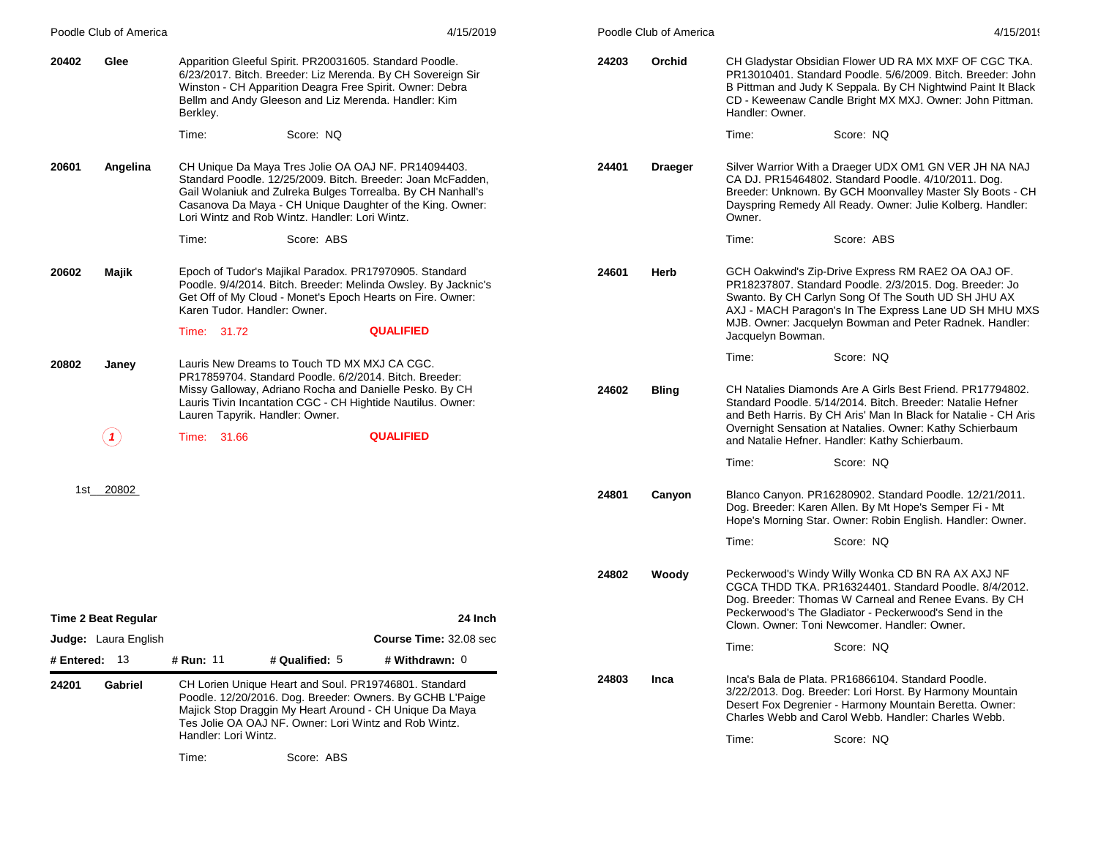|                 | Poodle Club of America      |                                                |                                                                                                                 | 4/15/2019                                                                                                                                                                                                                                      |       | Poodle Club of America |                   | 4/15/2019                                                                                                                                                                                                                                                                                                |
|-----------------|-----------------------------|------------------------------------------------|-----------------------------------------------------------------------------------------------------------------|------------------------------------------------------------------------------------------------------------------------------------------------------------------------------------------------------------------------------------------------|-------|------------------------|-------------------|----------------------------------------------------------------------------------------------------------------------------------------------------------------------------------------------------------------------------------------------------------------------------------------------------------|
| 20402           | Glee                        | Berkley.                                       | Apparition Gleeful Spirit. PR20031605. Standard Poodle.<br>Bellm and Andy Gleeson and Liz Merenda. Handler: Kim | 6/23/2017. Bitch. Breeder: Liz Merenda. By CH Sovereign Sir<br>Winston - CH Apparition Deagra Free Spirit. Owner: Debra                                                                                                                        | 24203 | Orchid                 | Handler: Owner.   | CH Gladystar Obsidian Flower UD RA MX MXF OF CGC TKA.<br>PR13010401. Standard Poodle. 5/6/2009. Bitch. Breeder: John<br>B Pittman and Judy K Seppala. By CH Nightwind Paint It Black<br>CD - Keweenaw Candle Bright MX MXJ. Owner: John Pittman.                                                         |
|                 |                             | Time:                                          | Score: NQ                                                                                                       |                                                                                                                                                                                                                                                |       |                        | Time:             | Score: NQ                                                                                                                                                                                                                                                                                                |
| 20601           | Angelina                    |                                                | Lori Wintz and Rob Wintz. Handler: Lori Wintz.                                                                  | CH Unique Da Maya Tres Jolie OA OAJ NF. PR14094403.<br>Standard Poodle. 12/25/2009. Bitch. Breeder: Joan McFadden,<br>Gail Wolaniuk and Zulreka Bulges Torrealba. By CH Nanhall's<br>Casanova Da Maya - CH Unique Daughter of the King. Owner: | 24401 | <b>Draeger</b>         | Owner.            | Silver Warrior With a Draeger UDX OM1 GN VER JH NA NAJ<br>CA DJ. PR15464802. Standard Poodle. 4/10/2011. Dog.<br>Breeder: Unknown. By GCH Moonvalley Master Sly Boots - CH<br>Dayspring Remedy All Ready. Owner: Julie Kolberg. Handler:                                                                 |
|                 |                             | Time:                                          | Score: ABS                                                                                                      |                                                                                                                                                                                                                                                |       |                        | Time:             | Score: ABS                                                                                                                                                                                                                                                                                               |
| 20602           | Majik                       | Karen Tudor. Handler: Owner.<br>Time: 31.72    |                                                                                                                 | Epoch of Tudor's Majikal Paradox. PR17970905. Standard<br>Poodle. 9/4/2014. Bitch. Breeder: Melinda Owsley. By Jacknic's<br>Get Off of My Cloud - Monet's Epoch Hearts on Fire. Owner:<br><b>QUALIFIED</b>                                     | 24601 | Herb                   | Jacquelyn Bowman. | GCH Oakwind's Zip-Drive Express RM RAE2 OA OAJ OF.<br>PR18237807. Standard Poodle. 2/3/2015. Dog. Breeder: Jo<br>Swanto. By CH Carlyn Song Of The South UD SH JHU AX<br>AXJ - MACH Paragon's In The Express Lane UD SH MHU MXS<br>MJB. Owner: Jacquelyn Bowman and Peter Radnek. Handler:                |
| 20802           | Janey                       |                                                | Lauris New Dreams to Touch TD MX MXJ CA CGC.                                                                    |                                                                                                                                                                                                                                                |       |                        | Time:             | Score: NQ                                                                                                                                                                                                                                                                                                |
|                 | $\left( \mathbf{1}\right)$  | Lauren Tapyrik. Handler: Owner.<br>Time: 31.66 |                                                                                                                 | PR17859704. Standard Poodle. 6/2/2014. Bitch. Breeder:<br>Missy Galloway, Adriano Rocha and Danielle Pesko. By CH<br>Lauris Tivin Incantation CGC - CH Hightide Nautilus. Owner:<br><b>QUALIFIED</b>                                           | 24602 | <b>Bling</b>           |                   | CH Natalies Diamonds Are A Girls Best Friend. PR17794802.<br>Standard Poodle. 5/14/2014. Bitch. Breeder: Natalie Hefner<br>and Beth Harris. By CH Aris' Man In Black for Natalie - CH Aris<br>Overnight Sensation at Natalies. Owner: Kathy Schierbaum<br>and Natalie Hefner. Handler: Kathy Schierbaum. |
|                 |                             |                                                |                                                                                                                 |                                                                                                                                                                                                                                                |       |                        | Time:             | Score: NQ                                                                                                                                                                                                                                                                                                |
|                 | 1st 20802                   |                                                |                                                                                                                 |                                                                                                                                                                                                                                                | 24801 | Canyon                 | Time:             | Blanco Canyon. PR16280902. Standard Poodle. 12/21/2011.<br>Dog. Breeder: Karen Allen. By Mt Hope's Semper Fi - Mt<br>Hope's Morning Star. Owner: Robin English. Handler: Owner.<br>Score: NQ                                                                                                             |
|                 |                             |                                                |                                                                                                                 |                                                                                                                                                                                                                                                |       |                        |                   |                                                                                                                                                                                                                                                                                                          |
|                 |                             |                                                |                                                                                                                 |                                                                                                                                                                                                                                                | 24802 | Woody                  |                   | Peckerwood's Windy Willy Wonka CD BN RA AX AXJ NF<br>CGCA THDD TKA, PR16324401, Standard Poodle, 8/4/2012.<br>Dog. Breeder: Thomas W Carneal and Renee Evans. By CH<br>Peckerwood's The Gladiator - Peckerwood's Send in the                                                                             |
|                 | Time 2 Beat Regular         |                                                |                                                                                                                 | 24 Inch<br><b>Course Time: 32.08 sec</b>                                                                                                                                                                                                       |       |                        |                   | Clown, Owner: Toni Newcomer, Handler: Owner,                                                                                                                                                                                                                                                             |
| # Entered: $13$ | <b>Judge:</b> Laura English | # Run: 11                                      | # Qualified: 5                                                                                                  | # Withdrawn: 0                                                                                                                                                                                                                                 |       |                        | Time:             | Score: NQ                                                                                                                                                                                                                                                                                                |
| 24201           | Gabriel                     | Handler: Lori Wintz.                           | Tes Jolie OA OAJ NF. Owner: Lori Wintz and Rob Wintz.                                                           | CH Lorien Unique Heart and Soul. PR19746801. Standard<br>Poodle. 12/20/2016. Dog. Breeder: Owners. By GCHB L'Paige<br>Majick Stop Draggin My Heart Around - CH Unique Da Maya                                                                  | 24803 | Inca                   | Time:             | Inca's Bala de Plata, PR16866104, Standard Poodle.<br>3/22/2013. Dog. Breeder: Lori Horst. By Harmony Mountain<br>Desert Fox Degrenier - Harmony Mountain Beretta. Owner:<br>Charles Webb and Carol Webb, Handler: Charles Webb,<br>Score: NQ                                                            |
|                 |                             | Time:                                          | Score: ABS                                                                                                      |                                                                                                                                                                                                                                                |       |                        |                   |                                                                                                                                                                                                                                                                                                          |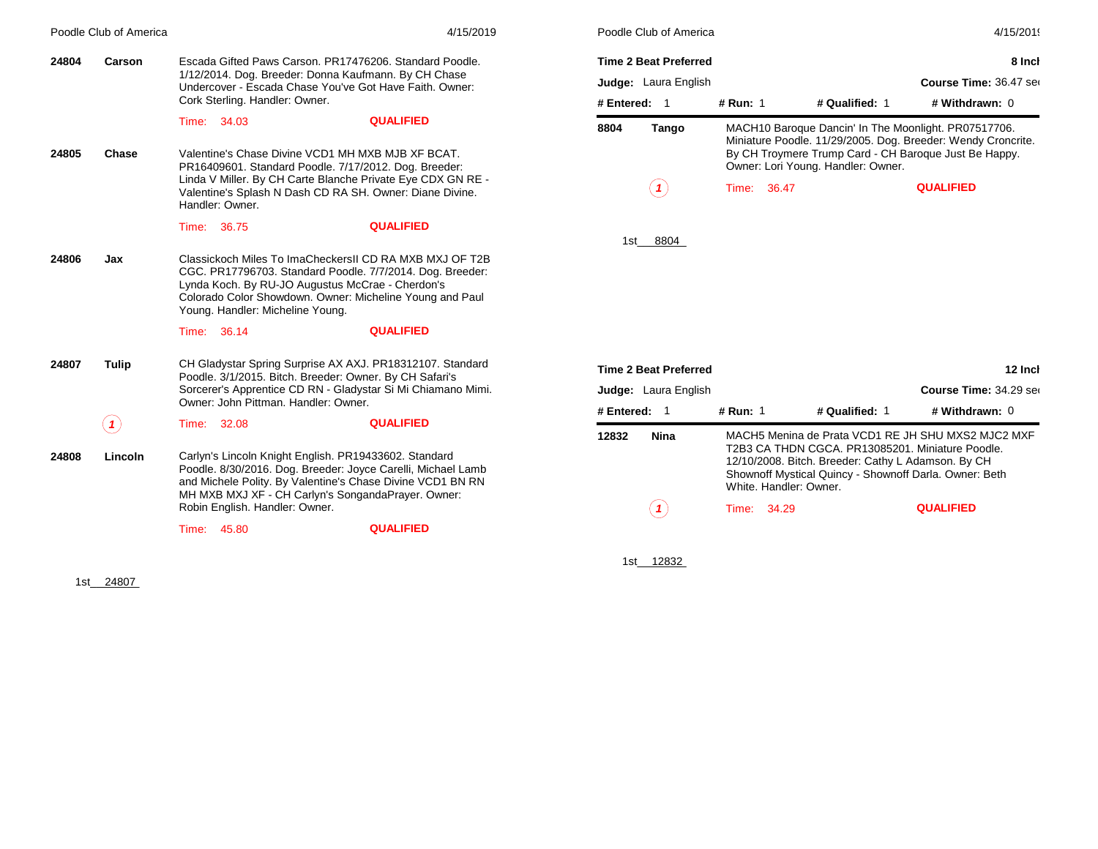|       | Poodle Club of America |       |                                         |                                                                                                                                                                                                                                                               | 4/15/2019 | P <sub>0</sub> |
|-------|------------------------|-------|-----------------------------------------|---------------------------------------------------------------------------------------------------------------------------------------------------------------------------------------------------------------------------------------------------------------|-----------|----------------|
| 24804 | Carson                 |       |                                         | Escada Gifted Paws Carson, PR17476206, Standard Poodle.                                                                                                                                                                                                       |           | Ti             |
|       |                        |       |                                         | 1/12/2014. Dog. Breeder: Donna Kaufmann. By CH Chase<br>Undercover - Escada Chase You've Got Have Faith, Owner:                                                                                                                                               |           | Jι             |
|       |                        |       | Cork Sterling. Handler: Owner.          |                                                                                                                                                                                                                                                               |           | #              |
|       |                        |       | Time: 34.03                             | <b>QUALIFIED</b>                                                                                                                                                                                                                                              |           | 88             |
| 24805 | Chase                  |       | Handler: Owner.                         | Valentine's Chase Divine VCD1 MH MXB MJB XF BCAT.<br>PR16409601. Standard Poodle. 7/17/2012. Dog. Breeder:<br>Linda V Miller. By CH Carte Blanche Private Eye CDX GN RE -<br>Valentine's Splash N Dash CD RA SH. Owner: Diane Divine.                         |           |                |
|       |                        |       | Time: 36.75                             | <b>QUALIFIED</b>                                                                                                                                                                                                                                              |           |                |
| 24806 | Jax                    |       | Young. Handler: Micheline Young.        | Classickoch Miles To ImaCheckersII CD RA MXB MXJ OF T2B<br>CGC. PR17796703. Standard Poodle. 7/7/2014. Dog. Breeder:<br>Lynda Koch. By RU-JO Augustus McCrae - Cherdon's<br>Colorado Color Showdown. Owner: Micheline Young and Paul                          |           |                |
|       |                        |       | Time: 36.14                             | <b>QUALIFIED</b>                                                                                                                                                                                                                                              |           |                |
| 24807 | <b>Tulip</b>           |       |                                         | CH Gladystar Spring Surprise AX AXJ. PR18312107. Standard<br>Poodle. 3/1/2015. Bitch. Breeder: Owner. By CH Safari's<br>Sorcerer's Apprentice CD RN - Gladystar Si Mi Chiamano Mimi.<br>Owner: John Pittman, Handler: Owner,                                  |           | Ti<br>Jι<br>#  |
|       | $\mathbf{1}$           |       | Time: 32.08                             | <b>QUALIFIED</b>                                                                                                                                                                                                                                              |           | 12             |
| 24808 | Lincoln                | Time: | Robin English. Handler: Owner.<br>45.80 | Carlyn's Lincoln Knight English. PR19433602. Standard<br>Poodle. 8/30/2016. Dog. Breeder: Joyce Carelli, Michael Lamb<br>and Michele Polity. By Valentine's Chase Divine VCD1 BN RN<br>MH MXB MXJ XF - CH Carlyn's SongandaPrayer. Owner:<br><b>QUALIFIED</b> |           |                |
|       |                        |       |                                         |                                                                                                                                                                                                                                                               |           |                |

1st\_\_\_ 24807

|              | Poodle Club of America                               |          |       |                                    | 4/15/2019                                                                                                                                                                     |
|--------------|------------------------------------------------------|----------|-------|------------------------------------|-------------------------------------------------------------------------------------------------------------------------------------------------------------------------------|
|              | <b>Time 2 Beat Preferred</b><br>Judge: Laura English |          |       |                                    | 8 Incl<br>Course Time: 36.47 sec                                                                                                                                              |
| # Entered: 1 |                                                      | # Run: 1 |       | # Qualified: 1                     | # Withdrawn: 0                                                                                                                                                                |
| 8804         | Tango                                                |          |       | Owner: Lori Young. Handler: Owner. | MACH10 Baroque Dancin' In The Moonlight. PR07517706.<br>Miniature Poodle. 11/29/2005. Dog. Breeder: Wendy Croncrite.<br>By CH Troymere Trump Card - CH Baroque Just Be Happy. |
|              | 1                                                    | Time:    | 36.47 |                                    | <b>QUALIFIED</b>                                                                                                                                                              |

1st\_\_\_\_8804\_\_

| <b>Time 2 Beat Preferred</b> |             |                        |                | 12 Inch                                                                                                                                                                                                                |  |
|------------------------------|-------------|------------------------|----------------|------------------------------------------------------------------------------------------------------------------------------------------------------------------------------------------------------------------------|--|
| <b>Judge:</b> Laura English  |             |                        |                | Course Time: 34.29 sec                                                                                                                                                                                                 |  |
| # Entered: 1                 | # Run: 1    |                        | # Qualified: 1 | # Withdrawn: 0                                                                                                                                                                                                         |  |
| <b>Nina</b><br>12832         |             | White, Handler: Owner. |                | MACH5 Menina de Prata VCD1 RE JH SHU MXS2 MJC2 MXF<br>T2B3 CA THDN CGCA, PR13085201, Miniature Poodle,<br>12/10/2008. Bitch. Breeder: Cathy L Adamson. By CH<br>Shownoff Mystical Quincy - Shownoff Darla. Owner: Beth |  |
|                              | Time: 34.29 |                        |                | <b>QUALIFIED</b>                                                                                                                                                                                                       |  |

1st\_\_\_\_\_\_\_\_ 12832